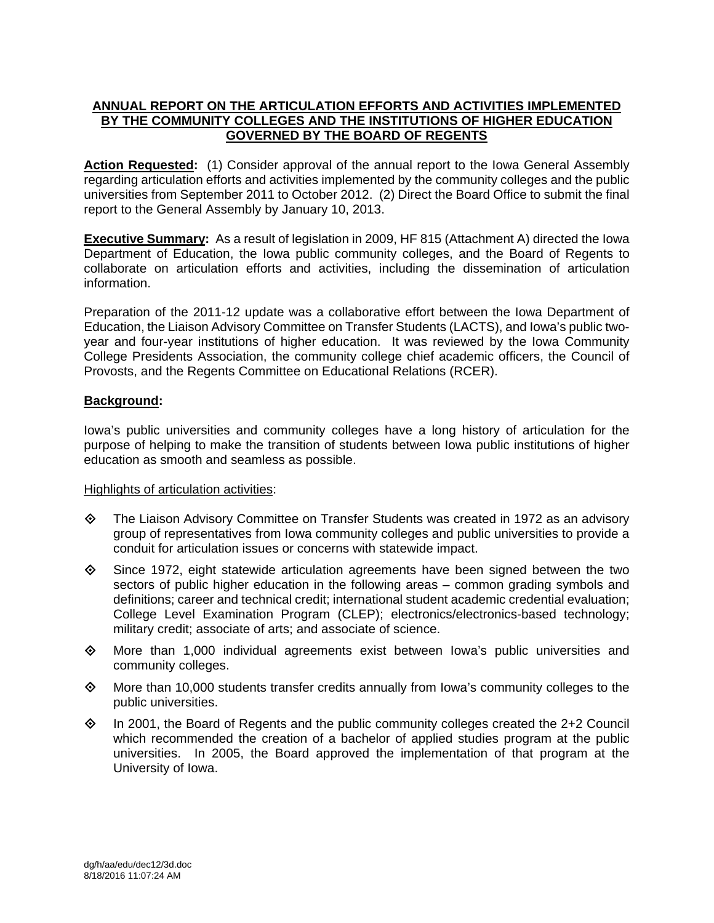# **ANNUAL REPORT ON THE ARTICULATION EFFORTS AND ACTIVITIES IMPLEMENTED BY THE COMMUNITY COLLEGES AND THE INSTITUTIONS OF HIGHER EDUCATION GOVERNED BY THE BOARD OF REGENTS**

Action Requested: (1) Consider approval of the annual report to the Iowa General Assembly regarding articulation efforts and activities implemented by the community colleges and the public universities from September 2011 to October 2012. (2) Direct the Board Office to submit the final report to the General Assembly by January 10, 2013.

**Executive Summary:** As a result of legislation in 2009, HF 815 (Attachment A) directed the Iowa Department of Education, the Iowa public community colleges, and the Board of Regents to collaborate on articulation efforts and activities, including the dissemination of articulation information.

Preparation of the 2011-12 update was a collaborative effort between the Iowa Department of Education, the Liaison Advisory Committee on Transfer Students (LACTS), and Iowa's public twoyear and four-year institutions of higher education. It was reviewed by the Iowa Community College Presidents Association, the community college chief academic officers, the Council of Provosts, and the Regents Committee on Educational Relations (RCER).

# **Background:**

Iowa's public universities and community colleges have a long history of articulation for the purpose of helping to make the transition of students between Iowa public institutions of higher education as smooth and seamless as possible.

#### Highlights of articulation activities:

- The Liaison Advisory Committee on Transfer Students was created in 1972 as an advisory group of representatives from Iowa community colleges and public universities to provide a conduit for articulation issues or concerns with statewide impact.
- $\diamond$  Since 1972, eight statewide articulation agreements have been signed between the two sectors of public higher education in the following areas – common grading symbols and definitions; career and technical credit; international student academic credential evaluation; College Level Examination Program (CLEP); electronics/electronics-based technology; military credit; associate of arts; and associate of science.
- $\diamond$  More than 1,000 individual agreements exist between Iowa's public universities and community colleges.
- $\diamond$  More than 10,000 students transfer credits annually from lowa's community colleges to the public universities.
- $\Diamond$  In 2001, the Board of Regents and the public community colleges created the 2+2 Council which recommended the creation of a bachelor of applied studies program at the public universities. In 2005, the Board approved the implementation of that program at the University of Iowa.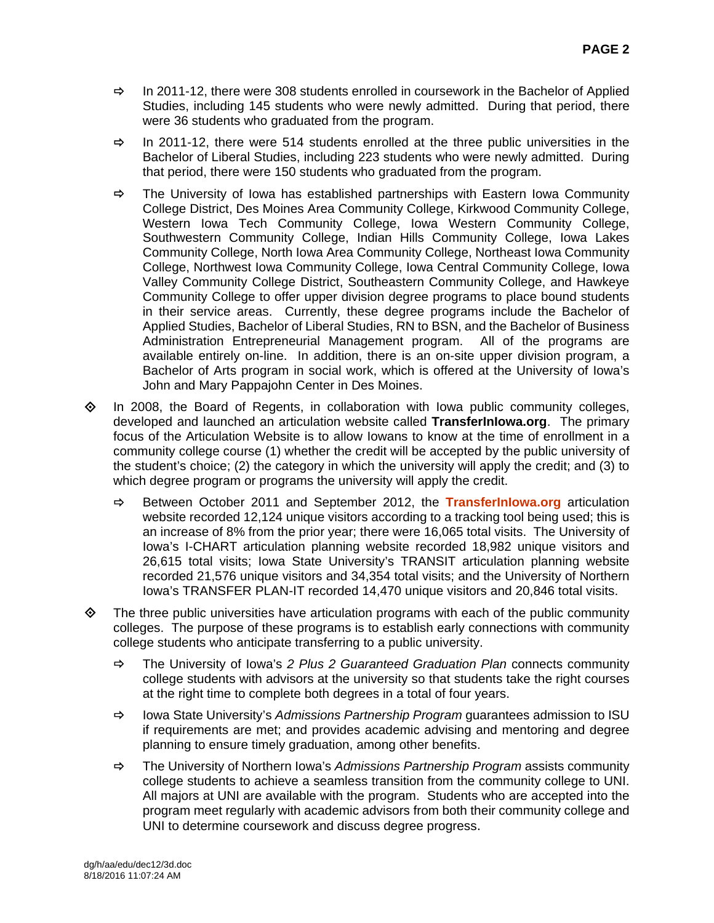- $\Rightarrow$  In 2011-12, there were 308 students enrolled in coursework in the Bachelor of Applied Studies, including 145 students who were newly admitted. During that period, there were 36 students who graduated from the program.
- $\Rightarrow$  In 2011-12, there were 514 students enrolled at the three public universities in the Bachelor of Liberal Studies, including 223 students who were newly admitted. During that period, there were 150 students who graduated from the program.
- $\Rightarrow$  The University of Iowa has established partnerships with Eastern Iowa Community College District, Des Moines Area Community College, Kirkwood Community College, Western Iowa Tech Community College, Iowa Western Community College, Southwestern Community College, Indian Hills Community College, Iowa Lakes Community College, North Iowa Area Community College, Northeast Iowa Community College, Northwest Iowa Community College, Iowa Central Community College, Iowa Valley Community College District, Southeastern Community College, and Hawkeye Community College to offer upper division degree programs to place bound students in their service areas. Currently, these degree programs include the Bachelor of Applied Studies, Bachelor of Liberal Studies, RN to BSN, and the Bachelor of Business Administration Entrepreneurial Management program. All of the programs are available entirely on-line. In addition, there is an on-site upper division program, a Bachelor of Arts program in social work, which is offered at the University of Iowa's John and Mary Pappajohn Center in Des Moines.
- $\Diamond$  In 2008, the Board of Regents, in collaboration with Iowa public community colleges, developed and launched an articulation website called **TransferInIowa.org**. The primary focus of the Articulation Website is to allow Iowans to know at the time of enrollment in a community college course (1) whether the credit will be accepted by the public university of the student's choice; (2) the category in which the university will apply the credit; and (3) to which degree program or programs the university will apply the credit.
	- $\Rightarrow$  Between October 2011 and September 2012, the **TransferInIowa.org** articulation website recorded 12,124 unique visitors according to a tracking tool being used; this is an increase of 8% from the prior year; there were 16,065 total visits. The University of Iowa's I-CHART articulation planning website recorded 18,982 unique visitors and 26,615 total visits; Iowa State University's TRANSIT articulation planning website recorded 21,576 unique visitors and 34,354 total visits; and the University of Northern Iowa's TRANSFER PLAN-IT recorded 14,470 unique visitors and 20,846 total visits.
- $\diamond$  The three public universities have articulation programs with each of the public community colleges. The purpose of these programs is to establish early connections with community college students who anticipate transferring to a public university.
	- The University of Iowa's *2 Plus 2 Guaranteed Graduation Plan* connects community college students with advisors at the university so that students take the right courses at the right time to complete both degrees in a total of four years.
	- Iowa State University's *Admissions Partnership Program* guarantees admission to ISU if requirements are met; and provides academic advising and mentoring and degree planning to ensure timely graduation, among other benefits.
	- The University of Northern Iowa's *Admissions Partnership Program* assists community college students to achieve a seamless transition from the community college to UNI. All majors at UNI are available with the program. Students who are accepted into the program meet regularly with academic advisors from both their community college and UNI to determine coursework and discuss degree progress.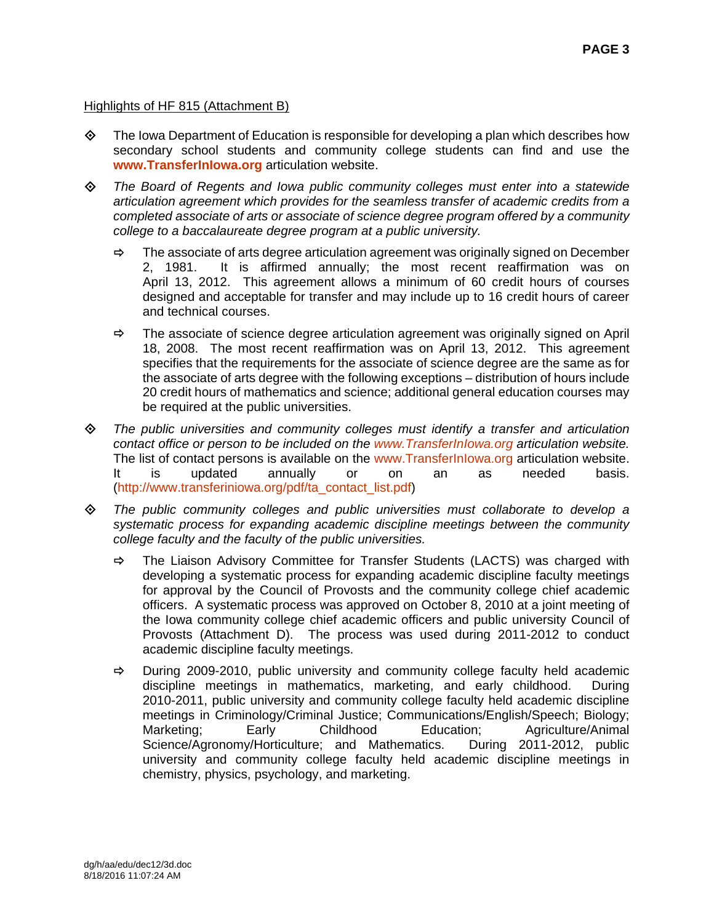# Highlights of HF 815 (Attachment B)

- $\diamond$  The Iowa Department of Education is responsible for developing a plan which describes how secondary school students and community college students can find and use the **www.TransferInIowa.org** articulation website.
- *The Board of Regents and Iowa public community colleges must enter into a statewide articulation agreement which provides for the seamless transfer of academic credits from a completed associate of arts or associate of science degree program offered by a community college to a baccalaureate degree program at a public university.* 
	- $\Rightarrow$  The associate of arts degree articulation agreement was originally signed on December 2, 1981. It is affirmed annually; the most recent reaffirmation was on April 13, 2012. This agreement allows a minimum of 60 credit hours of courses designed and acceptable for transfer and may include up to 16 credit hours of career and technical courses.
	- $\Rightarrow$  The associate of science degree articulation agreement was originally signed on April 18, 2008. The most recent reaffirmation was on April 13, 2012. This agreement specifies that the requirements for the associate of science degree are the same as for the associate of arts degree with the following exceptions – distribution of hours include 20 credit hours of mathematics and science; additional general education courses may be required at the public universities.
- *The public universities and community colleges must identify a transfer and articulation contact office or person to be included on the www.TransferInIowa.org articulation website.* The list of contact persons is available on the www.TransferInIowa.org articulation website. It is updated annually or on an as needed basis. (http://www.transferiniowa.org/pdf/ta\_contact\_list.pdf)
- *The public community colleges and public universities must collaborate to develop a systematic process for expanding academic discipline meetings between the community college faculty and the faculty of the public universities.* 
	- $\Rightarrow$  The Liaison Advisory Committee for Transfer Students (LACTS) was charged with developing a systematic process for expanding academic discipline faculty meetings for approval by the Council of Provosts and the community college chief academic officers. A systematic process was approved on October 8, 2010 at a joint meeting of the Iowa community college chief academic officers and public university Council of Provosts (Attachment D). The process was used during 2011-2012 to conduct academic discipline faculty meetings.
	- $\Rightarrow$  During 2009-2010, public university and community college faculty held academic discipline meetings in mathematics, marketing, and early childhood. During 2010-2011, public university and community college faculty held academic discipline meetings in Criminology/Criminal Justice; Communications/English/Speech; Biology; Marketing; Early Childhood Education; Agriculture/Animal Science/Agronomy/Horticulture; and Mathematics. During 2011-2012, public university and community college faculty held academic discipline meetings in chemistry, physics, psychology, and marketing.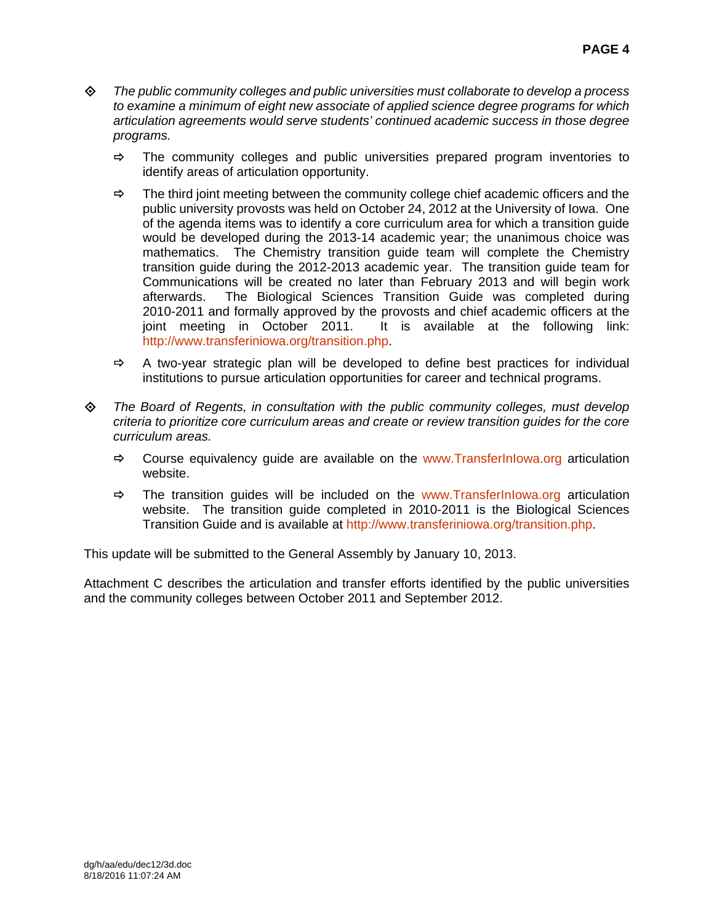- *The public community colleges and public universities must collaborate to develop a process to examine a minimum of eight new associate of applied science degree programs for which articulation agreements would serve students' continued academic success in those degree programs.* 
	- $\Rightarrow$  The community colleges and public universities prepared program inventories to identify areas of articulation opportunity.
	- $\Rightarrow$  The third joint meeting between the community college chief academic officers and the public university provosts was held on October 24, 2012 at the University of Iowa. One of the agenda items was to identify a core curriculum area for which a transition guide would be developed during the 2013-14 academic year; the unanimous choice was mathematics. The Chemistry transition guide team will complete the Chemistry transition guide during the 2012-2013 academic year. The transition guide team for Communications will be created no later than February 2013 and will begin work afterwards. The Biological Sciences Transition Guide was completed during 2010-2011 and formally approved by the provosts and chief academic officers at the joint meeting in October 2011. It is available at the following link: http://www.transferiniowa.org/transition.php.
	- $\Rightarrow$  A two-year strategic plan will be developed to define best practices for individual institutions to pursue articulation opportunities for career and technical programs.
- *The Board of Regents, in consultation with the public community colleges, must develop criteria to prioritize core curriculum areas and create or review transition guides for the core curriculum areas.* 
	- $\Rightarrow$  Course equivalency guide are available on the www.TransferInIowa.org articulation website.
	- $\Rightarrow$  The transition quides will be included on the www.TransferInIowa.org articulation website. The transition guide completed in 2010-2011 is the Biological Sciences Transition Guide and is available at http://www.transferiniowa.org/transition.php.

This update will be submitted to the General Assembly by January 10, 2013.

Attachment C describes the articulation and transfer efforts identified by the public universities and the community colleges between October 2011 and September 2012.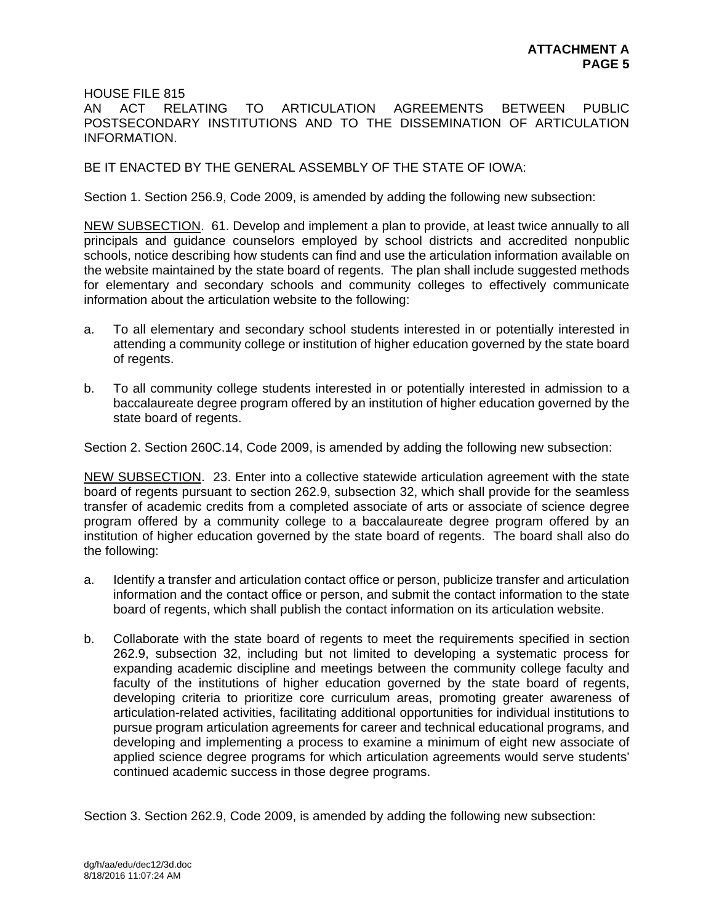HOUSE FILE 815

AN ACT RELATING TO ARTICULATION AGREEMENTS BETWEEN PUBLIC POSTSECONDARY INSTITUTIONS AND TO THE DISSEMINATION OF ARTICULATION INFORMATION.

BE IT ENACTED BY THE GENERAL ASSEMBLY OF THE STATE OF IOWA:

Section 1. Section 256.9, Code 2009, is amended by adding the following new subsection:

NEW SUBSECTION. 61. Develop and implement a plan to provide, at least twice annually to all principals and guidance counselors employed by school districts and accredited nonpublic schools, notice describing how students can find and use the articulation information available on the website maintained by the state board of regents. The plan shall include suggested methods for elementary and secondary schools and community colleges to effectively communicate information about the articulation website to the following:

- a. To all elementary and secondary school students interested in or potentially interested in attending a community college or institution of higher education governed by the state board of regents.
- b. To all community college students interested in or potentially interested in admission to a baccalaureate degree program offered by an institution of higher education governed by the state board of regents.

Section 2. Section 260C.14, Code 2009, is amended by adding the following new subsection:

NEW SUBSECTION. 23. Enter into a collective statewide articulation agreement with the state board of regents pursuant to section 262.9, subsection 32, which shall provide for the seamless transfer of academic credits from a completed associate of arts or associate of science degree program offered by a community college to a baccalaureate degree program offered by an institution of higher education governed by the state board of regents. The board shall also do the following:

- a. Identify a transfer and articulation contact office or person, publicize transfer and articulation information and the contact office or person, and submit the contact information to the state board of regents, which shall publish the contact information on its articulation website.
- b. Collaborate with the state board of regents to meet the requirements specified in section 262.9, subsection 32, including but not limited to developing a systematic process for expanding academic discipline and meetings between the community college faculty and faculty of the institutions of higher education governed by the state board of regents, developing criteria to prioritize core curriculum areas, promoting greater awareness of articulation-related activities, facilitating additional opportunities for individual institutions to pursue program articulation agreements for career and technical educational programs, and developing and implementing a process to examine a minimum of eight new associate of applied science degree programs for which articulation agreements would serve students' continued academic success in those degree programs.

Section 3. Section 262.9, Code 2009, is amended by adding the following new subsection: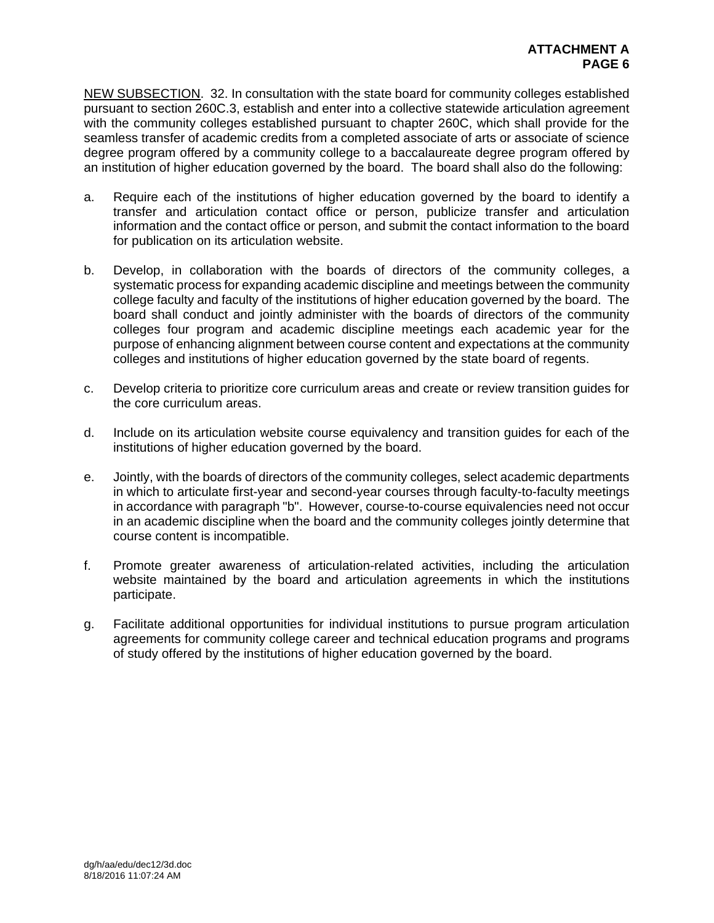NEW SUBSECTION. 32. In consultation with the state board for community colleges established pursuant to section 260C.3, establish and enter into a collective statewide articulation agreement with the community colleges established pursuant to chapter 260C, which shall provide for the seamless transfer of academic credits from a completed associate of arts or associate of science degree program offered by a community college to a baccalaureate degree program offered by an institution of higher education governed by the board. The board shall also do the following:

- a. Require each of the institutions of higher education governed by the board to identify a transfer and articulation contact office or person, publicize transfer and articulation information and the contact office or person, and submit the contact information to the board for publication on its articulation website.
- b. Develop, in collaboration with the boards of directors of the community colleges, a systematic process for expanding academic discipline and meetings between the community college faculty and faculty of the institutions of higher education governed by the board. The board shall conduct and jointly administer with the boards of directors of the community colleges four program and academic discipline meetings each academic year for the purpose of enhancing alignment between course content and expectations at the community colleges and institutions of higher education governed by the state board of regents.
- c. Develop criteria to prioritize core curriculum areas and create or review transition guides for the core curriculum areas.
- d. Include on its articulation website course equivalency and transition guides for each of the institutions of higher education governed by the board.
- e. Jointly, with the boards of directors of the community colleges, select academic departments in which to articulate first-year and second-year courses through faculty-to-faculty meetings in accordance with paragraph "b". However, course-to-course equivalencies need not occur in an academic discipline when the board and the community colleges jointly determine that course content is incompatible.
- f. Promote greater awareness of articulation-related activities, including the articulation website maintained by the board and articulation agreements in which the institutions participate.
- g. Facilitate additional opportunities for individual institutions to pursue program articulation agreements for community college career and technical education programs and programs of study offered by the institutions of higher education governed by the board.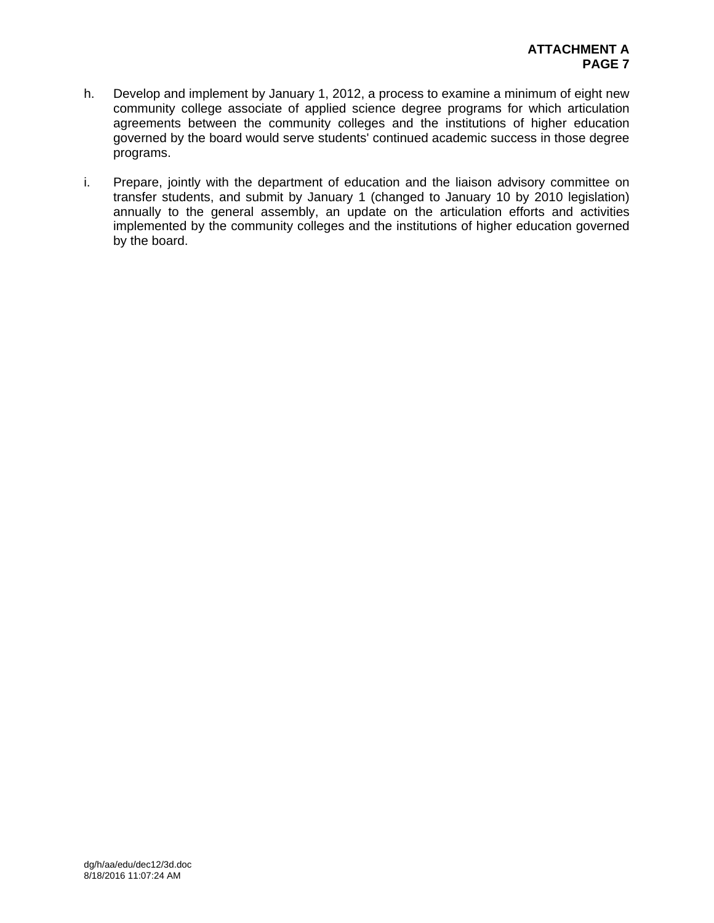- h. Develop and implement by January 1, 2012, a process to examine a minimum of eight new community college associate of applied science degree programs for which articulation agreements between the community colleges and the institutions of higher education governed by the board would serve students' continued academic success in those degree programs.
- i. Prepare, jointly with the department of education and the liaison advisory committee on transfer students, and submit by January 1 (changed to January 10 by 2010 legislation) annually to the general assembly, an update on the articulation efforts and activities implemented by the community colleges and the institutions of higher education governed by the board.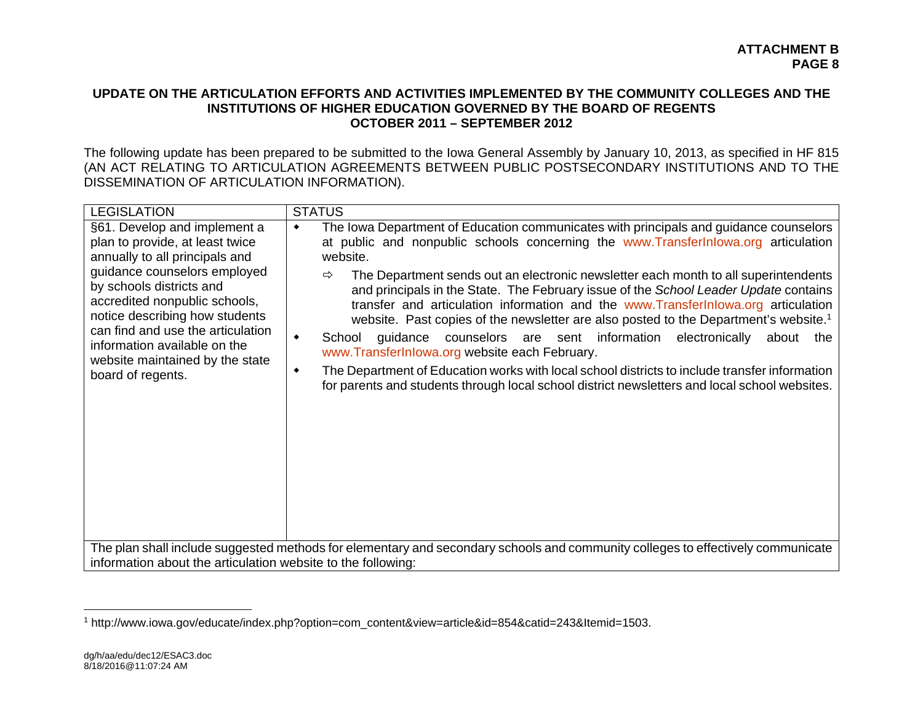## **UPDATE ON THE ARTICULATION EFFORTS AND ACTIVITIES IMPLEMENTED BY THE COMMUNITY COLLEGES AND THE INSTITUTIONS OF HIGHER EDUCATION GOVERNED BY THE BOARD OF REGENTS OCTOBER 2011 – SEPTEMBER 2012**

The following update has been prepared to be submitted to the Iowa General Assembly by January 10, 2013, as specified in HF 815 (AN ACT RELATING TO ARTICULATION AGREEMENTS BETWEEN PUBLIC POSTSECONDARY INSTITUTIONS AND TO THE DISSEMINATION OF ARTICULATION INFORMATION).

| <b>LEGISLATION</b>                                                                                                                                                                                                                                                                                                                                            | <b>STATUS</b>                                                                                                                                                                                                                                                                                                                                                                                                                                                                                                                                                                                                                                                                                                                                                                                                                                                                                                                    |
|---------------------------------------------------------------------------------------------------------------------------------------------------------------------------------------------------------------------------------------------------------------------------------------------------------------------------------------------------------------|----------------------------------------------------------------------------------------------------------------------------------------------------------------------------------------------------------------------------------------------------------------------------------------------------------------------------------------------------------------------------------------------------------------------------------------------------------------------------------------------------------------------------------------------------------------------------------------------------------------------------------------------------------------------------------------------------------------------------------------------------------------------------------------------------------------------------------------------------------------------------------------------------------------------------------|
| §61. Develop and implement a<br>plan to provide, at least twice<br>annually to all principals and<br>guidance counselors employed<br>by schools districts and<br>accredited nonpublic schools,<br>notice describing how students<br>can find and use the articulation<br>information available on the<br>website maintained by the state<br>board of regents. | The Iowa Department of Education communicates with principals and guidance counselors<br>at public and nonpublic schools concerning the www.Transfer Inlowa.org articulation<br>website.<br>The Department sends out an electronic newsletter each month to all superintendents<br>⇨<br>and principals in the State. The February issue of the School Leader Update contains<br>transfer and articulation information and the www.Transfer Inlowa.org articulation<br>website. Past copies of the newsletter are also posted to the Department's website. <sup>1</sup><br>guidance counselors are sent information electronically<br>School<br>$\bullet$<br>about<br>the<br>www.TransferInlowa.org website each February.<br>The Department of Education works with local school districts to include transfer information<br>٠<br>for parents and students through local school district newsletters and local school websites. |
| information about the articulation website to the following:                                                                                                                                                                                                                                                                                                  | The plan shall include suggested methods for elementary and secondary schools and community colleges to effectively communicate                                                                                                                                                                                                                                                                                                                                                                                                                                                                                                                                                                                                                                                                                                                                                                                                  |

<sup>1</sup> http://www.iowa.gov/educate/index.php?option=com\_content&view=article&id=854&catid=243&Itemid=1503.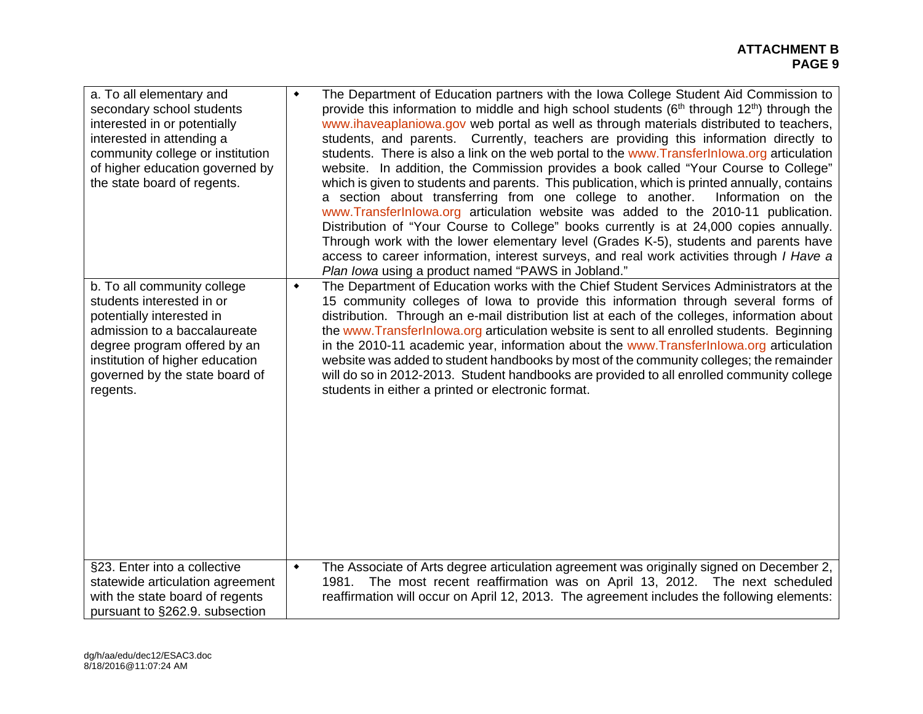| a. To all elementary and<br>secondary school students<br>interested in or potentially<br>interested in attending a<br>community college or institution<br>of higher education governed by<br>the state board of regents.               | ۰               | The Department of Education partners with the Iowa College Student Aid Commission to<br>provide this information to middle and high school students $(6th$ through 12 <sup>th</sup> ) through the<br>www.ihaveaplaniowa.gov web portal as well as through materials distributed to teachers,<br>students, and parents. Currently, teachers are providing this information directly to<br>students. There is also a link on the web portal to the www.TransferInlowa.org articulation<br>website. In addition, the Commission provides a book called "Your Course to College"<br>which is given to students and parents. This publication, which is printed annually, contains<br>a section about transferring from one college to another.<br>Information on the<br>www.TransferInlowa.org articulation website was added to the 2010-11 publication.<br>Distribution of "Your Course to College" books currently is at 24,000 copies annually.<br>Through work with the lower elementary level (Grades K-5), students and parents have<br>access to career information, interest surveys, and real work activities through I Have a<br>Plan lowa using a product named "PAWS in Jobland." |
|----------------------------------------------------------------------------------------------------------------------------------------------------------------------------------------------------------------------------------------|-----------------|--------------------------------------------------------------------------------------------------------------------------------------------------------------------------------------------------------------------------------------------------------------------------------------------------------------------------------------------------------------------------------------------------------------------------------------------------------------------------------------------------------------------------------------------------------------------------------------------------------------------------------------------------------------------------------------------------------------------------------------------------------------------------------------------------------------------------------------------------------------------------------------------------------------------------------------------------------------------------------------------------------------------------------------------------------------------------------------------------------------------------------------------------------------------------------------------|
| b. To all community college<br>students interested in or<br>potentially interested in<br>admission to a baccalaureate<br>degree program offered by an<br>institution of higher education<br>governed by the state board of<br>regents. | ۰               | The Department of Education works with the Chief Student Services Administrators at the<br>15 community colleges of lowa to provide this information through several forms of<br>distribution. Through an e-mail distribution list at each of the colleges, information about<br>the www.TransferInlowa.org articulation website is sent to all enrolled students. Beginning<br>in the 2010-11 academic year, information about the www. Transfer Inlowa.org articulation<br>website was added to student handbooks by most of the community colleges; the remainder<br>will do so in 2012-2013. Student handbooks are provided to all enrolled community college<br>students in either a printed or electronic format.                                                                                                                                                                                                                                                                                                                                                                                                                                                                    |
| §23. Enter into a collective<br>statewide articulation agreement<br>with the state board of regents<br>pursuant to §262.9. subsection                                                                                                  | $\blacklozenge$ | The Associate of Arts degree articulation agreement was originally signed on December 2,<br>1981. The most recent reaffirmation was on April 13, 2012. The next scheduled<br>reaffirmation will occur on April 12, 2013. The agreement includes the following elements:                                                                                                                                                                                                                                                                                                                                                                                                                                                                                                                                                                                                                                                                                                                                                                                                                                                                                                                    |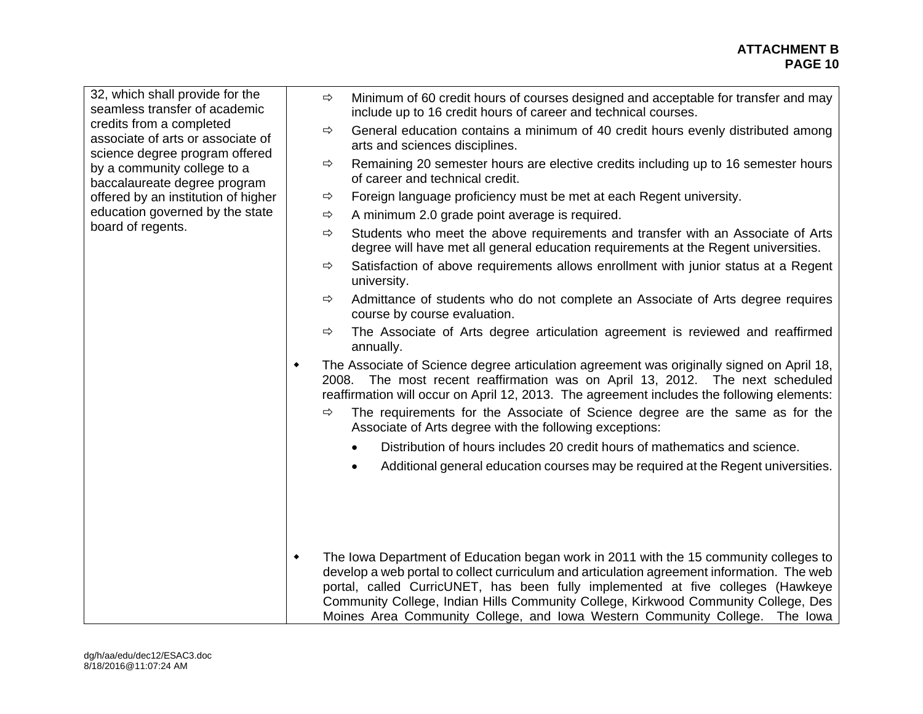| 32, which shall provide for the<br>seamless transfer of academic<br>credits from a completed<br>associate of arts or associate of | $\Rightarrow$ | Minimum of 60 credit hours of courses designed and acceptable for transfer and may<br>include up to 16 credit hours of career and technical courses.                                                                                                                                                                                                                                                                                        |
|-----------------------------------------------------------------------------------------------------------------------------------|---------------|---------------------------------------------------------------------------------------------------------------------------------------------------------------------------------------------------------------------------------------------------------------------------------------------------------------------------------------------------------------------------------------------------------------------------------------------|
|                                                                                                                                   | ⇨             | General education contains a minimum of 40 credit hours evenly distributed among<br>arts and sciences disciplines.                                                                                                                                                                                                                                                                                                                          |
| science degree program offered<br>by a community college to a<br>baccalaureate degree program                                     | $\Rightarrow$ | Remaining 20 semester hours are elective credits including up to 16 semester hours<br>of career and technical credit.                                                                                                                                                                                                                                                                                                                       |
| offered by an institution of higher<br>education governed by the state                                                            | ⇨<br>⇨        | Foreign language proficiency must be met at each Regent university.<br>A minimum 2.0 grade point average is required.                                                                                                                                                                                                                                                                                                                       |
| board of regents.                                                                                                                 | ⇨             | Students who meet the above requirements and transfer with an Associate of Arts<br>degree will have met all general education requirements at the Regent universities.                                                                                                                                                                                                                                                                      |
|                                                                                                                                   | ⇨             | Satisfaction of above requirements allows enrollment with junior status at a Regent<br>university.                                                                                                                                                                                                                                                                                                                                          |
|                                                                                                                                   | ⇨             | Admittance of students who do not complete an Associate of Arts degree requires<br>course by course evaluation.                                                                                                                                                                                                                                                                                                                             |
|                                                                                                                                   | ⇨             | The Associate of Arts degree articulation agreement is reviewed and reaffirmed<br>annually.                                                                                                                                                                                                                                                                                                                                                 |
|                                                                                                                                   | ٠             | The Associate of Science degree articulation agreement was originally signed on April 18,<br>2008. The most recent reaffirmation was on April 13, 2012. The next scheduled<br>reaffirmation will occur on April 12, 2013. The agreement includes the following elements:                                                                                                                                                                    |
|                                                                                                                                   | ⇨             | The requirements for the Associate of Science degree are the same as for the<br>Associate of Arts degree with the following exceptions:                                                                                                                                                                                                                                                                                                     |
|                                                                                                                                   |               | Distribution of hours includes 20 credit hours of mathematics and science.                                                                                                                                                                                                                                                                                                                                                                  |
|                                                                                                                                   |               | Additional general education courses may be required at the Regent universities.                                                                                                                                                                                                                                                                                                                                                            |
|                                                                                                                                   |               |                                                                                                                                                                                                                                                                                                                                                                                                                                             |
|                                                                                                                                   | ٠             | The Iowa Department of Education began work in 2011 with the 15 community colleges to<br>develop a web portal to collect curriculum and articulation agreement information. The web<br>portal, called CurricUNET, has been fully implemented at five colleges (Hawkeye<br>Community College, Indian Hills Community College, Kirkwood Community College, Des<br>Moines Area Community College, and Iowa Western Community College. The Iowa |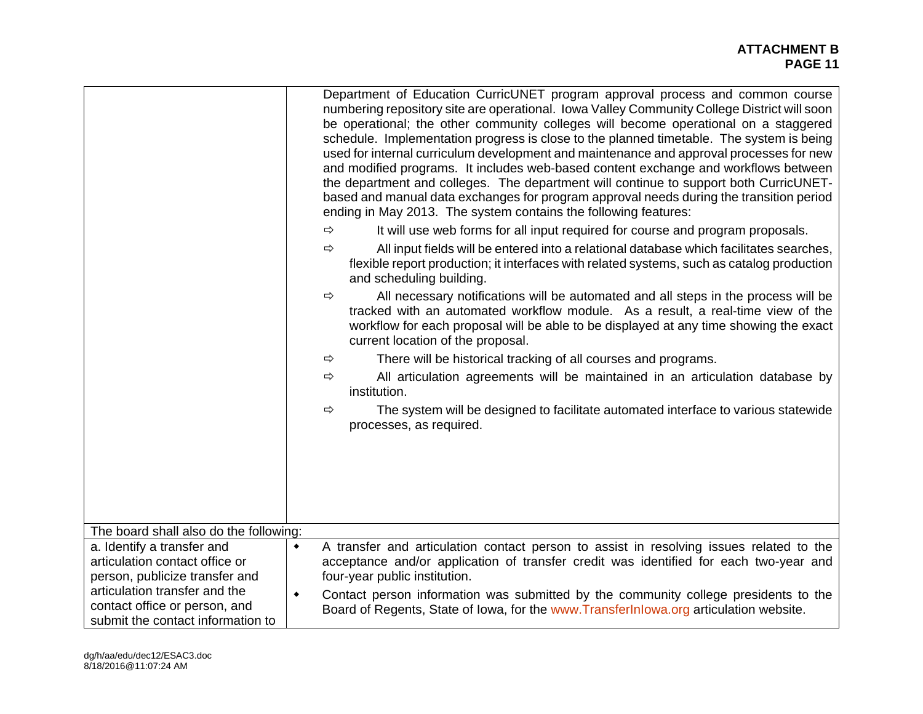|                                                                                                     | Department of Education CurricUNET program approval process and common course<br>numbering repository site are operational. Iowa Valley Community College District will soon<br>be operational; the other community colleges will become operational on a staggered<br>schedule. Implementation progress is close to the planned timetable. The system is being<br>used for internal curriculum development and maintenance and approval processes for new<br>and modified programs. It includes web-based content exchange and workflows between<br>the department and colleges. The department will continue to support both CurricUNET-<br>based and manual data exchanges for program approval needs during the transition period<br>ending in May 2013. The system contains the following features:<br>It will use web forms for all input required for course and program proposals.<br>⇨<br>All input fields will be entered into a relational database which facilitates searches,<br>⇨<br>flexible report production; it interfaces with related systems, such as catalog production<br>and scheduling building.<br>All necessary notifications will be automated and all steps in the process will be<br>$\Rightarrow$<br>tracked with an automated workflow module. As a result, a real-time view of the |
|-----------------------------------------------------------------------------------------------------|---------------------------------------------------------------------------------------------------------------------------------------------------------------------------------------------------------------------------------------------------------------------------------------------------------------------------------------------------------------------------------------------------------------------------------------------------------------------------------------------------------------------------------------------------------------------------------------------------------------------------------------------------------------------------------------------------------------------------------------------------------------------------------------------------------------------------------------------------------------------------------------------------------------------------------------------------------------------------------------------------------------------------------------------------------------------------------------------------------------------------------------------------------------------------------------------------------------------------------------------------------------------------------------------------------------------|
|                                                                                                     | workflow for each proposal will be able to be displayed at any time showing the exact<br>current location of the proposal.                                                                                                                                                                                                                                                                                                                                                                                                                                                                                                                                                                                                                                                                                                                                                                                                                                                                                                                                                                                                                                                                                                                                                                                          |
|                                                                                                     | There will be historical tracking of all courses and programs.<br>$\Rightarrow$                                                                                                                                                                                                                                                                                                                                                                                                                                                                                                                                                                                                                                                                                                                                                                                                                                                                                                                                                                                                                                                                                                                                                                                                                                     |
|                                                                                                     | All articulation agreements will be maintained in an articulation database by<br>$\Rightarrow$<br>institution.                                                                                                                                                                                                                                                                                                                                                                                                                                                                                                                                                                                                                                                                                                                                                                                                                                                                                                                                                                                                                                                                                                                                                                                                      |
|                                                                                                     | The system will be designed to facilitate automated interface to various statewide<br>$\Rightarrow$<br>processes, as required.                                                                                                                                                                                                                                                                                                                                                                                                                                                                                                                                                                                                                                                                                                                                                                                                                                                                                                                                                                                                                                                                                                                                                                                      |
|                                                                                                     |                                                                                                                                                                                                                                                                                                                                                                                                                                                                                                                                                                                                                                                                                                                                                                                                                                                                                                                                                                                                                                                                                                                                                                                                                                                                                                                     |
|                                                                                                     |                                                                                                                                                                                                                                                                                                                                                                                                                                                                                                                                                                                                                                                                                                                                                                                                                                                                                                                                                                                                                                                                                                                                                                                                                                                                                                                     |
|                                                                                                     |                                                                                                                                                                                                                                                                                                                                                                                                                                                                                                                                                                                                                                                                                                                                                                                                                                                                                                                                                                                                                                                                                                                                                                                                                                                                                                                     |
| The board shall also do the following:                                                              |                                                                                                                                                                                                                                                                                                                                                                                                                                                                                                                                                                                                                                                                                                                                                                                                                                                                                                                                                                                                                                                                                                                                                                                                                                                                                                                     |
| a. Identify a transfer and                                                                          | A transfer and articulation contact person to assist in resolving issues related to the<br>٠                                                                                                                                                                                                                                                                                                                                                                                                                                                                                                                                                                                                                                                                                                                                                                                                                                                                                                                                                                                                                                                                                                                                                                                                                        |
| articulation contact office or<br>person, publicize transfer and                                    | acceptance and/or application of transfer credit was identified for each two-year and<br>four-year public institution.                                                                                                                                                                                                                                                                                                                                                                                                                                                                                                                                                                                                                                                                                                                                                                                                                                                                                                                                                                                                                                                                                                                                                                                              |
| articulation transfer and the<br>contact office or person, and<br>submit the contact information to | Contact person information was submitted by the community college presidents to the<br>$\blacklozenge$<br>Board of Regents, State of Iowa, for the www.Transferlnlowa.org articulation website.                                                                                                                                                                                                                                                                                                                                                                                                                                                                                                                                                                                                                                                                                                                                                                                                                                                                                                                                                                                                                                                                                                                     |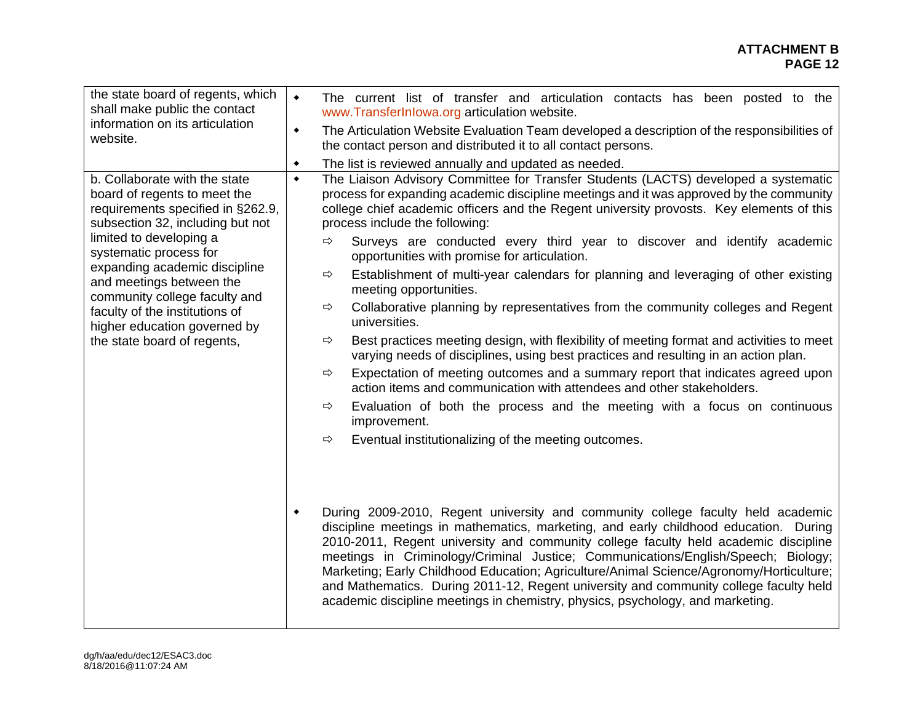| the state board of regents, which<br>shall make public the contact<br>information on its articulation<br>website.<br>b. Collaborate with the state                                                                                                                                                                                                        | $\blacklozenge$<br>The current list of transfer and articulation contacts has been posted to the<br>www.TransferInlowa.org articulation website.<br>The Articulation Website Evaluation Team developed a description of the responsibilities of<br>٠<br>the contact person and distributed it to all contact persons.<br>The list is reviewed annually and updated as needed.<br>٠<br>The Liaison Advisory Committee for Transfer Students (LACTS) developed a systematic<br>$\blacklozenge$                                                                                                                                                                                                                                                                                                                                                                                                                                                                                                                                                                                                                                                                                                                                                                                                                                                                                                                                                                                                                                                                                                                                                                                                                                                                                                     |
|-----------------------------------------------------------------------------------------------------------------------------------------------------------------------------------------------------------------------------------------------------------------------------------------------------------------------------------------------------------|--------------------------------------------------------------------------------------------------------------------------------------------------------------------------------------------------------------------------------------------------------------------------------------------------------------------------------------------------------------------------------------------------------------------------------------------------------------------------------------------------------------------------------------------------------------------------------------------------------------------------------------------------------------------------------------------------------------------------------------------------------------------------------------------------------------------------------------------------------------------------------------------------------------------------------------------------------------------------------------------------------------------------------------------------------------------------------------------------------------------------------------------------------------------------------------------------------------------------------------------------------------------------------------------------------------------------------------------------------------------------------------------------------------------------------------------------------------------------------------------------------------------------------------------------------------------------------------------------------------------------------------------------------------------------------------------------------------------------------------------------------------------------------------------------|
| board of regents to meet the<br>requirements specified in §262.9,<br>subsection 32, including but not<br>limited to developing a<br>systematic process for<br>expanding academic discipline<br>and meetings between the<br>community college faculty and<br>faculty of the institutions of<br>higher education governed by<br>the state board of regents, | process for expanding academic discipline meetings and it was approved by the community<br>college chief academic officers and the Regent university provosts. Key elements of this<br>process include the following:<br>$\Rightarrow$<br>Surveys are conducted every third year to discover and identify academic<br>opportunities with promise for articulation.<br>Establishment of multi-year calendars for planning and leveraging of other existing<br>⇨<br>meeting opportunities.<br>Collaborative planning by representatives from the community colleges and Regent<br>$\Rightarrow$<br>universities.<br>Best practices meeting design, with flexibility of meeting format and activities to meet<br>$\Rightarrow$<br>varying needs of disciplines, using best practices and resulting in an action plan.<br>Expectation of meeting outcomes and a summary report that indicates agreed upon<br>⇨<br>action items and communication with attendees and other stakeholders.<br>Evaluation of both the process and the meeting with a focus on continuous<br>⇨<br>improvement.<br>Eventual institutionalizing of the meeting outcomes.<br>$\Rightarrow$<br>During 2009-2010, Regent university and community college faculty held academic<br>۰<br>discipline meetings in mathematics, marketing, and early childhood education. During<br>2010-2011, Regent university and community college faculty held academic discipline<br>meetings in Criminology/Criminal Justice; Communications/English/Speech; Biology;<br>Marketing; Early Childhood Education; Agriculture/Animal Science/Agronomy/Horticulture;<br>and Mathematics. During 2011-12, Regent university and community college faculty held<br>academic discipline meetings in chemistry, physics, psychology, and marketing. |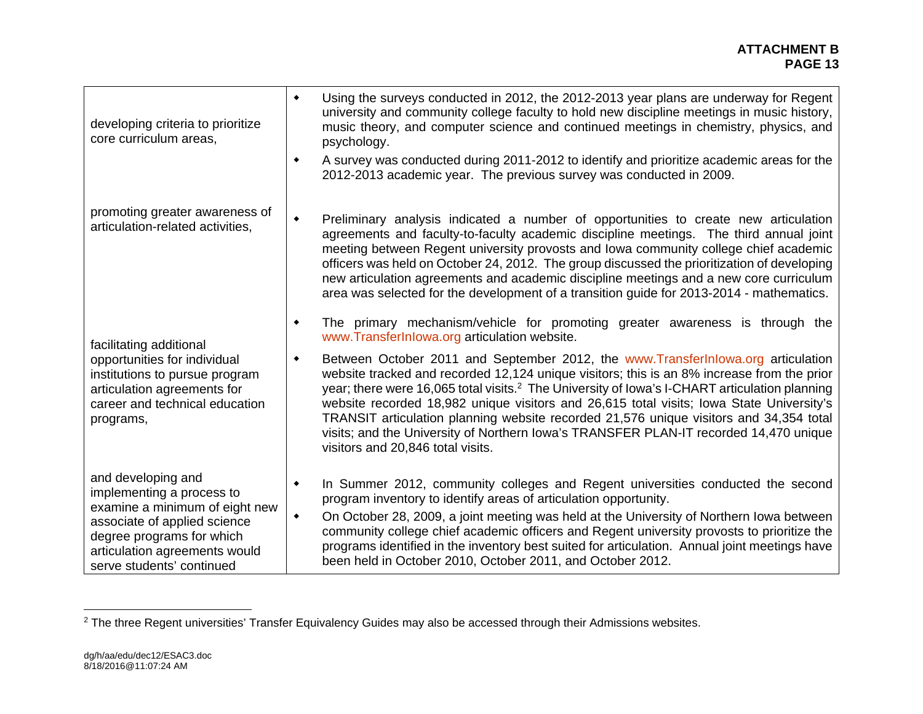#### **ATTACHMENT B PAGE 13 PAGE 13**

| developing criteria to prioritize<br>core curriculum areas,                                                                                                                                                  | Using the surveys conducted in 2012, the 2012-2013 year plans are underway for Regent<br>٠<br>university and community college faculty to hold new discipline meetings in music history,<br>music theory, and computer science and continued meetings in chemistry, physics, and<br>psychology.                                                                                                                                                                                                                                                                                                                       |
|--------------------------------------------------------------------------------------------------------------------------------------------------------------------------------------------------------------|-----------------------------------------------------------------------------------------------------------------------------------------------------------------------------------------------------------------------------------------------------------------------------------------------------------------------------------------------------------------------------------------------------------------------------------------------------------------------------------------------------------------------------------------------------------------------------------------------------------------------|
|                                                                                                                                                                                                              | A survey was conducted during 2011-2012 to identify and prioritize academic areas for the<br>۰<br>2012-2013 academic year. The previous survey was conducted in 2009.                                                                                                                                                                                                                                                                                                                                                                                                                                                 |
| promoting greater awareness of<br>articulation-related activities,                                                                                                                                           | Preliminary analysis indicated a number of opportunities to create new articulation<br>$\blacklozenge$<br>agreements and faculty-to-faculty academic discipline meetings. The third annual joint<br>meeting between Regent university provosts and lowa community college chief academic<br>officers was held on October 24, 2012. The group discussed the prioritization of developing<br>new articulation agreements and academic discipline meetings and a new core curriculum<br>area was selected for the development of a transition guide for 2013-2014 - mathematics.                                         |
| facilitating additional                                                                                                                                                                                      | The primary mechanism/vehicle for promoting greater awareness is through the<br>٠<br>www.TransferInlowa.org articulation website.                                                                                                                                                                                                                                                                                                                                                                                                                                                                                     |
| opportunities for individual<br>institutions to pursue program<br>articulation agreements for<br>career and technical education<br>programs,                                                                 | Between October 2011 and September 2012, the www.Transfer Inlowa.org articulation<br>٠<br>website tracked and recorded 12,124 unique visitors; this is an 8% increase from the prior<br>year; there were 16,065 total visits. <sup>2</sup> The University of Iowa's I-CHART articulation planning<br>website recorded 18,982 unique visitors and 26,615 total visits; lowa State University's<br>TRANSIT articulation planning website recorded 21,576 unique visitors and 34,354 total<br>visits; and the University of Northern Iowa's TRANSFER PLAN-IT recorded 14,470 unique<br>visitors and 20,846 total visits. |
| and developing and<br>implementing a process to<br>examine a minimum of eight new<br>associate of applied science<br>degree programs for which<br>articulation agreements would<br>serve students' continued | In Summer 2012, community colleges and Regent universities conducted the second<br>٠<br>program inventory to identify areas of articulation opportunity.<br>On October 28, 2009, a joint meeting was held at the University of Northern lowa between<br>٠<br>community college chief academic officers and Regent university provosts to prioritize the<br>programs identified in the inventory best suited for articulation. Annual joint meetings have<br>been held in October 2010, October 2011, and October 2012.                                                                                                |

<sup>&</sup>lt;sup>2</sup> The three Regent universities' Transfer Equivalency Guides may also be accessed through their Admissions websites.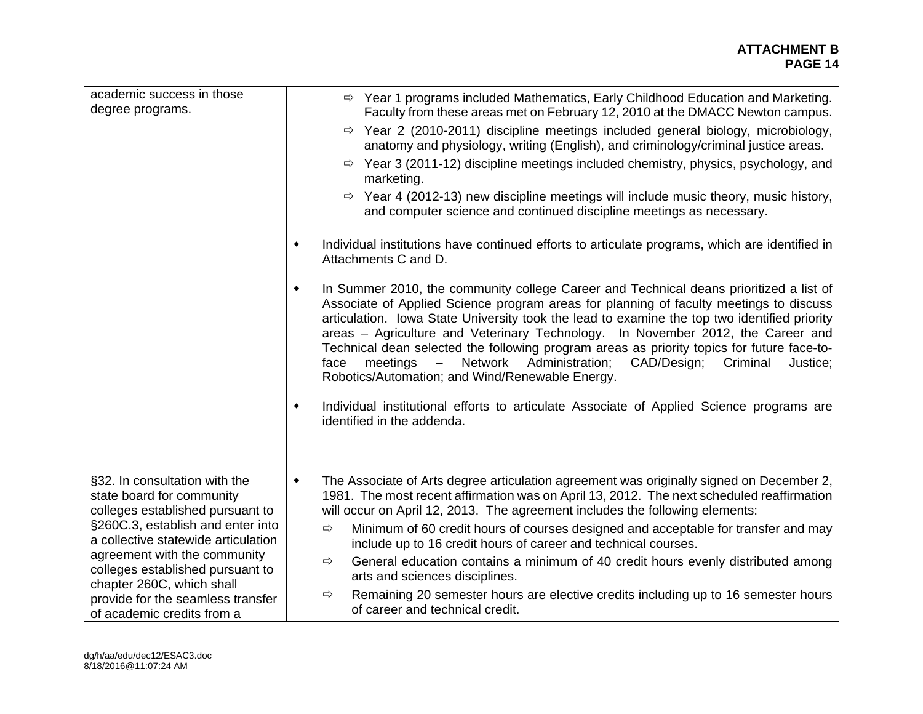#### **ATTACHMENT B PAGE 14 PAGE 14**

| academic success in those<br>degree programs.                                                  | $\Rightarrow$ Year 1 programs included Mathematics, Early Childhood Education and Marketing.<br>Faculty from these areas met on February 12, 2010 at the DMACC Newton campus.<br>$\Rightarrow$ Year 2 (2010-2011) discipline meetings included general biology, microbiology,<br>anatomy and physiology, writing (English), and criminology/criminal justice areas.<br>$\Rightarrow$ Year 3 (2011-12) discipline meetings included chemistry, physics, psychology, and<br>marketing.<br>$\Rightarrow$ Year 4 (2012-13) new discipline meetings will include music theory, music history,<br>and computer science and continued discipline meetings as necessary.                                                                                    |
|------------------------------------------------------------------------------------------------|-----------------------------------------------------------------------------------------------------------------------------------------------------------------------------------------------------------------------------------------------------------------------------------------------------------------------------------------------------------------------------------------------------------------------------------------------------------------------------------------------------------------------------------------------------------------------------------------------------------------------------------------------------------------------------------------------------------------------------------------------------|
|                                                                                                | Individual institutions have continued efforts to articulate programs, which are identified in<br>٠<br>Attachments C and D.                                                                                                                                                                                                                                                                                                                                                                                                                                                                                                                                                                                                                         |
|                                                                                                | In Summer 2010, the community college Career and Technical deans prioritized a list of<br>٠<br>Associate of Applied Science program areas for planning of faculty meetings to discuss<br>articulation. Iowa State University took the lead to examine the top two identified priority<br>areas - Agriculture and Veterinary Technology. In November 2012, the Career and<br>Technical dean selected the following program areas as priority topics for future face-to-<br>- Network<br>Administration;<br>CAD/Design;<br>meetings<br>Criminal<br>Justice;<br>face<br>Robotics/Automation; and Wind/Renewable Energy.<br>Individual institutional efforts to articulate Associate of Applied Science programs are<br>۰<br>identified in the addenda. |
| §32. In consultation with the<br>state board for community<br>colleges established pursuant to | The Associate of Arts degree articulation agreement was originally signed on December 2,<br>$\blacklozenge$<br>1981. The most recent affirmation was on April 13, 2012. The next scheduled reaffirmation<br>will occur on April 12, 2013. The agreement includes the following elements:                                                                                                                                                                                                                                                                                                                                                                                                                                                            |
| §260C.3, establish and enter into<br>a collective statewide articulation                       | Minimum of 60 credit hours of courses designed and acceptable for transfer and may<br>$\Rightarrow$<br>include up to 16 credit hours of career and technical courses.                                                                                                                                                                                                                                                                                                                                                                                                                                                                                                                                                                               |
| agreement with the community<br>colleges established pursuant to                               | General education contains a minimum of 40 credit hours evenly distributed among<br>⇨<br>arts and sciences disciplines.                                                                                                                                                                                                                                                                                                                                                                                                                                                                                                                                                                                                                             |
| chapter 260C, which shall<br>provide for the seamless transfer<br>of academic credits from a   | Remaining 20 semester hours are elective credits including up to 16 semester hours<br>⇨<br>of career and technical credit.                                                                                                                                                                                                                                                                                                                                                                                                                                                                                                                                                                                                                          |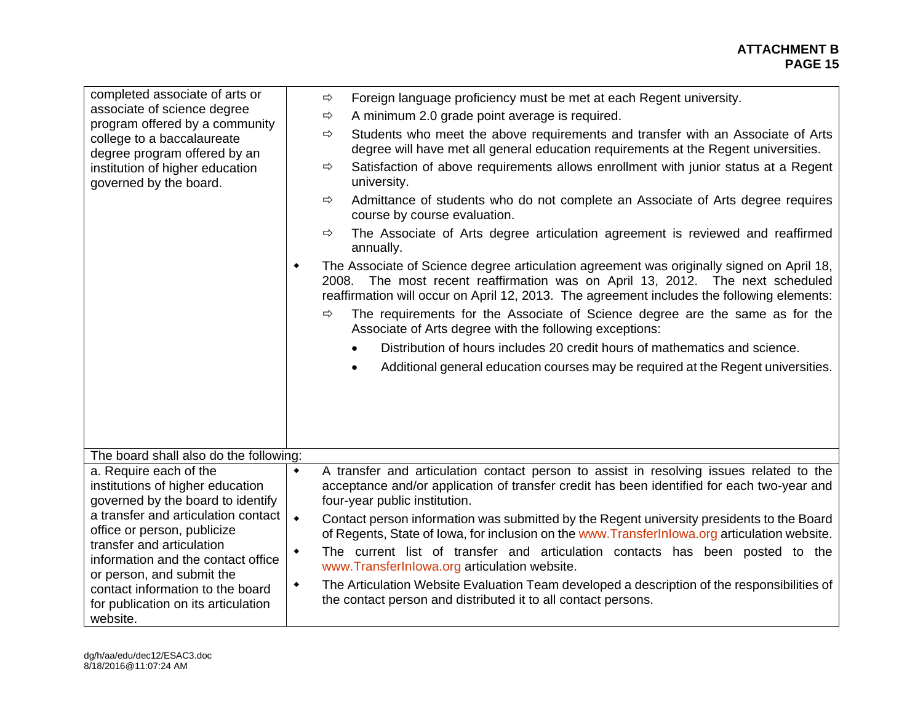| completed associate of arts or<br>associate of science degree<br>program offered by a community<br>college to a baccalaureate<br>degree program offered by an<br>institution of higher education<br>governed by the board.                                                                                                                                   | ⇨<br>Foreign language proficiency must be met at each Regent university.<br>A minimum 2.0 grade point average is required.<br>⇨<br>Students who meet the above requirements and transfer with an Associate of Arts<br>⇨<br>degree will have met all general education requirements at the Regent universities.<br>Satisfaction of above requirements allows enrollment with junior status at a Regent<br>⇨<br>university.<br>Admittance of students who do not complete an Associate of Arts degree requires<br>⇨<br>course by course evaluation.<br>The Associate of Arts degree articulation agreement is reviewed and reaffirmed<br>⇨<br>annually.<br>The Associate of Science degree articulation agreement was originally signed on April 18,<br>٠<br>2008. The most recent reaffirmation was on April 13, 2012. The next scheduled<br>reaffirmation will occur on April 12, 2013. The agreement includes the following elements:<br>The requirements for the Associate of Science degree are the same as for the<br>⇨<br>Associate of Arts degree with the following exceptions:<br>Distribution of hours includes 20 credit hours of mathematics and science.<br>Additional general education courses may be required at the Regent universities. |
|--------------------------------------------------------------------------------------------------------------------------------------------------------------------------------------------------------------------------------------------------------------------------------------------------------------------------------------------------------------|----------------------------------------------------------------------------------------------------------------------------------------------------------------------------------------------------------------------------------------------------------------------------------------------------------------------------------------------------------------------------------------------------------------------------------------------------------------------------------------------------------------------------------------------------------------------------------------------------------------------------------------------------------------------------------------------------------------------------------------------------------------------------------------------------------------------------------------------------------------------------------------------------------------------------------------------------------------------------------------------------------------------------------------------------------------------------------------------------------------------------------------------------------------------------------------------------------------------------------------------------------|
| The board shall also do the following:                                                                                                                                                                                                                                                                                                                       |                                                                                                                                                                                                                                                                                                                                                                                                                                                                                                                                                                                                                                                                                                                                                                                                                                                                                                                                                                                                                                                                                                                                                                                                                                                          |
| a. Require each of the<br>institutions of higher education<br>governed by the board to identify<br>a transfer and articulation contact<br>office or person, publicize<br>transfer and articulation<br>information and the contact office<br>or person, and submit the<br>contact information to the board<br>for publication on its articulation<br>website. | A transfer and articulation contact person to assist in resolving issues related to the<br>$\blacklozenge$<br>acceptance and/or application of transfer credit has been identified for each two-year and<br>four-year public institution.<br>$\bullet$<br>Contact person information was submitted by the Regent university presidents to the Board<br>of Regents, State of Iowa, for inclusion on the www.TransferInlowa.org articulation website.<br>The current list of transfer and articulation contacts has been posted to the<br>$\blacklozenge$<br>www.TransferInlowa.org articulation website.<br>The Articulation Website Evaluation Team developed a description of the responsibilities of<br>٠<br>the contact person and distributed it to all contact persons.                                                                                                                                                                                                                                                                                                                                                                                                                                                                             |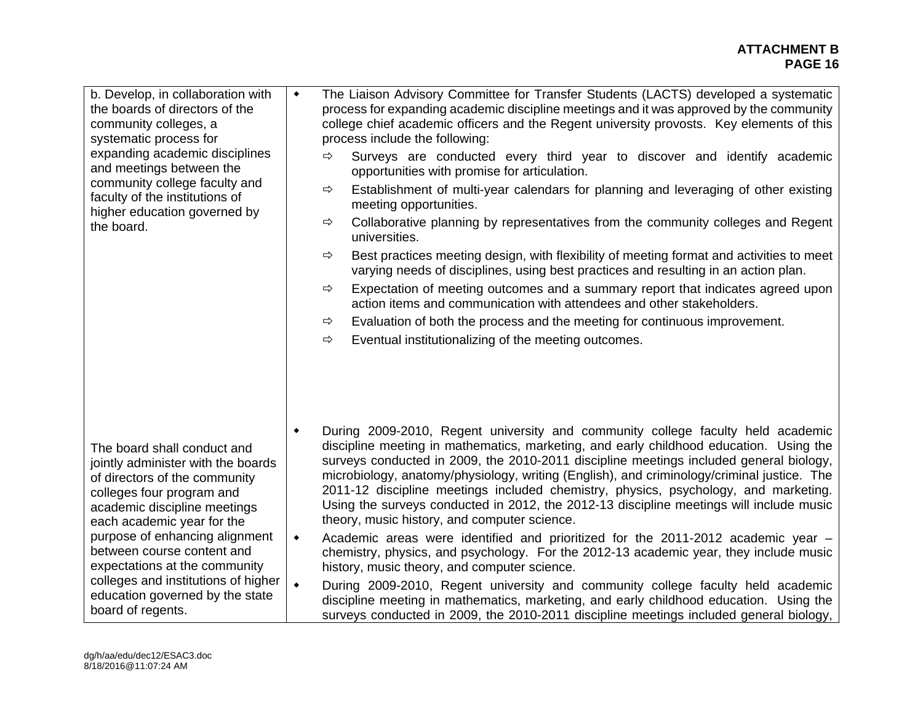#### **ATTACHMENT B PAGE 16 PAGE 16**

| b. Develop, in collaboration with<br>the boards of directors of the<br>community colleges, a<br>systematic process for<br>expanding academic disciplines<br>and meetings between the<br>community college faculty and<br>faculty of the institutions of<br>higher education governed by<br>the board.                                 | $\blacklozenge$      | The Liaison Advisory Committee for Transfer Students (LACTS) developed a systematic<br>process for expanding academic discipline meetings and it was approved by the community<br>college chief academic officers and the Regent university provosts. Key elements of this<br>process include the following:<br>Surveys are conducted every third year to discover and identify academic<br>$\Rightarrow$<br>opportunities with promise for articulation.<br>Establishment of multi-year calendars for planning and leveraging of other existing<br>⇨<br>meeting opportunities.<br>Collaborative planning by representatives from the community colleges and Regent<br>⇨<br>universities.<br>Best practices meeting design, with flexibility of meeting format and activities to meet<br>⇨<br>varying needs of disciplines, using best practices and resulting in an action plan.<br>Expectation of meeting outcomes and a summary report that indicates agreed upon<br>⇨<br>action items and communication with attendees and other stakeholders.<br>Evaluation of both the process and the meeting for continuous improvement.<br>⇨<br>Eventual institutionalizing of the meeting outcomes.<br>$\Rightarrow$ |
|---------------------------------------------------------------------------------------------------------------------------------------------------------------------------------------------------------------------------------------------------------------------------------------------------------------------------------------|----------------------|----------------------------------------------------------------------------------------------------------------------------------------------------------------------------------------------------------------------------------------------------------------------------------------------------------------------------------------------------------------------------------------------------------------------------------------------------------------------------------------------------------------------------------------------------------------------------------------------------------------------------------------------------------------------------------------------------------------------------------------------------------------------------------------------------------------------------------------------------------------------------------------------------------------------------------------------------------------------------------------------------------------------------------------------------------------------------------------------------------------------------------------------------------------------------------------------------------------|
| The board shall conduct and<br>jointly administer with the boards<br>of directors of the community<br>colleges four program and<br>academic discipline meetings<br>each academic year for the<br>purpose of enhancing alignment<br>between course content and<br>expectations at the community<br>colleges and institutions of higher | ٠<br>$\blacklozenge$ | During 2009-2010, Regent university and community college faculty held academic<br>discipline meeting in mathematics, marketing, and early childhood education. Using the<br>surveys conducted in 2009, the 2010-2011 discipline meetings included general biology,<br>microbiology, anatomy/physiology, writing (English), and criminology/criminal justice. The<br>2011-12 discipline meetings included chemistry, physics, psychology, and marketing.<br>Using the surveys conducted in 2012, the 2012-13 discipline meetings will include music<br>theory, music history, and computer science.<br>Academic areas were identified and prioritized for the 2011-2012 academic year -                                                                                                                                                                                                                                                                                                                                                                                                                                                                                                                        |
|                                                                                                                                                                                                                                                                                                                                       | $\blacklozenge$      | chemistry, physics, and psychology. For the 2012-13 academic year, they include music<br>history, music theory, and computer science.<br>During 2009-2010, Regent university and community college faculty held academic                                                                                                                                                                                                                                                                                                                                                                                                                                                                                                                                                                                                                                                                                                                                                                                                                                                                                                                                                                                       |
| education governed by the state<br>board of regents.                                                                                                                                                                                                                                                                                  |                      | discipline meeting in mathematics, marketing, and early childhood education. Using the<br>surveys conducted in 2009, the 2010-2011 discipline meetings included general biology,                                                                                                                                                                                                                                                                                                                                                                                                                                                                                                                                                                                                                                                                                                                                                                                                                                                                                                                                                                                                                               |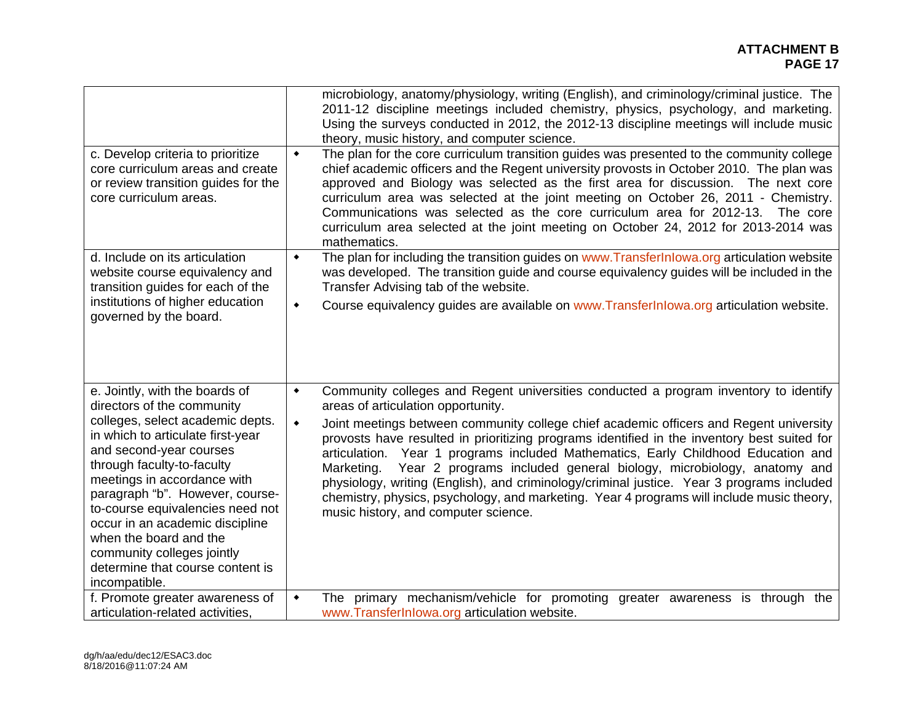#### **ATTACHMENT B PAGE 17 PAGE 17**

| c. Develop criteria to prioritize<br>core curriculum areas and create<br>or review transition guides for the<br>core curriculum areas.                                                                                                                                                                                                                                                                                              | microbiology, anatomy/physiology, writing (English), and criminology/criminal justice. The<br>2011-12 discipline meetings included chemistry, physics, psychology, and marketing.<br>Using the surveys conducted in 2012, the 2012-13 discipline meetings will include music<br>theory, music history, and computer science.<br>The plan for the core curriculum transition guides was presented to the community college<br>$\blacklozenge$<br>chief academic officers and the Regent university provosts in October 2010. The plan was<br>approved and Biology was selected as the first area for discussion. The next core<br>curriculum area was selected at the joint meeting on October 26, 2011 - Chemistry.<br>Communications was selected as the core curriculum area for 2012-13. The core<br>curriculum area selected at the joint meeting on October 24, 2012 for 2013-2014 was<br>mathematics. |
|-------------------------------------------------------------------------------------------------------------------------------------------------------------------------------------------------------------------------------------------------------------------------------------------------------------------------------------------------------------------------------------------------------------------------------------|-------------------------------------------------------------------------------------------------------------------------------------------------------------------------------------------------------------------------------------------------------------------------------------------------------------------------------------------------------------------------------------------------------------------------------------------------------------------------------------------------------------------------------------------------------------------------------------------------------------------------------------------------------------------------------------------------------------------------------------------------------------------------------------------------------------------------------------------------------------------------------------------------------------|
| d. Include on its articulation<br>website course equivalency and<br>transition guides for each of the<br>institutions of higher education<br>governed by the board.                                                                                                                                                                                                                                                                 | The plan for including the transition guides on www.TransferInlowa.org articulation website<br>$\blacklozenge$<br>was developed. The transition guide and course equivalency guides will be included in the<br>Transfer Advising tab of the website.<br>Course equivalency guides are available on www.TransferInlowa.org articulation website.<br>$\blacklozenge$                                                                                                                                                                                                                                                                                                                                                                                                                                                                                                                                          |
| e. Jointly, with the boards of<br>directors of the community<br>colleges, select academic depts.<br>in which to articulate first-year<br>and second-year courses<br>through faculty-to-faculty<br>meetings in accordance with<br>paragraph "b". However, course-<br>to-course equivalencies need not<br>occur in an academic discipline<br>when the board and the<br>community colleges jointly<br>determine that course content is | Community colleges and Regent universities conducted a program inventory to identify<br>$\blacklozenge$<br>areas of articulation opportunity.<br>Joint meetings between community college chief academic officers and Regent university<br>$\blacklozenge$<br>provosts have resulted in prioritizing programs identified in the inventory best suited for<br>articulation. Year 1 programs included Mathematics, Early Childhood Education and<br>Year 2 programs included general biology, microbiology, anatomy and<br>Marketing.<br>physiology, writing (English), and criminology/criminal justice. Year 3 programs included<br>chemistry, physics, psychology, and marketing. Year 4 programs will include music theory,<br>music history, and computer science.                                                                                                                                       |
| incompatible.<br>f. Promote greater awareness of<br>articulation-related activities.                                                                                                                                                                                                                                                                                                                                                | The primary mechanism/vehicle for promoting greater awareness is through the<br>$\blacklozenge$<br>www.TransferInlowa.org articulation website.                                                                                                                                                                                                                                                                                                                                                                                                                                                                                                                                                                                                                                                                                                                                                             |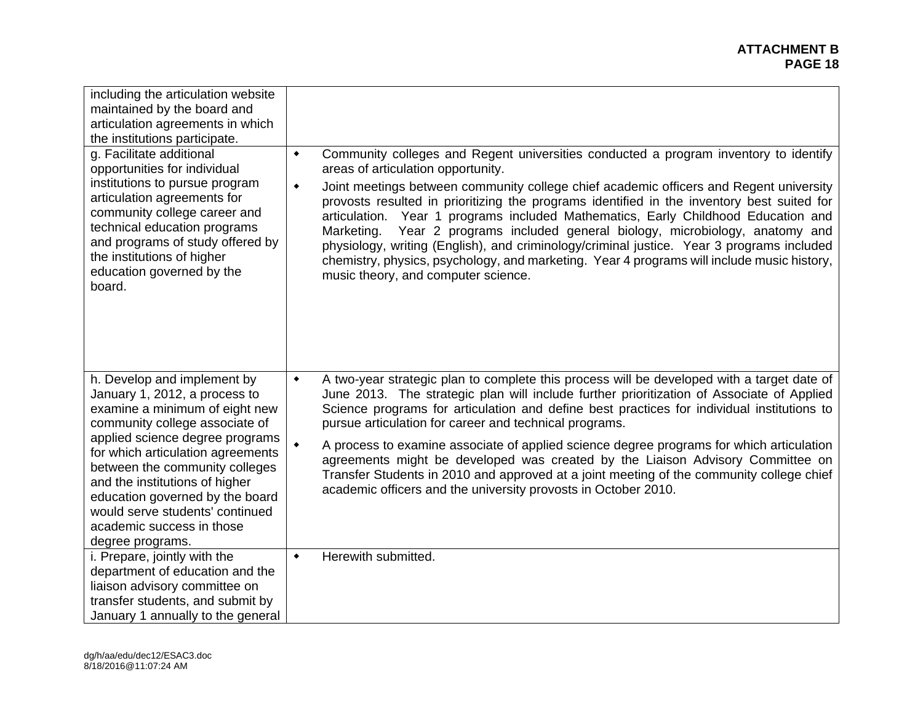| including the articulation website<br>maintained by the board and<br>articulation agreements in which<br>the institutions participate.<br>g. Facilitate additional<br>opportunities for individual<br>institutions to pursue program<br>articulation agreements for<br>community college career and<br>technical education programs<br>and programs of study offered by<br>the institutions of higher<br>education governed by the<br>board. | Community colleges and Regent universities conducted a program inventory to identify<br>٠<br>areas of articulation opportunity.<br>Joint meetings between community college chief academic officers and Regent university<br>٠<br>provosts resulted in prioritizing the programs identified in the inventory best suited for<br>articulation. Year 1 programs included Mathematics, Early Childhood Education and<br>Year 2 programs included general biology, microbiology, anatomy and<br>Marketing.<br>physiology, writing (English), and criminology/criminal justice. Year 3 programs included<br>chemistry, physics, psychology, and marketing. Year 4 programs will include music history,<br>music theory, and computer science. |
|----------------------------------------------------------------------------------------------------------------------------------------------------------------------------------------------------------------------------------------------------------------------------------------------------------------------------------------------------------------------------------------------------------------------------------------------|------------------------------------------------------------------------------------------------------------------------------------------------------------------------------------------------------------------------------------------------------------------------------------------------------------------------------------------------------------------------------------------------------------------------------------------------------------------------------------------------------------------------------------------------------------------------------------------------------------------------------------------------------------------------------------------------------------------------------------------|
| h. Develop and implement by<br>January 1, 2012, a process to<br>examine a minimum of eight new<br>community college associate of<br>applied science degree programs<br>for which articulation agreements<br>between the community colleges<br>and the institutions of higher<br>education governed by the board<br>would serve students' continued<br>academic success in those<br>degree programs.                                          | A two-year strategic plan to complete this process will be developed with a target date of<br>٠<br>June 2013. The strategic plan will include further prioritization of Associate of Applied<br>Science programs for articulation and define best practices for individual institutions to<br>pursue articulation for career and technical programs.<br>A process to examine associate of applied science degree programs for which articulation<br>agreements might be developed was created by the Liaison Advisory Committee on<br>Transfer Students in 2010 and approved at a joint meeting of the community college chief<br>academic officers and the university provosts in October 2010.                                         |
| i. Prepare, jointly with the<br>department of education and the<br>liaison advisory committee on<br>transfer students, and submit by<br>January 1 annually to the general                                                                                                                                                                                                                                                                    | Herewith submitted.<br>$\bullet$                                                                                                                                                                                                                                                                                                                                                                                                                                                                                                                                                                                                                                                                                                         |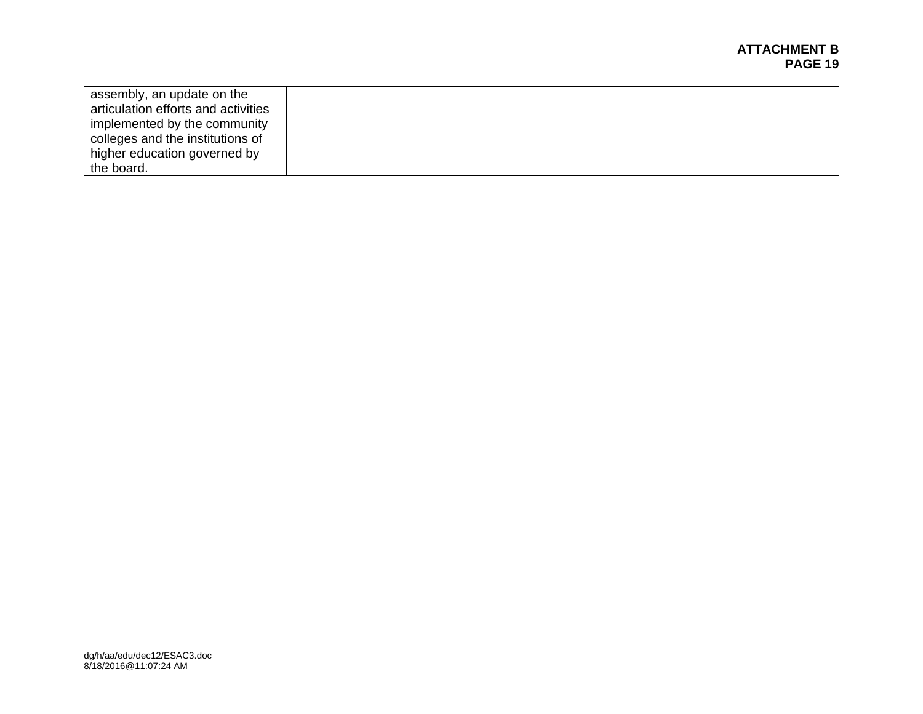| assembly, an update on the          |  |
|-------------------------------------|--|
| articulation efforts and activities |  |
| implemented by the community        |  |
| colleges and the institutions of    |  |
| higher education governed by        |  |
| the board.                          |  |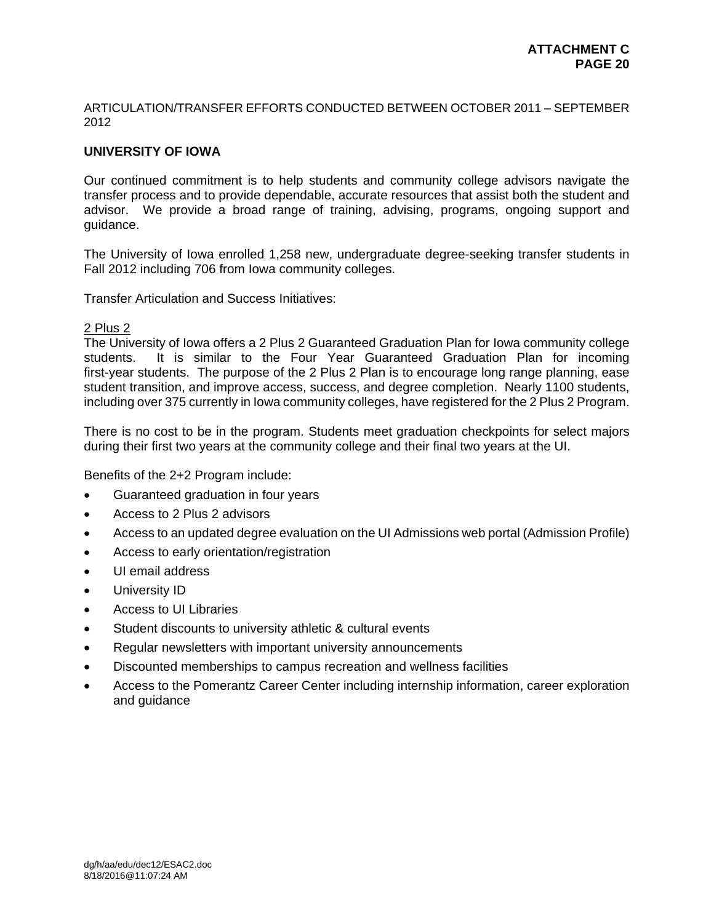ARTICULATION/TRANSFER EFFORTS CONDUCTED BETWEEN OCTOBER 2011 – SEPTEMBER 2012

## **UNIVERSITY OF IOWA**

Our continued commitment is to help students and community college advisors navigate the transfer process and to provide dependable, accurate resources that assist both the student and advisor. We provide a broad range of training, advising, programs, ongoing support and guidance.

The University of Iowa enrolled 1,258 new, undergraduate degree-seeking transfer students in Fall 2012 including 706 from Iowa community colleges.

Transfer Articulation and Success Initiatives:

## 2 Plus 2

The University of Iowa offers a 2 Plus 2 Guaranteed Graduation Plan for Iowa community college students. It is similar to the Four Year Guaranteed Graduation Plan for incoming first-year students. The purpose of the 2 Plus 2 Plan is to encourage long range planning, ease student transition, and improve access, success, and degree completion. Nearly 1100 students, including over 375 currently in Iowa community colleges, have registered for the 2 Plus 2 Program.

There is no cost to be in the program. Students meet graduation checkpoints for select majors during their first two years at the community college and their final two years at the UI.

Benefits of the 2+2 Program include:

- Guaranteed graduation in four years
- Access to 2 Plus 2 advisors
- Access to an updated degree evaluation on the UI Admissions web portal (Admission Profile)
- Access to early orientation/registration
- UI email address
- University ID
- Access to UI Libraries
- Student discounts to university athletic & cultural events
- Regular newsletters with important university announcements
- Discounted memberships to campus recreation and wellness facilities
- Access to the Pomerantz Career Center including internship information, career exploration and guidance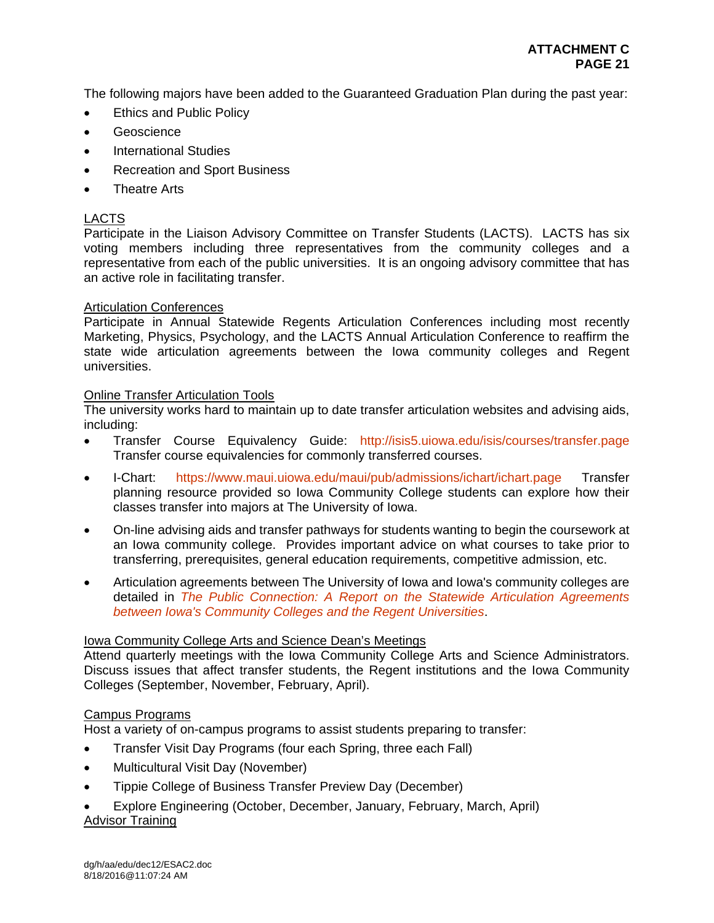The following majors have been added to the Guaranteed Graduation Plan during the past year:

- Ethics and Public Policy
- Geoscience
- International Studies
- Recreation and Sport Business
- Theatre Arts

# LACTS

Participate in the Liaison Advisory Committee on Transfer Students (LACTS). LACTS has six voting members including three representatives from the community colleges and a representative from each of the public universities. It is an ongoing advisory committee that has an active role in facilitating transfer.

# Articulation Conferences

Participate in Annual Statewide Regents Articulation Conferences including most recently Marketing, Physics, Psychology, and the LACTS Annual Articulation Conference to reaffirm the state wide articulation agreements between the Iowa community colleges and Regent universities.

# Online Transfer Articulation Tools

The university works hard to maintain up to date transfer articulation websites and advising aids, including:

- Transfer Course Equivalency Guide: http://isis5.uiowa.edu/isis/courses/transfer.page Transfer course equivalencies for commonly transferred courses.
- I-Chart: https://www.maui.uiowa.edu/maui/pub/admissions/ichart/ichart.page Transfer planning resource provided so Iowa Community College students can explore how their classes transfer into majors at The University of Iowa.
- On-line advising aids and transfer pathways for students wanting to begin the coursework at an Iowa community college. Provides important advice on what courses to take prior to transferring, prerequisites, general education requirements, competitive admission, etc.
- Articulation agreements between The University of Iowa and Iowa's community colleges are detailed in *The Public Connection: A Report on the Statewide Articulation Agreements between Iowa's Community Colleges and the Regent Universities*.

# Iowa Community College Arts and Science Dean's Meetings

Attend quarterly meetings with the Iowa Community College Arts and Science Administrators. Discuss issues that affect transfer students, the Regent institutions and the Iowa Community Colleges (September, November, February, April).

# Campus Programs

Host a variety of on-campus programs to assist students preparing to transfer:

- **•** Transfer Visit Day Programs (four each Spring, three each Fall)
- Multicultural Visit Day (November)
- Tippie College of Business Transfer Preview Day (December)
- Explore Engineering (October, December, January, February, March, April) Advisor Training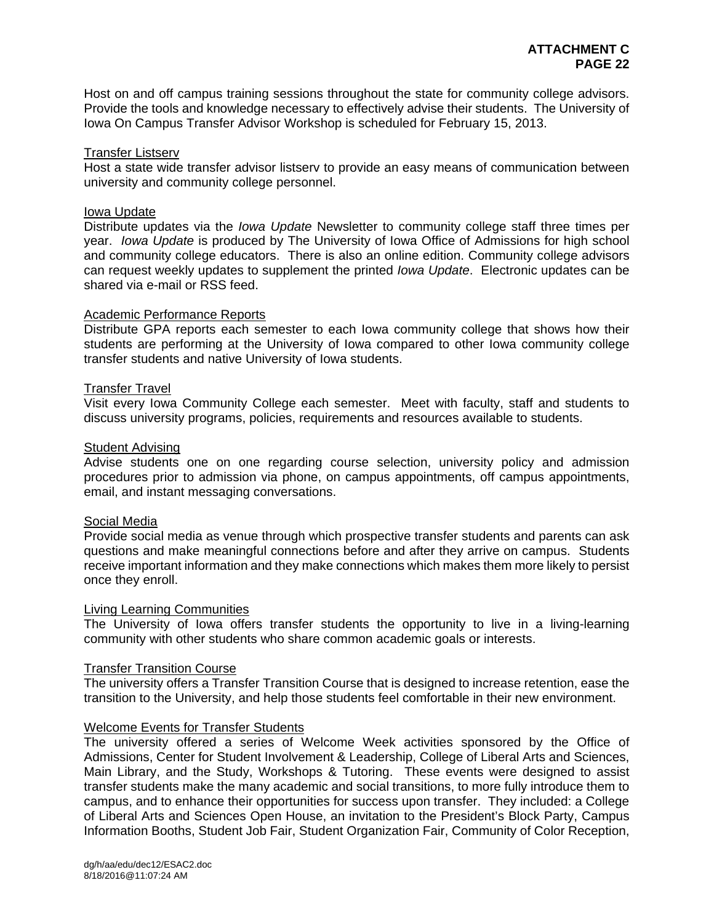Host on and off campus training sessions throughout the state for community college advisors. Provide the tools and knowledge necessary to effectively advise their students. The University of Iowa On Campus Transfer Advisor Workshop is scheduled for February 15, 2013.

#### Transfer Listserv

Host a state wide transfer advisor listserv to provide an easy means of communication between university and community college personnel.

#### Iowa Update

Distribute updates via the *Iowa Update* Newsletter to community college staff three times per year. *Iowa Update* is produced by The University of Iowa Office of Admissions for high school and community college educators. There is also an online edition. Community college advisors can request weekly updates to supplement the printed *Iowa Update*. Electronic updates can be shared via e-mail or RSS feed.

#### Academic Performance Reports

Distribute GPA reports each semester to each Iowa community college that shows how their students are performing at the University of Iowa compared to other Iowa community college transfer students and native University of Iowa students.

#### **Transfer Travel**

Visit every Iowa Community College each semester. Meet with faculty, staff and students to discuss university programs, policies, requirements and resources available to students.

#### Student Advising

Advise students one on one regarding course selection, university policy and admission procedures prior to admission via phone, on campus appointments, off campus appointments, email, and instant messaging conversations.

#### Social Media

Provide social media as venue through which prospective transfer students and parents can ask questions and make meaningful connections before and after they arrive on campus. Students receive important information and they make connections which makes them more likely to persist once they enroll.

#### Living Learning Communities

The University of Iowa offers transfer students the opportunity to live in a living-learning community with other students who share common academic goals or interests.

#### Transfer Transition Course

The university offers a Transfer Transition Course that is designed to increase retention, ease the transition to the University, and help those students feel comfortable in their new environment.

#### Welcome Events for Transfer Students

The university offered a series of Welcome Week activities sponsored by the Office of Admissions, Center for Student Involvement & Leadership, College of Liberal Arts and Sciences, Main Library, and the Study, Workshops & Tutoring. These events were designed to assist transfer students make the many academic and social transitions, to more fully introduce them to campus, and to enhance their opportunities for success upon transfer. They included: a College of Liberal Arts and Sciences Open House, an invitation to the President's Block Party, Campus Information Booths, Student Job Fair, Student Organization Fair, Community of Color Reception,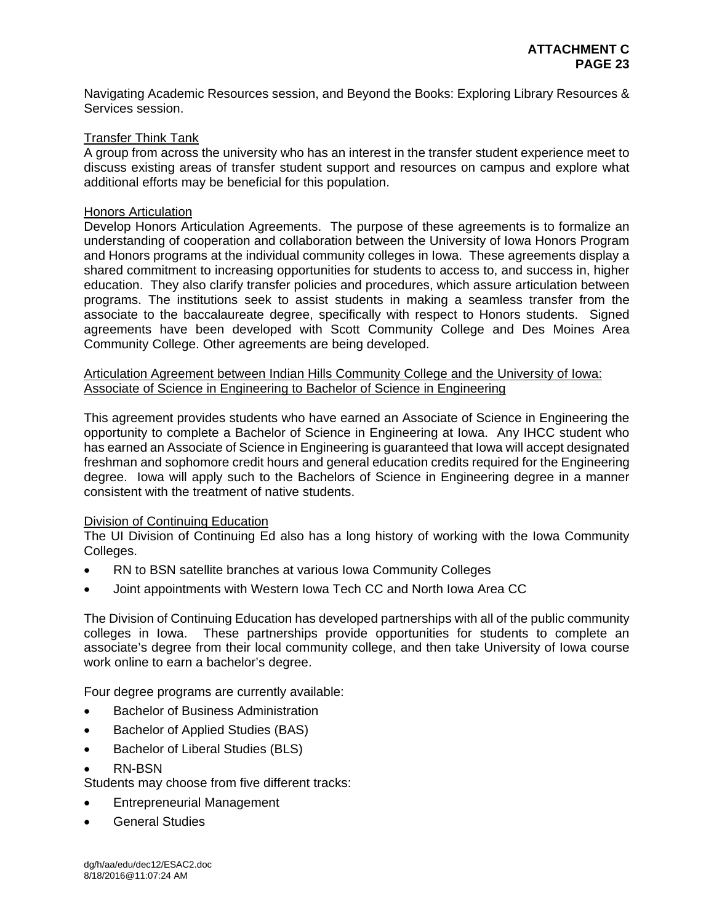Navigating Academic Resources session, and Beyond the Books: Exploring Library Resources & Services session.

#### Transfer Think Tank

A group from across the university who has an interest in the transfer student experience meet to discuss existing areas of transfer student support and resources on campus and explore what additional efforts may be beneficial for this population.

#### Honors Articulation

Develop Honors Articulation Agreements. The purpose of these agreements is to formalize an understanding of cooperation and collaboration between the University of Iowa Honors Program and Honors programs at the individual community colleges in Iowa. These agreements display a shared commitment to increasing opportunities for students to access to, and success in, higher education. They also clarify transfer policies and procedures, which assure articulation between programs. The institutions seek to assist students in making a seamless transfer from the associate to the baccalaureate degree, specifically with respect to Honors students. Signed agreements have been developed with Scott Community College and Des Moines Area Community College. Other agreements are being developed.

Articulation Agreement between Indian Hills Community College and the University of Iowa: Associate of Science in Engineering to Bachelor of Science in Engineering

This agreement provides students who have earned an Associate of Science in Engineering the opportunity to complete a Bachelor of Science in Engineering at Iowa. Any IHCC student who has earned an Associate of Science in Engineering is guaranteed that Iowa will accept designated freshman and sophomore credit hours and general education credits required for the Engineering degree. Iowa will apply such to the Bachelors of Science in Engineering degree in a manner consistent with the treatment of native students.

# Division of Continuing Education

The UI Division of Continuing Ed also has a long history of working with the Iowa Community Colleges.

- RN to BSN satellite branches at various Iowa Community Colleges
- Joint appointments with Western Iowa Tech CC and North Iowa Area CC

The Division of Continuing Education has developed partnerships with all of the public community colleges in Iowa. These partnerships provide opportunities for students to complete an associate's degree from their local community college, and then take University of Iowa course work online to earn a bachelor's degree.

Four degree programs are currently available:

- Bachelor of Business Administration
- Bachelor of Applied Studies (BAS)
- Bachelor of Liberal Studies (BLS)
- RN-BSN

Students may choose from five different tracks:

- Entrepreneurial Management
- **•** General Studies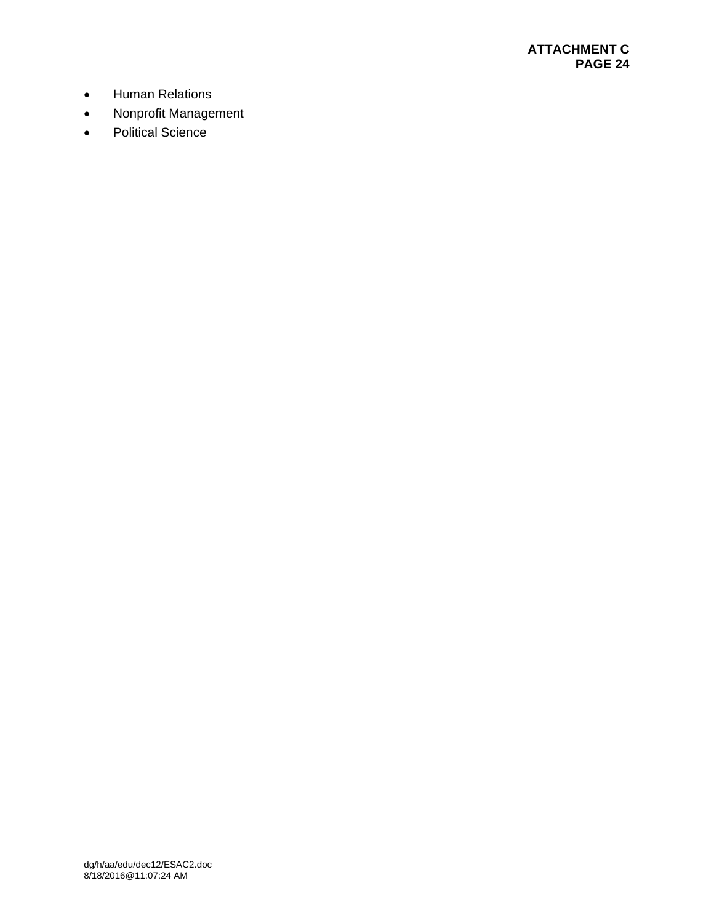- **•** Human Relations
- Nonprofit Management
- Political Science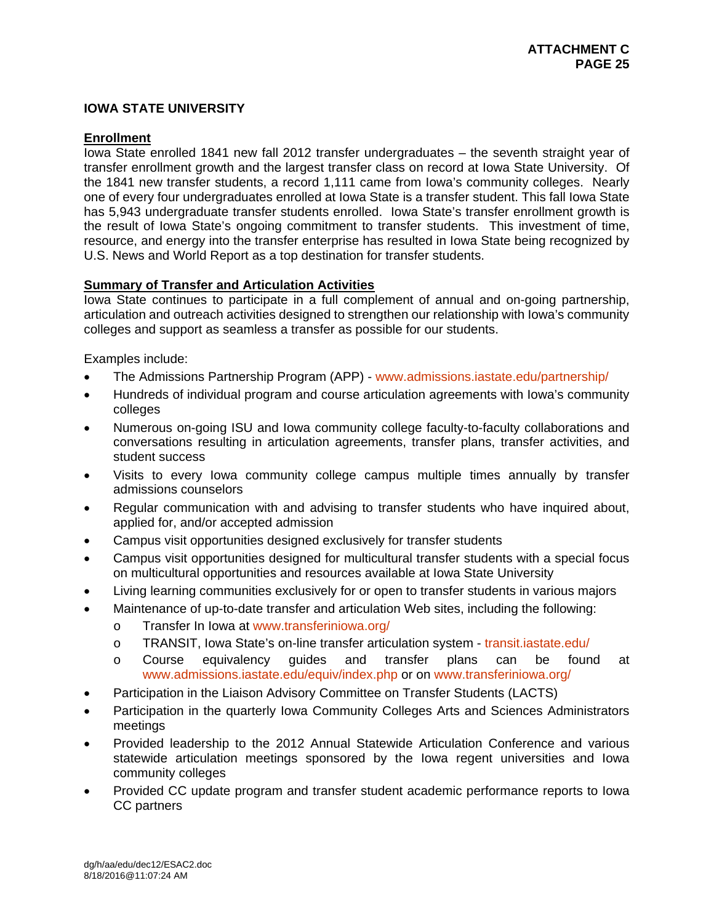# **IOWA STATE UNIVERSITY**

## **Enrollment**

Iowa State enrolled 1841 new fall 2012 transfer undergraduates – the seventh straight year of transfer enrollment growth and the largest transfer class on record at Iowa State University. Of the 1841 new transfer students, a record 1,111 came from Iowa's community colleges. Nearly one of every four undergraduates enrolled at Iowa State is a transfer student. This fall Iowa State has 5,943 undergraduate transfer students enrolled. Iowa State's transfer enrollment growth is the result of Iowa State's ongoing commitment to transfer students. This investment of time, resource, and energy into the transfer enterprise has resulted in Iowa State being recognized by U.S. News and World Report as a top destination for transfer students.

# **Summary of Transfer and Articulation Activities**

Iowa State continues to participate in a full complement of annual and on-going partnership, articulation and outreach activities designed to strengthen our relationship with Iowa's community colleges and support as seamless a transfer as possible for our students.

Examples include:

- The Admissions Partnership Program (APP) www.admissions.iastate.edu/partnership/
- Hundreds of individual program and course articulation agreements with Iowa's community colleges
- Numerous on-going ISU and Iowa community college faculty-to-faculty collaborations and conversations resulting in articulation agreements, transfer plans, transfer activities, and student success
- Visits to every Iowa community college campus multiple times annually by transfer admissions counselors
- Regular communication with and advising to transfer students who have inquired about, applied for, and/or accepted admission
- Campus visit opportunities designed exclusively for transfer students
- Campus visit opportunities designed for multicultural transfer students with a special focus on multicultural opportunities and resources available at Iowa State University
- Living learning communities exclusively for or open to transfer students in various majors
- Maintenance of up-to-date transfer and articulation Web sites, including the following:
	- o Transfer In Iowa at www.transferiniowa.org/
	- o TRANSIT, Iowa State's on-line transfer articulation system transit.iastate.edu/
	- o Course equivalency guides and transfer plans can be found at www.admissions.iastate.edu/equiv/index.php or on www.transferiniowa.org/
- Participation in the Liaison Advisory Committee on Transfer Students (LACTS)
- Participation in the quarterly Iowa Community Colleges Arts and Sciences Administrators meetings
- Provided leadership to the 2012 Annual Statewide Articulation Conference and various statewide articulation meetings sponsored by the Iowa regent universities and Iowa community colleges
- Provided CC update program and transfer student academic performance reports to Iowa CC partners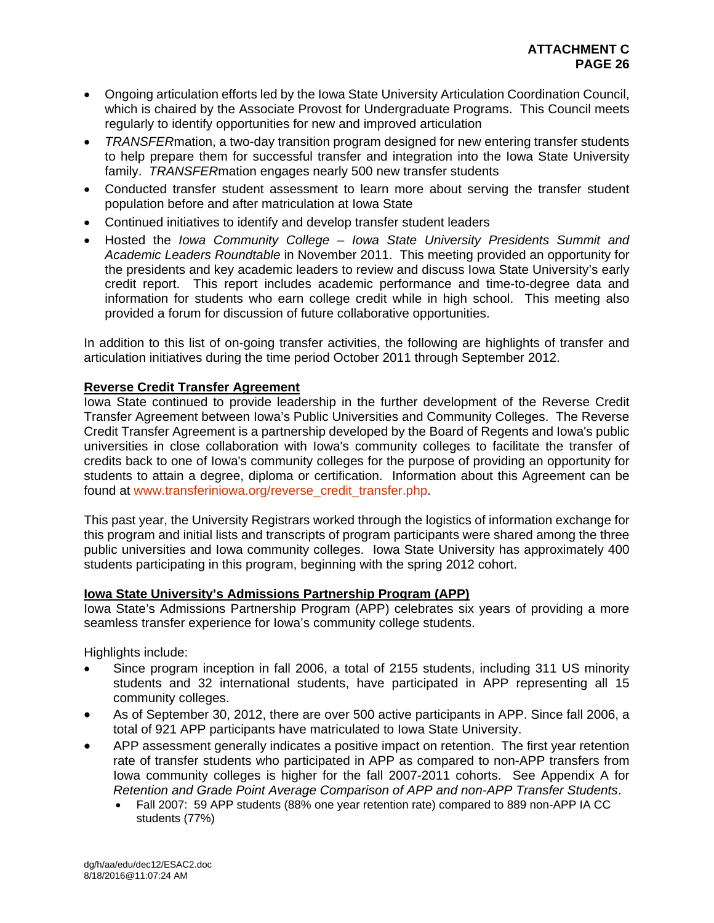- Ongoing articulation efforts led by the Iowa State University Articulation Coordination Council, which is chaired by the Associate Provost for Undergraduate Programs. This Council meets regularly to identify opportunities for new and improved articulation
- *TRANSFER*mation, a two-day transition program designed for new entering transfer students to help prepare them for successful transfer and integration into the Iowa State University family. *TRANSFER*mation engages nearly 500 new transfer students
- Conducted transfer student assessment to learn more about serving the transfer student population before and after matriculation at Iowa State
- Continued initiatives to identify and develop transfer student leaders
- Hosted the *Iowa Community College Iowa State University Presidents Summit and Academic Leaders Roundtable* in November 2011. This meeting provided an opportunity for the presidents and key academic leaders to review and discuss Iowa State University's early credit report. This report includes academic performance and time-to-degree data and information for students who earn college credit while in high school. This meeting also provided a forum for discussion of future collaborative opportunities.

In addition to this list of on-going transfer activities, the following are highlights of transfer and articulation initiatives during the time period October 2011 through September 2012.

# **Reverse Credit Transfer Agreement**

Iowa State continued to provide leadership in the further development of the Reverse Credit Transfer Agreement between Iowa's Public Universities and Community Colleges. The Reverse Credit Transfer Agreement is a partnership developed by the Board of Regents and Iowa's public universities in close collaboration with Iowa's community colleges to facilitate the transfer of credits back to one of Iowa's community colleges for the purpose of providing an opportunity for students to attain a degree, diploma or certification. Information about this Agreement can be found at www.transferiniowa.org/reverse\_credit\_transfer.php.

This past year, the University Registrars worked through the logistics of information exchange for this program and initial lists and transcripts of program participants were shared among the three public universities and Iowa community colleges. Iowa State University has approximately 400 students participating in this program, beginning with the spring 2012 cohort.

#### **Iowa State University's Admissions Partnership Program (APP)**

Iowa State's Admissions Partnership Program (APP) celebrates six years of providing a more seamless transfer experience for Iowa's community college students.

Highlights include:

- Since program inception in fall 2006, a total of 2155 students, including 311 US minority students and 32 international students, have participated in APP representing all 15 community colleges.
- As of September 30, 2012, there are over 500 active participants in APP. Since fall 2006, a total of 921 APP participants have matriculated to Iowa State University.
- APP assessment generally indicates a positive impact on retention. The first year retention rate of transfer students who participated in APP as compared to non-APP transfers from Iowa community colleges is higher for the fall 2007-2011 cohorts. See Appendix A for *Retention and Grade Point Average Comparison of APP and non-APP Transfer Students*.
	- Fall 2007: 59 APP students (88% one year retention rate) compared to 889 non-APP IA CC students (77%)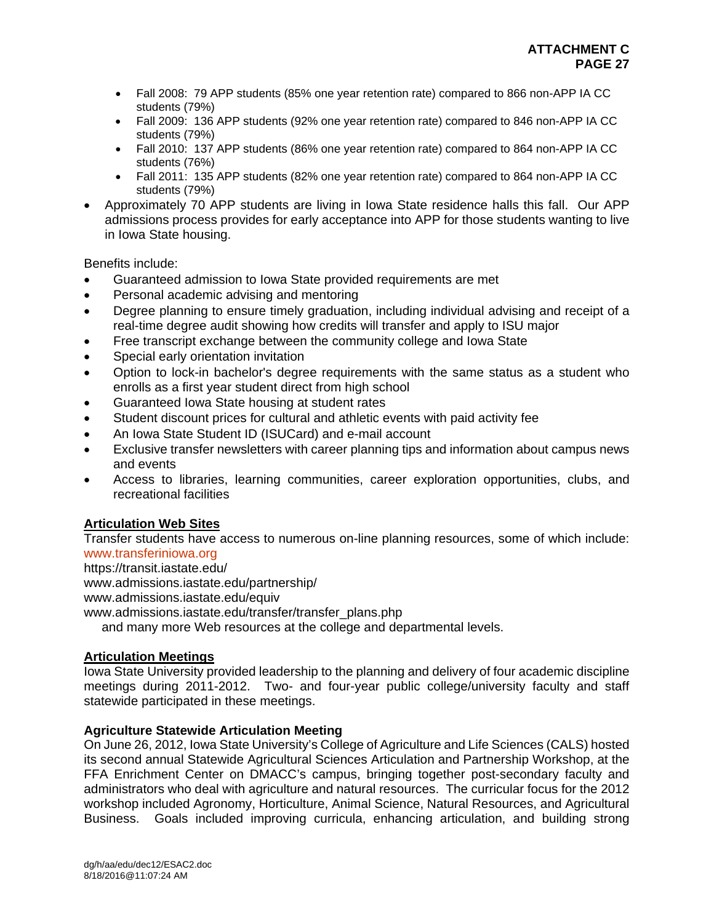- Fall 2008: 79 APP students (85% one year retention rate) compared to 866 non-APP IA CC students (79%)
- Fall 2009: 136 APP students (92% one year retention rate) compared to 846 non-APP IA CC students (79%)
- Fall 2010: 137 APP students (86% one year retention rate) compared to 864 non-APP IA CC students (76%)
- Fall 2011: 135 APP students (82% one year retention rate) compared to 864 non-APP IA CC students (79%)
- Approximately 70 APP students are living in Iowa State residence halls this fall. Our APP admissions process provides for early acceptance into APP for those students wanting to live in Iowa State housing.

Benefits include:

- Guaranteed admission to Iowa State provided requirements are met
- Personal academic advising and mentoring
- Degree planning to ensure timely graduation, including individual advising and receipt of a real-time degree audit showing how credits will transfer and apply to ISU major
- Free transcript exchange between the community college and Iowa State
- Special early orientation invitation
- Option to lock-in bachelor's degree requirements with the same status as a student who enrolls as a first year student direct from high school
- Guaranteed Iowa State housing at student rates
- Student discount prices for cultural and athletic events with paid activity fee
- An Iowa State Student ID (ISUCard) and e-mail account
- Exclusive transfer newsletters with career planning tips and information about campus news and events
- Access to libraries, learning communities, career exploration opportunities, clubs, and recreational facilities

# **Articulation Web Sites**

Transfer students have access to numerous on-line planning resources, some of which include: www.transferiniowa.org

https://transit.iastate.edu/

www.admissions.iastate.edu/partnership/

www.admissions.iastate.edu/equiv

www.admissions.iastate.edu/transfer/transfer\_plans.php

and many more Web resources at the college and departmental levels.

# **Articulation Meetings**

Iowa State University provided leadership to the planning and delivery of four academic discipline meetings during 2011-2012. Two- and four-year public college/university faculty and staff statewide participated in these meetings.

## **Agriculture Statewide Articulation Meeting**

On June 26, 2012, Iowa State University's College of Agriculture and Life Sciences (CALS) hosted its second annual Statewide Agricultural Sciences Articulation and Partnership Workshop, at the FFA Enrichment Center on DMACC's campus, bringing together post-secondary faculty and administrators who deal with agriculture and natural resources. The curricular focus for the 2012 workshop included Agronomy, Horticulture, Animal Science, Natural Resources, and Agricultural Business. Goals included improving curricula, enhancing articulation, and building strong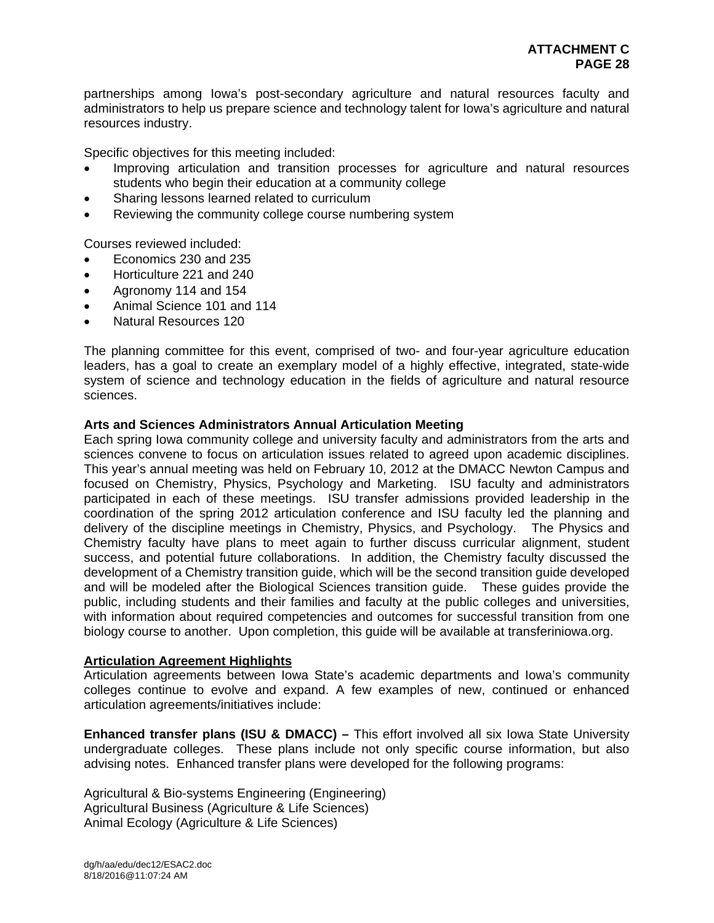partnerships among Iowa's post-secondary agriculture and natural resources faculty and administrators to help us prepare science and technology talent for Iowa's agriculture and natural resources industry.

Specific objectives for this meeting included:

- Improving articulation and transition processes for agriculture and natural resources students who begin their education at a community college
- Sharing lessons learned related to curriculum
- Reviewing the community college course numbering system

Courses reviewed included:

- Economics 230 and 235
- Horticulture 221 and 240
- Agronomy 114 and 154
- Animal Science 101 and 114
- Natural Resources 120

The planning committee for this event, comprised of two- and four-year agriculture education leaders, has a goal to create an exemplary model of a highly effective, integrated, state-wide system of science and technology education in the fields of agriculture and natural resource sciences.

#### **Arts and Sciences Administrators Annual Articulation Meeting**

Each spring Iowa community college and university faculty and administrators from the arts and sciences convene to focus on articulation issues related to agreed upon academic disciplines. This year's annual meeting was held on February 10, 2012 at the DMACC Newton Campus and focused on Chemistry, Physics, Psychology and Marketing. ISU faculty and administrators participated in each of these meetings. ISU transfer admissions provided leadership in the coordination of the spring 2012 articulation conference and ISU faculty led the planning and delivery of the discipline meetings in Chemistry, Physics, and Psychology. The Physics and Chemistry faculty have plans to meet again to further discuss curricular alignment, student success, and potential future collaborations. In addition, the Chemistry faculty discussed the development of a Chemistry transition guide, which will be the second transition guide developed and will be modeled after the Biological Sciences transition guide. These guides provide the public, including students and their families and faculty at the public colleges and universities, with information about required competencies and outcomes for successful transition from one biology course to another. Upon completion, this guide will be available at transferiniowa.org.

#### **Articulation Agreement Highlights**

Articulation agreements between Iowa State's academic departments and Iowa's community colleges continue to evolve and expand. A few examples of new, continued or enhanced articulation agreements/initiatives include:

**Enhanced transfer plans (ISU & DMACC) –** This effort involved all six Iowa State University undergraduate colleges. These plans include not only specific course information, but also advising notes. Enhanced transfer plans were developed for the following programs:

Agricultural & Bio-systems Engineering (Engineering) Agricultural Business (Agriculture & Life Sciences) Animal Ecology (Agriculture & Life Sciences)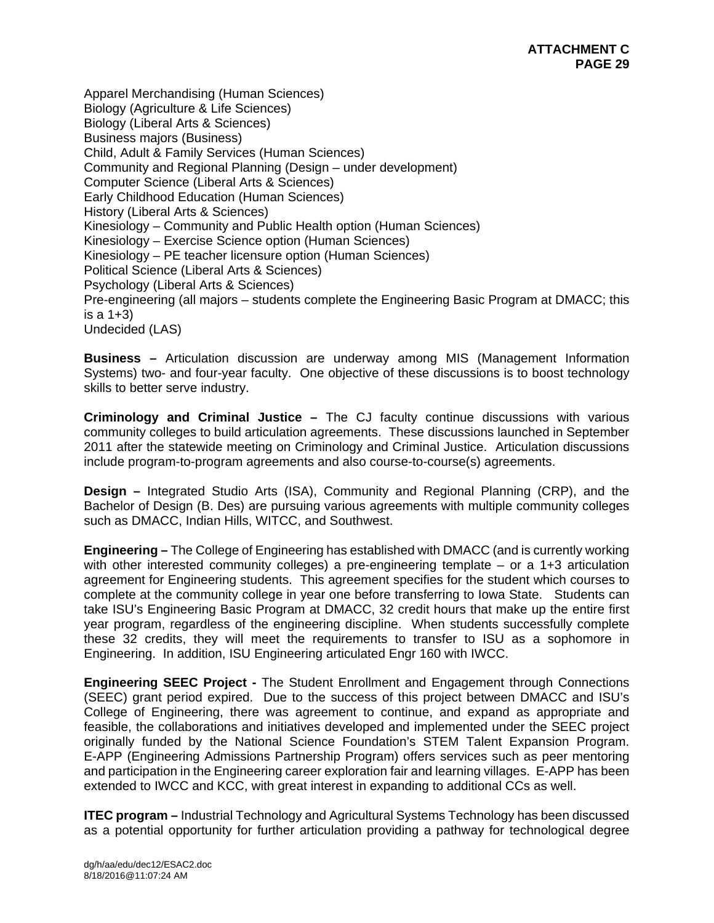Apparel Merchandising (Human Sciences) Biology (Agriculture & Life Sciences) Biology (Liberal Arts & Sciences) Business majors (Business) Child, Adult & Family Services (Human Sciences) Community and Regional Planning (Design – under development) Computer Science (Liberal Arts & Sciences) Early Childhood Education (Human Sciences) History (Liberal Arts & Sciences) Kinesiology – Community and Public Health option (Human Sciences) Kinesiology – Exercise Science option (Human Sciences) Kinesiology – PE teacher licensure option (Human Sciences) Political Science (Liberal Arts & Sciences) Psychology (Liberal Arts & Sciences) Pre-engineering (all majors – students complete the Engineering Basic Program at DMACC; this is a 1+3) Undecided (LAS)

**Business –** Articulation discussion are underway among MIS (Management Information Systems) two- and four-year faculty. One objective of these discussions is to boost technology skills to better serve industry.

**Criminology and Criminal Justice –** The CJ faculty continue discussions with various community colleges to build articulation agreements. These discussions launched in September 2011 after the statewide meeting on Criminology and Criminal Justice. Articulation discussions include program-to-program agreements and also course-to-course(s) agreements.

**Design –** Integrated Studio Arts (ISA), Community and Regional Planning (CRP), and the Bachelor of Design (B. Des) are pursuing various agreements with multiple community colleges such as DMACC, Indian Hills, WITCC, and Southwest.

**Engineering –** The College of Engineering has established with DMACC (and is currently working with other interested community colleges) a pre-engineering template – or a 1+3 articulation agreement for Engineering students. This agreement specifies for the student which courses to complete at the community college in year one before transferring to Iowa State. Students can take ISU's Engineering Basic Program at DMACC, 32 credit hours that make up the entire first year program, regardless of the engineering discipline. When students successfully complete these 32 credits, they will meet the requirements to transfer to ISU as a sophomore in Engineering. In addition, ISU Engineering articulated Engr 160 with IWCC.

**Engineering SEEC Project -** The Student Enrollment and Engagement through Connections (SEEC) grant period expired. Due to the success of this project between DMACC and ISU's College of Engineering, there was agreement to continue, and expand as appropriate and feasible, the collaborations and initiatives developed and implemented under the SEEC project originally funded by the National Science Foundation's STEM Talent Expansion Program. E-APP (Engineering Admissions Partnership Program) offers services such as peer mentoring and participation in the Engineering career exploration fair and learning villages. E-APP has been extended to IWCC and KCC, with great interest in expanding to additional CCs as well.

**ITEC program –** Industrial Technology and Agricultural Systems Technology has been discussed as a potential opportunity for further articulation providing a pathway for technological degree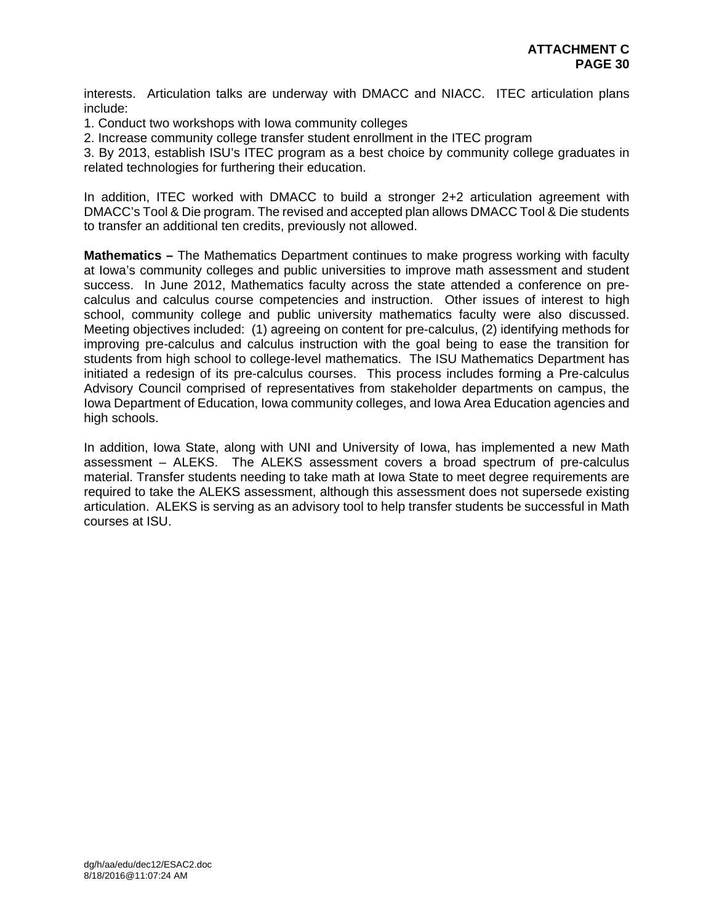interests. Articulation talks are underway with DMACC and NIACC. ITEC articulation plans include:

1. Conduct two workshops with Iowa community colleges

2. Increase community college transfer student enrollment in the ITEC program

3. By 2013, establish ISU's ITEC program as a best choice by community college graduates in related technologies for furthering their education.

In addition, ITEC worked with DMACC to build a stronger 2+2 articulation agreement with DMACC's Tool & Die program. The revised and accepted plan allows DMACC Tool & Die students to transfer an additional ten credits, previously not allowed.

**Mathematics –** The Mathematics Department continues to make progress working with faculty at Iowa's community colleges and public universities to improve math assessment and student success. In June 2012, Mathematics faculty across the state attended a conference on precalculus and calculus course competencies and instruction. Other issues of interest to high school, community college and public university mathematics faculty were also discussed. Meeting objectives included: (1) agreeing on content for pre-calculus, (2) identifying methods for improving pre-calculus and calculus instruction with the goal being to ease the transition for students from high school to college-level mathematics. The ISU Mathematics Department has initiated a redesign of its pre-calculus courses. This process includes forming a Pre-calculus Advisory Council comprised of representatives from stakeholder departments on campus, the Iowa Department of Education, Iowa community colleges, and Iowa Area Education agencies and high schools.

In addition, Iowa State, along with UNI and University of Iowa, has implemented a new Math assessment – ALEKS. The ALEKS assessment covers a broad spectrum of pre-calculus material. Transfer students needing to take math at Iowa State to meet degree requirements are required to take the ALEKS assessment, although this assessment does not supersede existing articulation. ALEKS is serving as an advisory tool to help transfer students be successful in Math courses at ISU.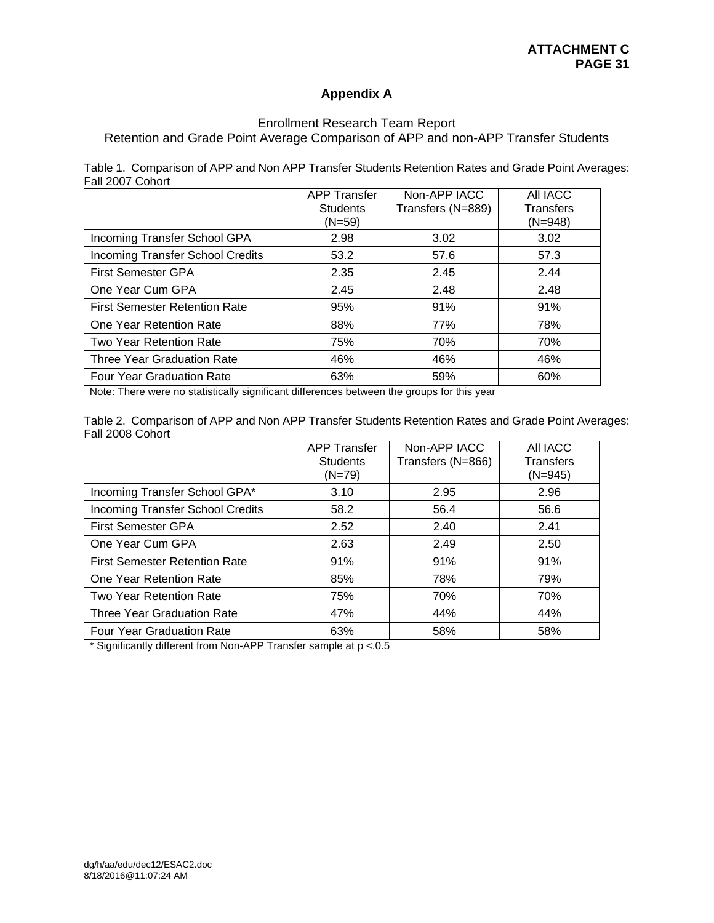# **Appendix A**

# Enrollment Research Team Report

Retention and Grade Point Average Comparison of APP and non-APP Transfer Students

|                  |  |  | Table 1. Comparison of APP and Non APP Transfer Students Retention Rates and Grade Point Averages: |  |
|------------------|--|--|----------------------------------------------------------------------------------------------------|--|
| Fall 2007 Cohort |  |  |                                                                                                    |  |

|                                         | <b>APP Transfer</b><br><b>Students</b><br>$(N=59)$ | Non-APP IACC<br>Transfers (N=889) | All IACC<br>Transfers<br>$(N=948)$ |
|-----------------------------------------|----------------------------------------------------|-----------------------------------|------------------------------------|
| Incoming Transfer School GPA            | 2.98                                               | 3.02                              | 3.02                               |
| <b>Incoming Transfer School Credits</b> | 53.2                                               | 57.6                              | 57.3                               |
| <b>First Semester GPA</b>               | 2.35                                               | 2.45                              | 2.44                               |
| One Year Cum GPA                        | 2.45                                               | 2.48                              | 2.48                               |
| <b>First Semester Retention Rate</b>    | 95%                                                | 91%                               | 91%                                |
| One Year Retention Rate                 | 88%                                                | 77%                               | 78%                                |
| Two Year Retention Rate                 | 75%                                                | 70%                               | 70%                                |
| <b>Three Year Graduation Rate</b>       | 46%                                                | 46%                               | 46%                                |
| <b>Four Year Graduation Rate</b>        | 63%                                                | 59%                               | 60%                                |

Note: There were no statistically significant differences between the groups for this year

|                  | Table 2. Comparison of APP and Non APP Transfer Students Retention Rates and Grade Point Averages: |  |  |  |  |  |  |
|------------------|----------------------------------------------------------------------------------------------------|--|--|--|--|--|--|
| Fall 2008 Cohort |                                                                                                    |  |  |  |  |  |  |

|                                         | <b>APP Transfer</b><br><b>Students</b><br>$(N=79)$ | Non-APP IACC<br>Transfers (N=866) | All IACC<br><b>Transfers</b><br>$(N=945)$ |
|-----------------------------------------|----------------------------------------------------|-----------------------------------|-------------------------------------------|
| Incoming Transfer School GPA*           | 3.10                                               | 2.95                              | 2.96                                      |
| <b>Incoming Transfer School Credits</b> | 58.2                                               | 56.4                              | 56.6                                      |
| <b>First Semester GPA</b>               | 2.52                                               | 2.40                              | 2.41                                      |
| One Year Cum GPA                        | 2.63                                               | 2.49                              | 2.50                                      |
| <b>First Semester Retention Rate</b>    | 91%                                                | 91%                               | 91%                                       |
| One Year Retention Rate                 | 85%                                                | 78%                               | 79%                                       |
| Two Year Retention Rate                 | 75%                                                | 70%                               | 70%                                       |
| Three Year Graduation Rate              | 47%                                                | 44%                               | 44%                                       |
| <b>Four Year Graduation Rate</b>        | 63%                                                | 58%                               | 58%                                       |

\* Significantly different from Non-APP Transfer sample at p <.0.5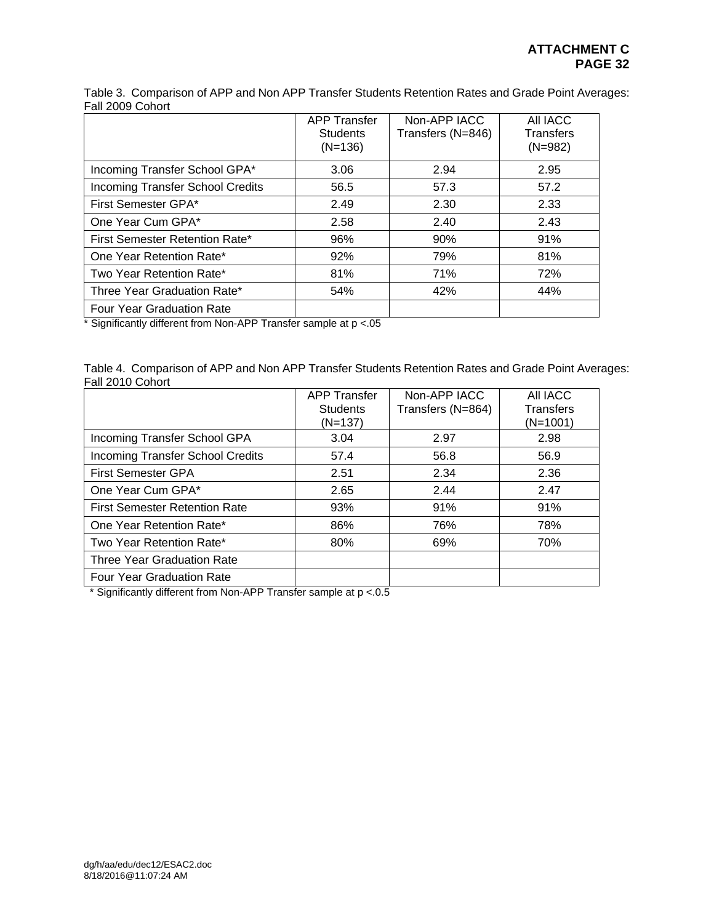Table 3. Comparison of APP and Non APP Transfer Students Retention Rates and Grade Point Averages: Fall 2009 Cohort

|                                         | <b>APP Transfer</b><br><b>Students</b><br>$(N=136)$ | Non-APP IACC<br>Transfers (N=846) | All IACC<br><b>Transfers</b><br>$(N=982)$ |
|-----------------------------------------|-----------------------------------------------------|-----------------------------------|-------------------------------------------|
| Incoming Transfer School GPA*           | 3.06                                                | 2.94                              | 2.95                                      |
| <b>Incoming Transfer School Credits</b> | 56.5                                                | 57.3                              | 57.2                                      |
| First Semester GPA*                     | 2.49                                                | 2.30                              | 2.33                                      |
| One Year Cum GPA*                       | 2.58                                                | 2.40                              | 2.43                                      |
| First Semester Retention Rate*          | 96%                                                 | 90%                               | 91%                                       |
| One Year Retention Rate*                | 92%                                                 | 79%                               | 81%                                       |
| Two Year Retention Rate*                | 81%                                                 | 71%                               | 72%                                       |
| Three Year Graduation Rate*             | 54%                                                 | 42%                               | 44%                                       |
| <b>Four Year Graduation Rate</b>        |                                                     |                                   |                                           |

\* Significantly different from Non-APP Transfer sample at p <.05

Table 4. Comparison of APP and Non APP Transfer Students Retention Rates and Grade Point Averages: Fall 2010 Cohort

|                                         | <b>APP Transfer</b> | Non-APP IACC      | All IACC         |
|-----------------------------------------|---------------------|-------------------|------------------|
|                                         | <b>Students</b>     | Transfers (N=864) | <b>Transfers</b> |
|                                         | (N=137)             |                   | $(N=1001)$       |
| Incoming Transfer School GPA            | 3.04                | 2.97              | 2.98             |
| <b>Incoming Transfer School Credits</b> | 57.4                | 56.8              | 56.9             |
| <b>First Semester GPA</b>               | 2.51                | 2.34              | 2.36             |
| One Year Cum GPA*                       | 2.65                | 2.44              | 2.47             |
| <b>First Semester Retention Rate</b>    | 93%                 | 91%               | 91%              |
| One Year Retention Rate*                | 86%                 | 76%               | 78%              |
| Two Year Retention Rate*                | 80%                 | 69%               | 70%              |
| Three Year Graduation Rate              |                     |                   |                  |
| Four Year Graduation Rate               |                     |                   |                  |

\* Significantly different from Non-APP Transfer sample at p <.0.5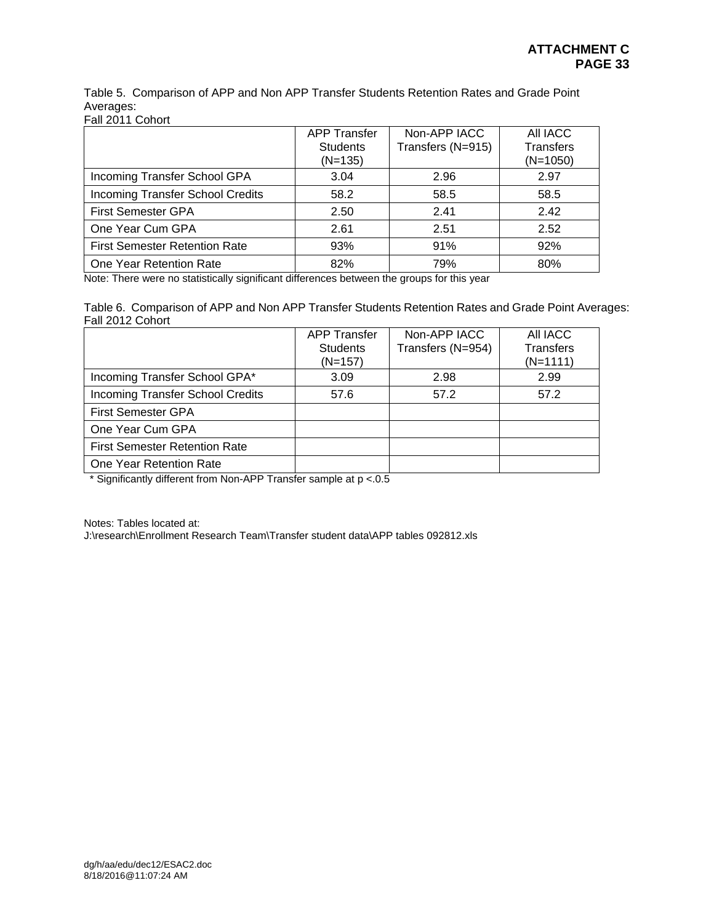Table 5. Comparison of APP and Non APP Transfer Students Retention Rates and Grade Point Averages:

Fall 2011 Cohort

|                                      | <b>APP Transfer</b><br><b>Students</b><br>$(N=135)$ | Non-APP IACC<br>Transfers (N=915) | All IACC<br><b>Transfers</b><br>$(N=1050)$ |
|--------------------------------------|-----------------------------------------------------|-----------------------------------|--------------------------------------------|
| Incoming Transfer School GPA         | 3.04                                                | 2.96                              | 2.97                                       |
| Incoming Transfer School Credits     | 58.2                                                | 58.5                              | 58.5                                       |
| <b>First Semester GPA</b>            | 2.50                                                | 2.41                              | 2.42                                       |
| One Year Cum GPA                     | 2.61                                                | 2.51                              | 2.52                                       |
| <b>First Semester Retention Rate</b> | 93%                                                 | 91%                               | 92%                                        |
| One Year Retention Rate              | 82%                                                 | 79%                               | 80%                                        |

Note: There were no statistically significant differences between the groups for this year

Table 6. Comparison of APP and Non APP Transfer Students Retention Rates and Grade Point Averages: Fall 2012 Cohort

|                                      | <b>APP Transfer</b> | Non-APP IACC      | AII IACC         |
|--------------------------------------|---------------------|-------------------|------------------|
|                                      | <b>Students</b>     | Transfers (N=954) | <b>Transfers</b> |
|                                      | $(N=157)$           |                   | $(N=1111)$       |
| Incoming Transfer School GPA*        | 3.09                | 2.98              | 2.99             |
| Incoming Transfer School Credits     | 57.6                | 57.2              | 57.2             |
| <b>First Semester GPA</b>            |                     |                   |                  |
| One Year Cum GPA                     |                     |                   |                  |
| <b>First Semester Retention Rate</b> |                     |                   |                  |
| One Year Retention Rate              |                     |                   |                  |

\* Significantly different from Non-APP Transfer sample at p <.0.5

Notes: Tables located at:

J:\research\Enrollment Research Team\Transfer student data\APP tables 092812.xls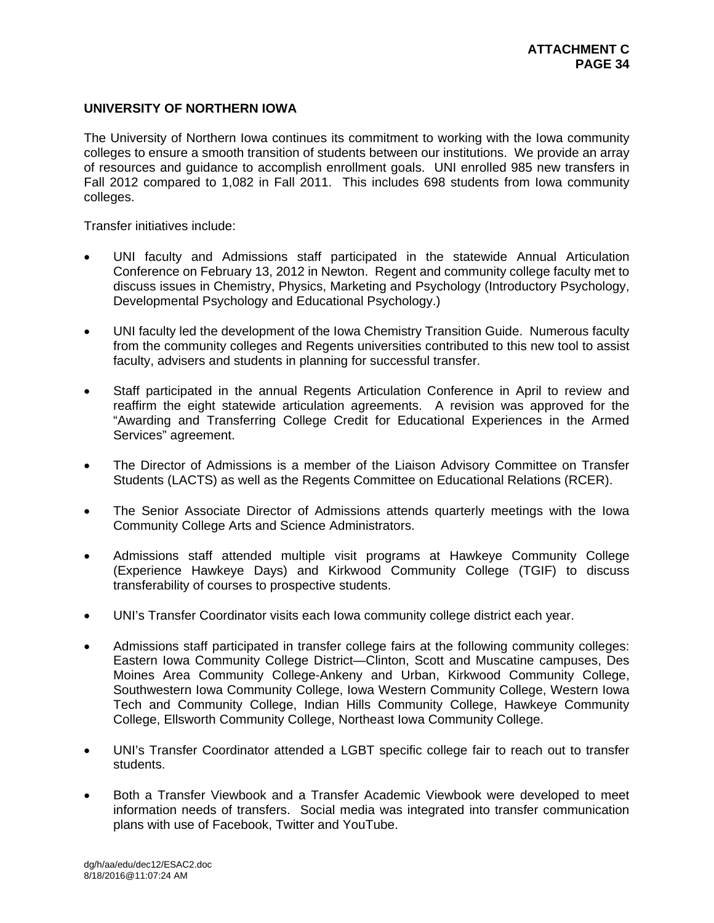## **UNIVERSITY OF NORTHERN IOWA**

The University of Northern Iowa continues its commitment to working with the Iowa community colleges to ensure a smooth transition of students between our institutions. We provide an array of resources and guidance to accomplish enrollment goals. UNI enrolled 985 new transfers in Fall 2012 compared to 1,082 in Fall 2011. This includes 698 students from Iowa community colleges.

Transfer initiatives include:

- UNI faculty and Admissions staff participated in the statewide Annual Articulation Conference on February 13, 2012 in Newton. Regent and community college faculty met to discuss issues in Chemistry, Physics, Marketing and Psychology (Introductory Psychology, Developmental Psychology and Educational Psychology.)
- UNI faculty led the development of the Iowa Chemistry Transition Guide. Numerous faculty from the community colleges and Regents universities contributed to this new tool to assist faculty, advisers and students in planning for successful transfer.
- Staff participated in the annual Regents Articulation Conference in April to review and reaffirm the eight statewide articulation agreements. A revision was approved for the "Awarding and Transferring College Credit for Educational Experiences in the Armed Services" agreement.
- The Director of Admissions is a member of the Liaison Advisory Committee on Transfer Students (LACTS) as well as the Regents Committee on Educational Relations (RCER).
- The Senior Associate Director of Admissions attends quarterly meetings with the Iowa Community College Arts and Science Administrators.
- Admissions staff attended multiple visit programs at Hawkeye Community College (Experience Hawkeye Days) and Kirkwood Community College (TGIF) to discuss transferability of courses to prospective students.
- UNI's Transfer Coordinator visits each Iowa community college district each year.
- Admissions staff participated in transfer college fairs at the following community colleges: Eastern Iowa Community College District—Clinton, Scott and Muscatine campuses, Des Moines Area Community College-Ankeny and Urban, Kirkwood Community College, Southwestern Iowa Community College, Iowa Western Community College, Western Iowa Tech and Community College, Indian Hills Community College, Hawkeye Community College, Ellsworth Community College, Northeast Iowa Community College.
- UNI's Transfer Coordinator attended a LGBT specific college fair to reach out to transfer students.
- Both a Transfer Viewbook and a Transfer Academic Viewbook were developed to meet information needs of transfers. Social media was integrated into transfer communication plans with use of Facebook, Twitter and YouTube.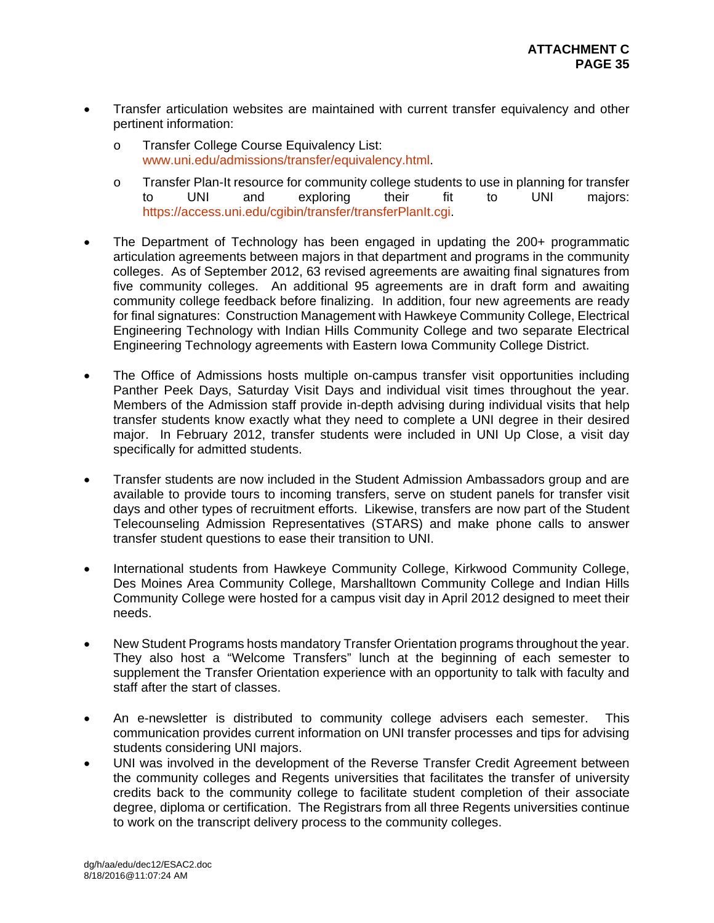- Transfer articulation websites are maintained with current transfer equivalency and other pertinent information:
	- o Transfer College Course Equivalency List: www.uni.edu/admissions/transfer/equivalency.html.
	- o Transfer Plan-It resource for community college students to use in planning for transfer to UNI and exploring their fit to UNI majors: https://access.uni.edu/cgibin/transfer/transferPlanIt.cgi.
- The Department of Technology has been engaged in updating the 200+ programmatic articulation agreements between majors in that department and programs in the community colleges. As of September 2012, 63 revised agreements are awaiting final signatures from five community colleges. An additional 95 agreements are in draft form and awaiting community college feedback before finalizing. In addition, four new agreements are ready for final signatures: Construction Management with Hawkeye Community College, Electrical Engineering Technology with Indian Hills Community College and two separate Electrical Engineering Technology agreements with Eastern Iowa Community College District.
- The Office of Admissions hosts multiple on-campus transfer visit opportunities including Panther Peek Days, Saturday Visit Days and individual visit times throughout the year. Members of the Admission staff provide in-depth advising during individual visits that help transfer students know exactly what they need to complete a UNI degree in their desired major. In February 2012, transfer students were included in UNI Up Close, a visit day specifically for admitted students.
- Transfer students are now included in the Student Admission Ambassadors group and are available to provide tours to incoming transfers, serve on student panels for transfer visit days and other types of recruitment efforts. Likewise, transfers are now part of the Student Telecounseling Admission Representatives (STARS) and make phone calls to answer transfer student questions to ease their transition to UNI.
- International students from Hawkeye Community College, Kirkwood Community College, Des Moines Area Community College, Marshalltown Community College and Indian Hills Community College were hosted for a campus visit day in April 2012 designed to meet their needs.
- New Student Programs hosts mandatory Transfer Orientation programs throughout the year. They also host a "Welcome Transfers" lunch at the beginning of each semester to supplement the Transfer Orientation experience with an opportunity to talk with faculty and staff after the start of classes.
- An e-newsletter is distributed to community college advisers each semester. This communication provides current information on UNI transfer processes and tips for advising students considering UNI majors.
- UNI was involved in the development of the Reverse Transfer Credit Agreement between the community colleges and Regents universities that facilitates the transfer of university credits back to the community college to facilitate student completion of their associate degree, diploma or certification. The Registrars from all three Regents universities continue to work on the transcript delivery process to the community colleges.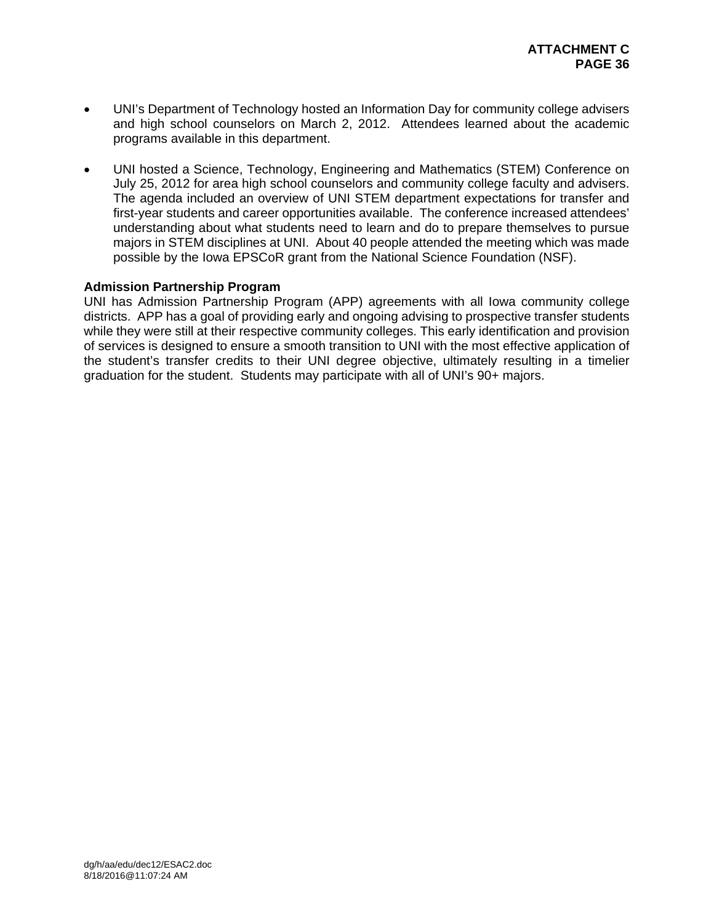- UNI's Department of Technology hosted an Information Day for community college advisers and high school counselors on March 2, 2012. Attendees learned about the academic programs available in this department.
- UNI hosted a Science, Technology, Engineering and Mathematics (STEM) Conference on July 25, 2012 for area high school counselors and community college faculty and advisers. The agenda included an overview of UNI STEM department expectations for transfer and first-year students and career opportunities available. The conference increased attendees' understanding about what students need to learn and do to prepare themselves to pursue majors in STEM disciplines at UNI. About 40 people attended the meeting which was made possible by the Iowa EPSCoR grant from the National Science Foundation (NSF).

## **Admission Partnership Program**

UNI has Admission Partnership Program (APP) agreements with all Iowa community college districts. APP has a goal of providing early and ongoing advising to prospective transfer students while they were still at their respective community colleges. This early identification and provision of services is designed to ensure a smooth transition to UNI with the most effective application of the student's transfer credits to their UNI degree objective, ultimately resulting in a timelier graduation for the student. Students may participate with all of UNI's 90+ majors.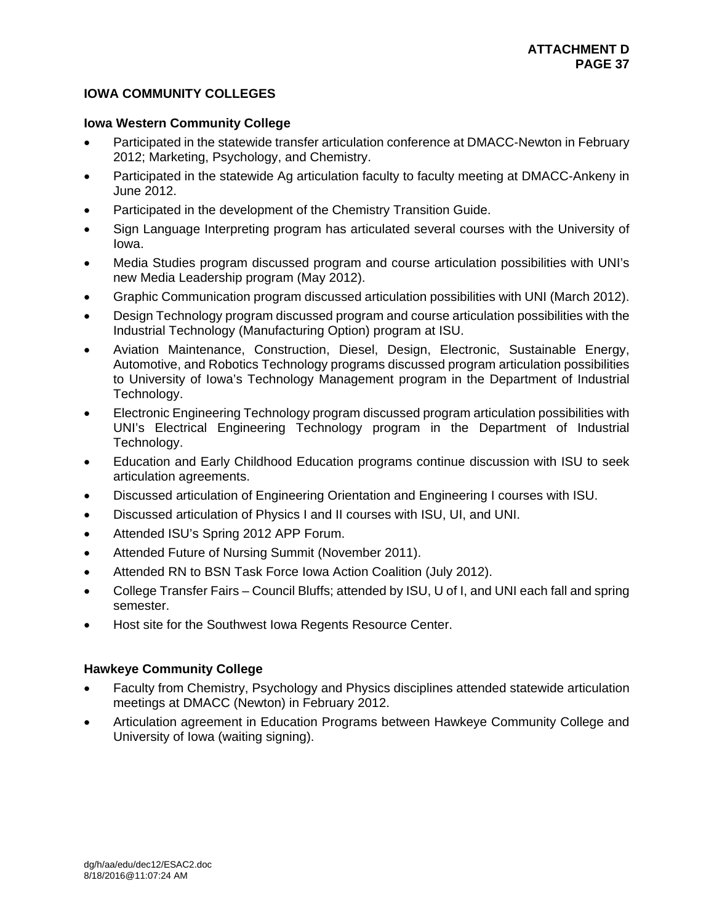# **IOWA COMMUNITY COLLEGES**

## **Iowa Western Community College**

- Participated in the statewide transfer articulation conference at DMACC-Newton in February 2012; Marketing, Psychology, and Chemistry.
- Participated in the statewide Ag articulation faculty to faculty meeting at DMACC-Ankeny in June 2012.
- Participated in the development of the Chemistry Transition Guide.
- Sign Language Interpreting program has articulated several courses with the University of Iowa.
- Media Studies program discussed program and course articulation possibilities with UNI's new Media Leadership program (May 2012).
- Graphic Communication program discussed articulation possibilities with UNI (March 2012).
- Design Technology program discussed program and course articulation possibilities with the Industrial Technology (Manufacturing Option) program at ISU.
- Aviation Maintenance, Construction, Diesel, Design, Electronic, Sustainable Energy, Automotive, and Robotics Technology programs discussed program articulation possibilities to University of Iowa's Technology Management program in the Department of Industrial Technology.
- Electronic Engineering Technology program discussed program articulation possibilities with UNI's Electrical Engineering Technology program in the Department of Industrial Technology.
- Education and Early Childhood Education programs continue discussion with ISU to seek articulation agreements.
- Discussed articulation of Engineering Orientation and Engineering I courses with ISU.
- Discussed articulation of Physics I and II courses with ISU, UI, and UNI.
- Attended ISU's Spring 2012 APP Forum.
- Attended Future of Nursing Summit (November 2011).
- Attended RN to BSN Task Force Iowa Action Coalition (July 2012).
- College Transfer Fairs Council Bluffs; attended by ISU, U of I, and UNI each fall and spring semester.
- Host site for the Southwest Iowa Regents Resource Center.

# **Hawkeye Community College**

- Faculty from Chemistry, Psychology and Physics disciplines attended statewide articulation meetings at DMACC (Newton) in February 2012.
- Articulation agreement in Education Programs between Hawkeye Community College and University of Iowa (waiting signing).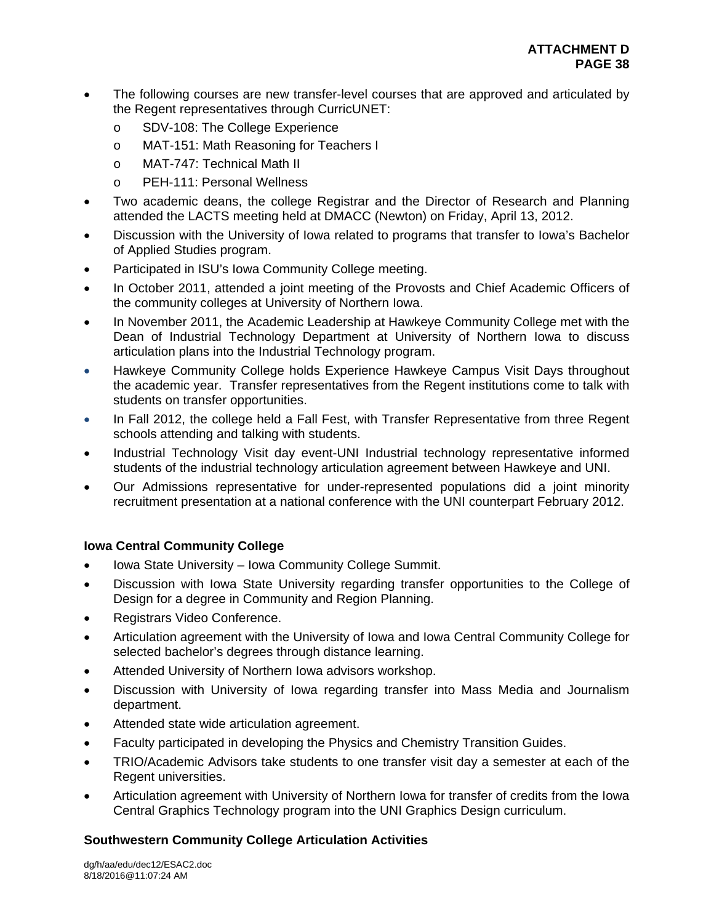- The following courses are new transfer-level courses that are approved and articulated by the Regent representatives through CurricUNET:
	- o SDV-108: The College Experience
	- o MAT-151: Math Reasoning for Teachers I
	- o MAT-747: Technical Math II
	- o PEH-111: Personal Wellness
- Two academic deans, the college Registrar and the Director of Research and Planning attended the LACTS meeting held at DMACC (Newton) on Friday, April 13, 2012.
- Discussion with the University of Iowa related to programs that transfer to Iowa's Bachelor of Applied Studies program.
- Participated in ISU's Iowa Community College meeting.
- In October 2011, attended a joint meeting of the Provosts and Chief Academic Officers of the community colleges at University of Northern Iowa.
- In November 2011, the Academic Leadership at Hawkeye Community College met with the Dean of Industrial Technology Department at University of Northern Iowa to discuss articulation plans into the Industrial Technology program.
- Hawkeye Community College holds Experience Hawkeye Campus Visit Days throughout the academic year. Transfer representatives from the Regent institutions come to talk with students on transfer opportunities.
- In Fall 2012, the college held a Fall Fest, with Transfer Representative from three Regent schools attending and talking with students.
- Industrial Technology Visit day event-UNI Industrial technology representative informed students of the industrial technology articulation agreement between Hawkeye and UNI.
- Our Admissions representative for under-represented populations did a joint minority recruitment presentation at a national conference with the UNI counterpart February 2012.

# **Iowa Central Community College**

- Iowa State University Iowa Community College Summit.
- Discussion with Iowa State University regarding transfer opportunities to the College of Design for a degree in Community and Region Planning.
- Registrars Video Conference.
- Articulation agreement with the University of Iowa and Iowa Central Community College for selected bachelor's degrees through distance learning.
- Attended University of Northern Iowa advisors workshop.
- Discussion with University of Iowa regarding transfer into Mass Media and Journalism department.
- Attended state wide articulation agreement.
- Faculty participated in developing the Physics and Chemistry Transition Guides.
- TRIO/Academic Advisors take students to one transfer visit day a semester at each of the Regent universities.
- Articulation agreement with University of Northern Iowa for transfer of credits from the Iowa Central Graphics Technology program into the UNI Graphics Design curriculum.

# **Southwestern Community College Articulation Activities**

dg/h/aa/edu/dec12/ESAC2.doc 8/18/2016@11:07:24 AM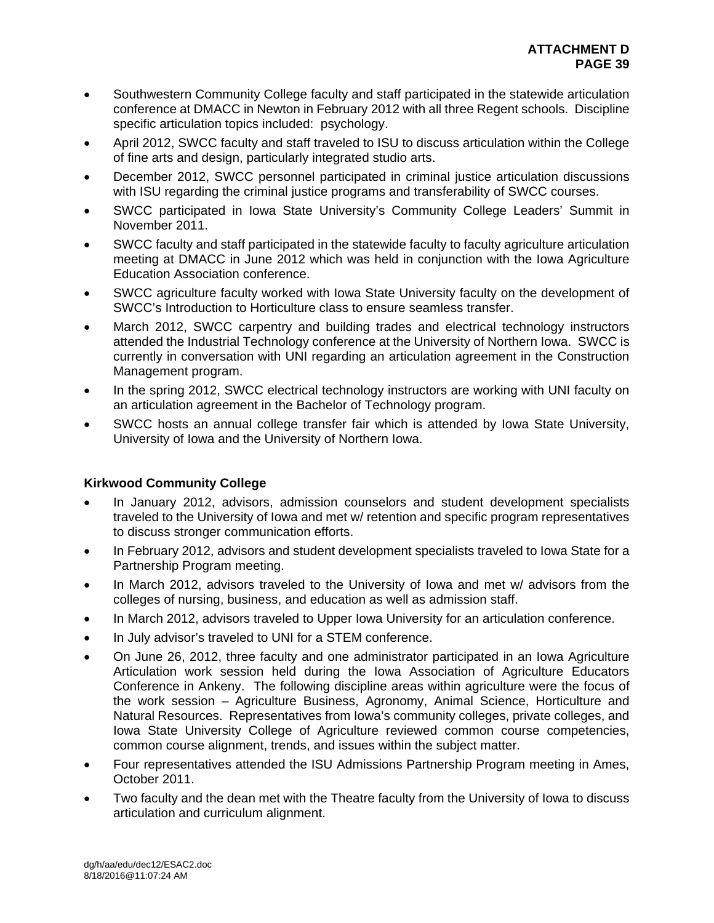- Southwestern Community College faculty and staff participated in the statewide articulation conference at DMACC in Newton in February 2012 with all three Regent schools. Discipline specific articulation topics included: psychology.
- April 2012, SWCC faculty and staff traveled to ISU to discuss articulation within the College of fine arts and design, particularly integrated studio arts.
- December 2012, SWCC personnel participated in criminal justice articulation discussions with ISU regarding the criminal justice programs and transferability of SWCC courses.
- SWCC participated in Iowa State University's Community College Leaders' Summit in November 2011.
- SWCC faculty and staff participated in the statewide faculty to faculty agriculture articulation meeting at DMACC in June 2012 which was held in conjunction with the Iowa Agriculture Education Association conference.
- SWCC agriculture faculty worked with Iowa State University faculty on the development of SWCC's Introduction to Horticulture class to ensure seamless transfer.
- March 2012, SWCC carpentry and building trades and electrical technology instructors attended the Industrial Technology conference at the University of Northern Iowa. SWCC is currently in conversation with UNI regarding an articulation agreement in the Construction Management program.
- In the spring 2012, SWCC electrical technology instructors are working with UNI faculty on an articulation agreement in the Bachelor of Technology program.
- SWCC hosts an annual college transfer fair which is attended by Iowa State University, University of Iowa and the University of Northern Iowa.

# **Kirkwood Community College**

- In January 2012, advisors, admission counselors and student development specialists traveled to the University of Iowa and met w/ retention and specific program representatives to discuss stronger communication efforts.
- In February 2012, advisors and student development specialists traveled to Iowa State for a Partnership Program meeting.
- In March 2012, advisors traveled to the University of Iowa and met w/ advisors from the colleges of nursing, business, and education as well as admission staff.
- In March 2012, advisors traveled to Upper Iowa University for an articulation conference.
- In July advisor's traveled to UNI for a STEM conference.
- On June 26, 2012, three faculty and one administrator participated in an Iowa Agriculture Articulation work session held during the Iowa Association of Agriculture Educators Conference in Ankeny. The following discipline areas within agriculture were the focus of the work session – Agriculture Business, Agronomy, Animal Science, Horticulture and Natural Resources. Representatives from Iowa's community colleges, private colleges, and Iowa State University College of Agriculture reviewed common course competencies, common course alignment, trends, and issues within the subject matter.
- Four representatives attended the ISU Admissions Partnership Program meeting in Ames, October 2011.
- Two faculty and the dean met with the Theatre faculty from the University of Iowa to discuss articulation and curriculum alignment.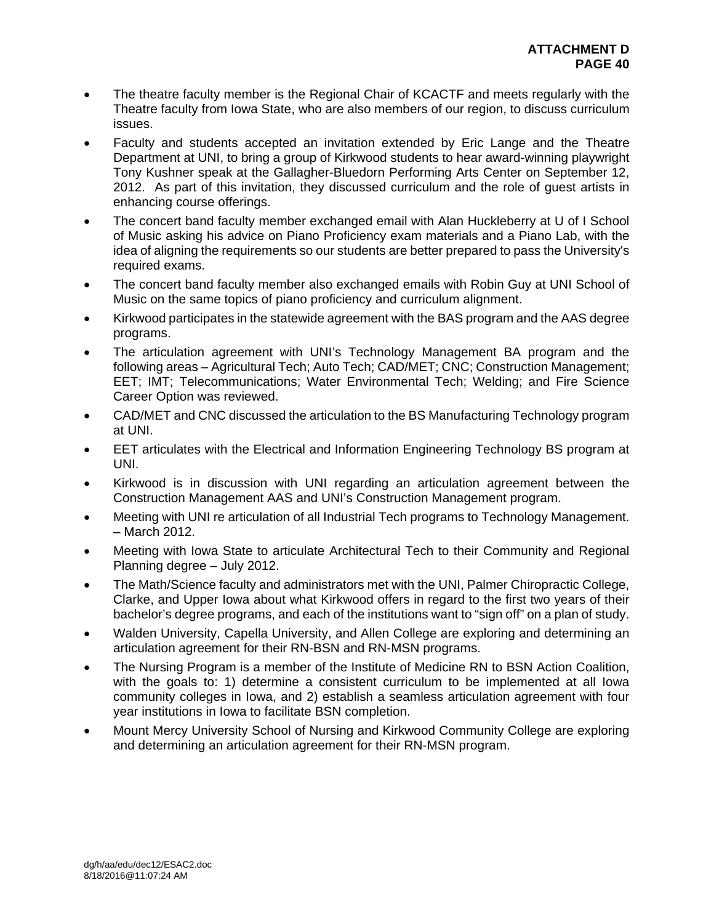- The theatre faculty member is the Regional Chair of KCACTF and meets regularly with the Theatre faculty from Iowa State, who are also members of our region, to discuss curriculum issues.
- Faculty and students accepted an invitation extended by Eric Lange and the Theatre Department at UNI, to bring a group of Kirkwood students to hear award-winning playwright Tony Kushner speak at the Gallagher-Bluedorn Performing Arts Center on September 12, 2012. As part of this invitation, they discussed curriculum and the role of guest artists in enhancing course offerings.
- The concert band faculty member exchanged email with Alan Huckleberry at U of I School of Music asking his advice on Piano Proficiency exam materials and a Piano Lab, with the idea of aligning the requirements so our students are better prepared to pass the University's required exams.
- The concert band faculty member also exchanged emails with Robin Guy at UNI School of Music on the same topics of piano proficiency and curriculum alignment.
- Kirkwood participates in the statewide agreement with the BAS program and the AAS degree programs.
- The articulation agreement with UNI's Technology Management BA program and the following areas – Agricultural Tech; Auto Tech; CAD/MET; CNC; Construction Management; EET; IMT; Telecommunications; Water Environmental Tech; Welding; and Fire Science Career Option was reviewed.
- CAD/MET and CNC discussed the articulation to the BS Manufacturing Technology program at UNI.
- EET articulates with the Electrical and Information Engineering Technology BS program at UNI.
- Kirkwood is in discussion with UNI regarding an articulation agreement between the Construction Management AAS and UNI's Construction Management program.
- Meeting with UNI re articulation of all Industrial Tech programs to Technology Management. – March 2012.
- Meeting with Iowa State to articulate Architectural Tech to their Community and Regional Planning degree – July 2012.
- The Math/Science faculty and administrators met with the UNI, Palmer Chiropractic College, Clarke, and Upper Iowa about what Kirkwood offers in regard to the first two years of their bachelor's degree programs, and each of the institutions want to "sign off" on a plan of study.
- Walden University, Capella University, and Allen College are exploring and determining an articulation agreement for their RN-BSN and RN-MSN programs.
- The Nursing Program is a member of the Institute of Medicine RN to BSN Action Coalition, with the goals to: 1) determine a consistent curriculum to be implemented at all Iowa community colleges in Iowa, and 2) establish a seamless articulation agreement with four year institutions in Iowa to facilitate BSN completion.
- Mount Mercy University School of Nursing and Kirkwood Community College are exploring and determining an articulation agreement for their RN-MSN program.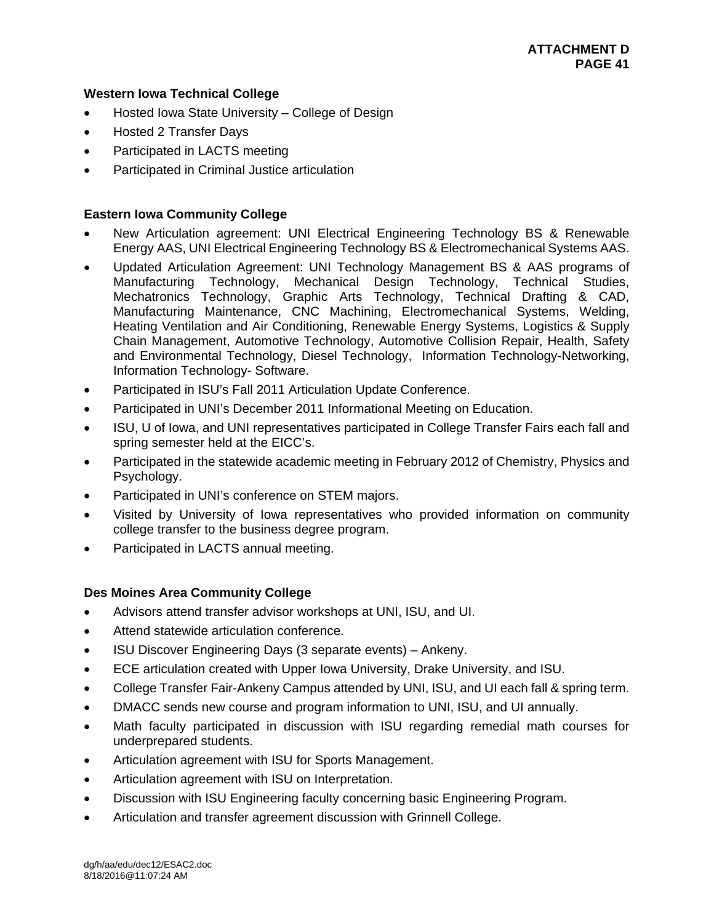## **Western Iowa Technical College**

- Hosted Iowa State University College of Design
- Hosted 2 Transfer Days
- Participated in LACTS meeting
- Participated in Criminal Justice articulation

## **Eastern Iowa Community College**

- New Articulation agreement: UNI Electrical Engineering Technology BS & Renewable Energy AAS, UNI Electrical Engineering Technology BS & Electromechanical Systems AAS.
- Updated Articulation Agreement: UNI Technology Management BS & AAS programs of Manufacturing Technology, Mechanical Design Technology, Technical Studies, Mechatronics Technology, Graphic Arts Technology, Technical Drafting & CAD, Manufacturing Maintenance, CNC Machining, Electromechanical Systems, Welding, Heating Ventilation and Air Conditioning, Renewable Energy Systems, Logistics & Supply Chain Management, Automotive Technology, Automotive Collision Repair, Health, Safety and Environmental Technology, Diesel Technology, Information Technology-Networking, Information Technology- Software.
- Participated in ISU's Fall 2011 Articulation Update Conference.
- Participated in UNI's December 2011 Informational Meeting on Education.
- ISU, U of Iowa, and UNI representatives participated in College Transfer Fairs each fall and spring semester held at the EICC's.
- Participated in the statewide academic meeting in February 2012 of Chemistry, Physics and Psychology.
- Participated in UNI's conference on STEM majors.
- Visited by University of Iowa representatives who provided information on community college transfer to the business degree program.
- Participated in LACTS annual meeting.

# **Des Moines Area Community College**

- Advisors attend transfer advisor workshops at UNI, ISU, and UI.
- Attend statewide articulation conference.
- ISU Discover Engineering Days (3 separate events) Ankeny.
- ECE articulation created with Upper Iowa University, Drake University, and ISU.
- College Transfer Fair-Ankeny Campus attended by UNI, ISU, and UI each fall & spring term.
- DMACC sends new course and program information to UNI, ISU, and UI annually.
- Math faculty participated in discussion with ISU regarding remedial math courses for underprepared students.
- Articulation agreement with ISU for Sports Management.
- Articulation agreement with ISU on Interpretation.
- Discussion with ISU Engineering faculty concerning basic Engineering Program.
- Articulation and transfer agreement discussion with Grinnell College.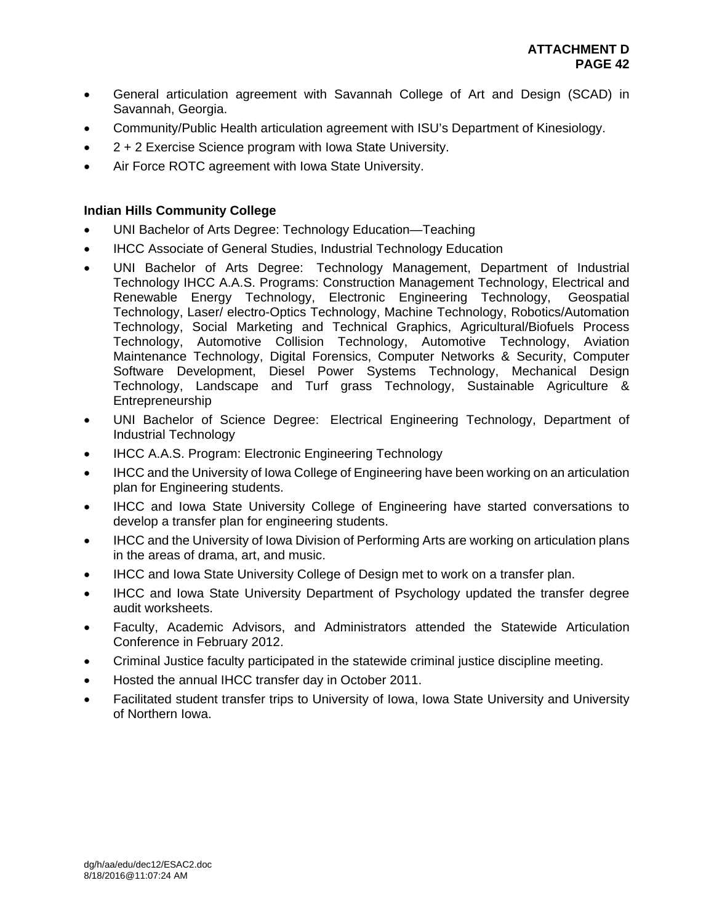- General articulation agreement with Savannah College of Art and Design (SCAD) in Savannah, Georgia.
- Community/Public Health articulation agreement with ISU's Department of Kinesiology.
- 2 + 2 Exercise Science program with Iowa State University.
- Air Force ROTC agreement with Iowa State University.

# **Indian Hills Community College**

- UNI Bachelor of Arts Degree: Technology Education—Teaching
- IHCC Associate of General Studies, Industrial Technology Education
- UNI Bachelor of Arts Degree: Technology Management, Department of Industrial Technology IHCC A.A.S. Programs: Construction Management Technology, Electrical and Renewable Energy Technology, Electronic Engineering Technology, Geospatial Technology, Laser/ electro-Optics Technology, Machine Technology, Robotics/Automation Technology, Social Marketing and Technical Graphics, Agricultural/Biofuels Process Technology, Automotive Collision Technology, Automotive Technology, Aviation Maintenance Technology, Digital Forensics, Computer Networks & Security, Computer Software Development, Diesel Power Systems Technology, Mechanical Design Technology, Landscape and Turf grass Technology, Sustainable Agriculture & Entrepreneurship
- UNI Bachelor of Science Degree: Electrical Engineering Technology, Department of Industrial Technology
- IHCC A.A.S. Program: Electronic Engineering Technology
- IHCC and the University of Iowa College of Engineering have been working on an articulation plan for Engineering students.
- IHCC and Iowa State University College of Engineering have started conversations to develop a transfer plan for engineering students.
- IHCC and the University of Iowa Division of Performing Arts are working on articulation plans in the areas of drama, art, and music.
- IHCC and Iowa State University College of Design met to work on a transfer plan.
- IHCC and Iowa State University Department of Psychology updated the transfer degree audit worksheets.
- Faculty, Academic Advisors, and Administrators attended the Statewide Articulation Conference in February 2012.
- Criminal Justice faculty participated in the statewide criminal justice discipline meeting.
- Hosted the annual IHCC transfer day in October 2011.
- Facilitated student transfer trips to University of Iowa, Iowa State University and University of Northern Iowa.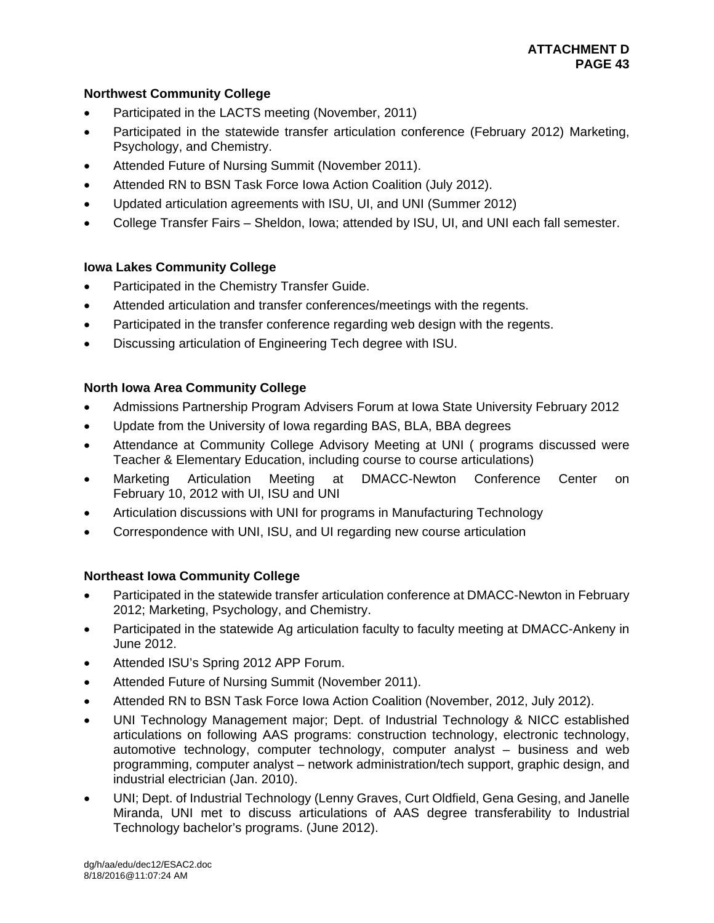# **Northwest Community College**

- Participated in the LACTS meeting (November, 2011)
- Participated in the statewide transfer articulation conference (February 2012) Marketing, Psychology, and Chemistry.
- Attended Future of Nursing Summit (November 2011).
- Attended RN to BSN Task Force Iowa Action Coalition (July 2012).
- Updated articulation agreements with ISU, UI, and UNI (Summer 2012)
- College Transfer Fairs Sheldon, Iowa; attended by ISU, UI, and UNI each fall semester.

# **Iowa Lakes Community College**

- Participated in the Chemistry Transfer Guide.
- Attended articulation and transfer conferences/meetings with the regents.
- Participated in the transfer conference regarding web design with the regents.
- Discussing articulation of Engineering Tech degree with ISU.

# **North Iowa Area Community College**

- Admissions Partnership Program Advisers Forum at Iowa State University February 2012
- Update from the University of Iowa regarding BAS, BLA, BBA degrees
- Attendance at Community College Advisory Meeting at UNI ( programs discussed were Teacher & Elementary Education, including course to course articulations)
- Marketing Articulation Meeting at DMACC-Newton Conference Center on February 10, 2012 with UI, ISU and UNI
- Articulation discussions with UNI for programs in Manufacturing Technology
- Correspondence with UNI, ISU, and UI regarding new course articulation

# **Northeast Iowa Community College**

- Participated in the statewide transfer articulation conference at DMACC-Newton in February 2012; Marketing, Psychology, and Chemistry.
- Participated in the statewide Ag articulation faculty to faculty meeting at DMACC-Ankeny in June 2012.
- Attended ISU's Spring 2012 APP Forum.
- Attended Future of Nursing Summit (November 2011).
- Attended RN to BSN Task Force Iowa Action Coalition (November, 2012, July 2012).
- UNI Technology Management major; Dept. of Industrial Technology & NICC established articulations on following AAS programs: construction technology, electronic technology, automotive technology, computer technology, computer analyst – business and web programming, computer analyst – network administration/tech support, graphic design, and industrial electrician (Jan. 2010).
- UNI; Dept. of Industrial Technology (Lenny Graves, Curt Oldfield, Gena Gesing, and Janelle Miranda, UNI met to discuss articulations of AAS degree transferability to Industrial Technology bachelor's programs. (June 2012).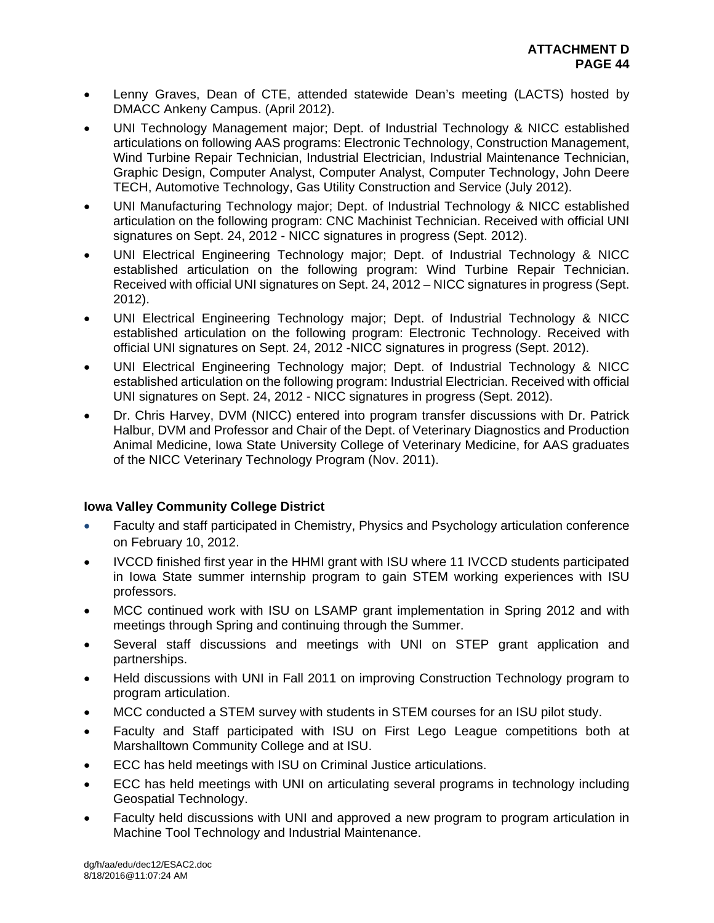- Lenny Graves, Dean of CTE, attended statewide Dean's meeting (LACTS) hosted by DMACC Ankeny Campus. (April 2012).
- UNI Technology Management major; Dept. of Industrial Technology & NICC established articulations on following AAS programs: Electronic Technology, Construction Management, Wind Turbine Repair Technician, Industrial Electrician, Industrial Maintenance Technician, Graphic Design, Computer Analyst, Computer Analyst, Computer Technology, John Deere TECH, Automotive Technology, Gas Utility Construction and Service (July 2012).
- UNI Manufacturing Technology major; Dept. of Industrial Technology & NICC established articulation on the following program: CNC Machinist Technician. Received with official UNI signatures on Sept. 24, 2012 - NICC signatures in progress (Sept. 2012).
- UNI Electrical Engineering Technology major; Dept. of Industrial Technology & NICC established articulation on the following program: Wind Turbine Repair Technician. Received with official UNI signatures on Sept. 24, 2012 – NICC signatures in progress (Sept. 2012).
- UNI Electrical Engineering Technology major; Dept. of Industrial Technology & NICC established articulation on the following program: Electronic Technology. Received with official UNI signatures on Sept. 24, 2012 -NICC signatures in progress (Sept. 2012).
- UNI Electrical Engineering Technology major; Dept. of Industrial Technology & NICC established articulation on the following program: Industrial Electrician. Received with official UNI signatures on Sept. 24, 2012 - NICC signatures in progress (Sept. 2012).
- Dr. Chris Harvey, DVM (NICC) entered into program transfer discussions with Dr. Patrick Halbur, DVM and Professor and Chair of the Dept. of Veterinary Diagnostics and Production Animal Medicine, Iowa State University College of Veterinary Medicine, for AAS graduates of the NICC Veterinary Technology Program (Nov. 2011).

# **Iowa Valley Community College District**

- Faculty and staff participated in Chemistry, Physics and Psychology articulation conference on February 10, 2012.
- IVCCD finished first year in the HHMI grant with ISU where 11 IVCCD students participated in Iowa State summer internship program to gain STEM working experiences with ISU professors.
- MCC continued work with ISU on LSAMP grant implementation in Spring 2012 and with meetings through Spring and continuing through the Summer.
- Several staff discussions and meetings with UNI on STEP grant application and partnerships.
- Held discussions with UNI in Fall 2011 on improving Construction Technology program to program articulation.
- MCC conducted a STEM survey with students in STEM courses for an ISU pilot study.
- Faculty and Staff participated with ISU on First Lego League competitions both at Marshalltown Community College and at ISU.
- ECC has held meetings with ISU on Criminal Justice articulations.
- ECC has held meetings with UNI on articulating several programs in technology including Geospatial Technology.
- Faculty held discussions with UNI and approved a new program to program articulation in Machine Tool Technology and Industrial Maintenance.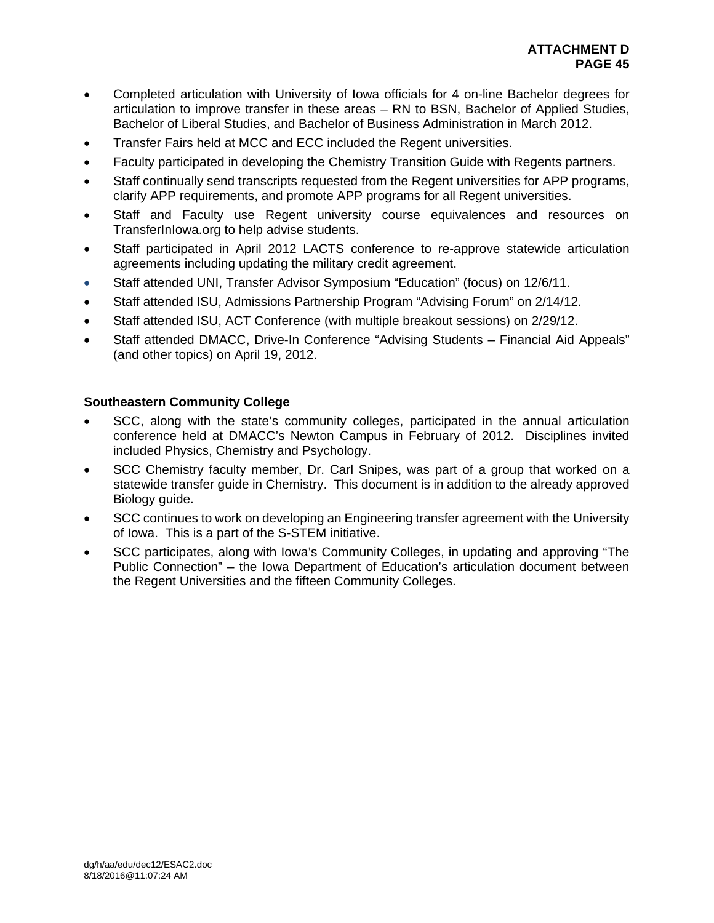- Completed articulation with University of Iowa officials for 4 on-line Bachelor degrees for articulation to improve transfer in these areas – RN to BSN, Bachelor of Applied Studies, Bachelor of Liberal Studies, and Bachelor of Business Administration in March 2012.
- Transfer Fairs held at MCC and ECC included the Regent universities.
- Faculty participated in developing the Chemistry Transition Guide with Regents partners.
- Staff continually send transcripts requested from the Regent universities for APP programs, clarify APP requirements, and promote APP programs for all Regent universities.
- Staff and Faculty use Regent university course equivalences and resources on TransferInIowa.org to help advise students.
- Staff participated in April 2012 LACTS conference to re-approve statewide articulation agreements including updating the military credit agreement.
- Staff attended UNI, Transfer Advisor Symposium "Education" (focus) on 12/6/11.
- Staff attended ISU, Admissions Partnership Program "Advising Forum" on 2/14/12.
- Staff attended ISU, ACT Conference (with multiple breakout sessions) on 2/29/12.
- Staff attended DMACC, Drive-In Conference "Advising Students Financial Aid Appeals" (and other topics) on April 19, 2012.

# **Southeastern Community College**

- SCC, along with the state's community colleges, participated in the annual articulation conference held at DMACC's Newton Campus in February of 2012. Disciplines invited included Physics, Chemistry and Psychology.
- SCC Chemistry faculty member, Dr. Carl Snipes, was part of a group that worked on a statewide transfer guide in Chemistry. This document is in addition to the already approved Biology guide.
- SCC continues to work on developing an Engineering transfer agreement with the University of Iowa. This is a part of the S-STEM initiative.
- SCC participates, along with Iowa's Community Colleges, in updating and approving "The Public Connection" – the Iowa Department of Education's articulation document between the Regent Universities and the fifteen Community Colleges.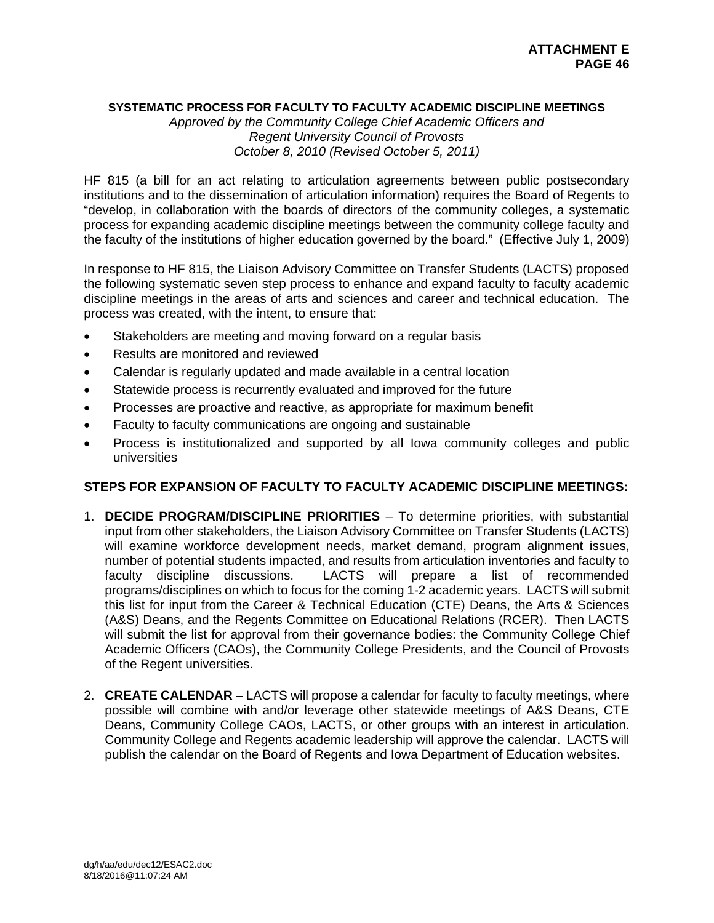#### **SYSTEMATIC PROCESS FOR FACULTY TO FACULTY ACADEMIC DISCIPLINE MEETINGS**

*Approved by the Community College Chief Academic Officers and Regent University Council of Provosts October 8, 2010 (Revised October 5, 2011)* 

HF 815 (a bill for an act relating to articulation agreements between public postsecondary institutions and to the dissemination of articulation information) requires the Board of Regents to "develop, in collaboration with the boards of directors of the community colleges, a systematic process for expanding academic discipline meetings between the community college faculty and the faculty of the institutions of higher education governed by the board." (Effective July 1, 2009)

In response to HF 815, the Liaison Advisory Committee on Transfer Students (LACTS) proposed the following systematic seven step process to enhance and expand faculty to faculty academic discipline meetings in the areas of arts and sciences and career and technical education. The process was created, with the intent, to ensure that:

- Stakeholders are meeting and moving forward on a regular basis
- Results are monitored and reviewed
- Calendar is regularly updated and made available in a central location
- Statewide process is recurrently evaluated and improved for the future
- Processes are proactive and reactive, as appropriate for maximum benefit
- Faculty to faculty communications are ongoing and sustainable
- Process is institutionalized and supported by all Iowa community colleges and public universities

# **STEPS FOR EXPANSION OF FACULTY TO FACULTY ACADEMIC DISCIPLINE MEETINGS:**

- 1. **DECIDE PROGRAM/DISCIPLINE PRIORITIES** To determine priorities, with substantial input from other stakeholders, the Liaison Advisory Committee on Transfer Students (LACTS) will examine workforce development needs, market demand, program alignment issues, number of potential students impacted, and results from articulation inventories and faculty to faculty discipline discussions. LACTS will prepare a list of recommended programs/disciplines on which to focus for the coming 1-2 academic years. LACTS will submit this list for input from the Career & Technical Education (CTE) Deans, the Arts & Sciences (A&S) Deans, and the Regents Committee on Educational Relations (RCER). Then LACTS will submit the list for approval from their governance bodies: the Community College Chief Academic Officers (CAOs), the Community College Presidents, and the Council of Provosts of the Regent universities.
- 2. **CREATE CALENDAR** LACTS will propose a calendar for faculty to faculty meetings, where possible will combine with and/or leverage other statewide meetings of A&S Deans, CTE Deans, Community College CAOs, LACTS, or other groups with an interest in articulation. Community College and Regents academic leadership will approve the calendar. LACTS will publish the calendar on the Board of Regents and Iowa Department of Education websites.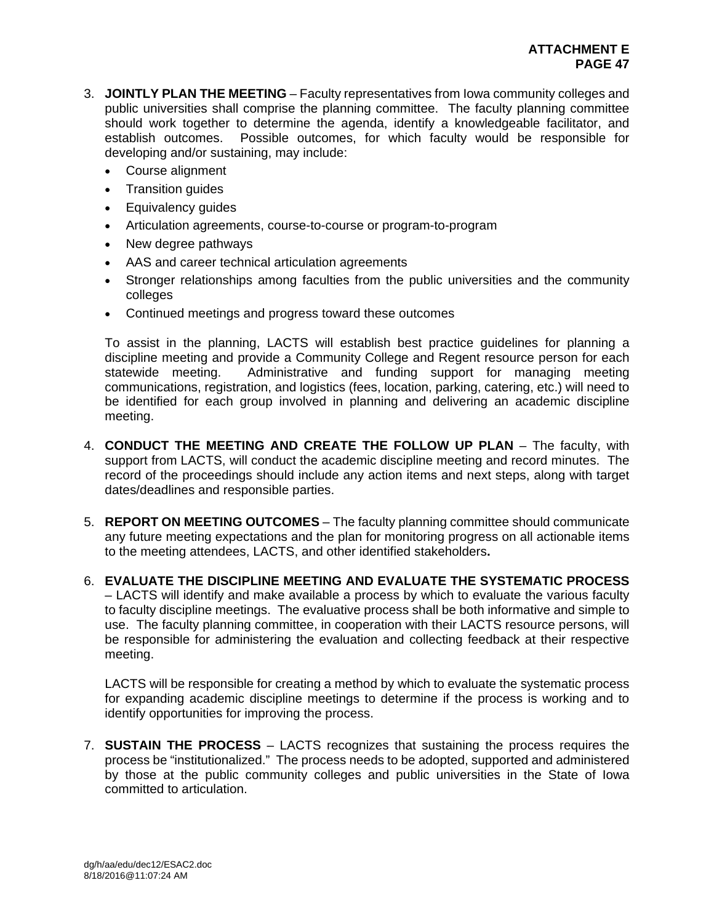- 3. **JOINTLY PLAN THE MEETING** Faculty representatives from Iowa community colleges and public universities shall comprise the planning committee. The faculty planning committee should work together to determine the agenda, identify a knowledgeable facilitator, and establish outcomes. Possible outcomes, for which faculty would be responsible for developing and/or sustaining, may include:
	- Course alignment
	- Transition quides
	- Equivalency guides
	- Articulation agreements, course-to-course or program-to-program
	- New degree pathways
	- AAS and career technical articulation agreements
	- Stronger relationships among faculties from the public universities and the community colleges
	- Continued meetings and progress toward these outcomes

To assist in the planning, LACTS will establish best practice guidelines for planning a discipline meeting and provide a Community College and Regent resource person for each statewide meeting. Administrative and funding support for managing meeting communications, registration, and logistics (fees, location, parking, catering, etc.) will need to be identified for each group involved in planning and delivering an academic discipline meeting.

- 4. **CONDUCT THE MEETING AND CREATE THE FOLLOW UP PLAN** The faculty, with support from LACTS, will conduct the academic discipline meeting and record minutes. The record of the proceedings should include any action items and next steps, along with target dates/deadlines and responsible parties.
- 5. **REPORT ON MEETING OUTCOMES** The faculty planning committee should communicate any future meeting expectations and the plan for monitoring progress on all actionable items to the meeting attendees, LACTS, and other identified stakeholders**.**
- 6. **EVALUATE THE DISCIPLINE MEETING AND EVALUATE THE SYSTEMATIC PROCESS** – LACTS will identify and make available a process by which to evaluate the various faculty to faculty discipline meetings. The evaluative process shall be both informative and simple to use. The faculty planning committee, in cooperation with their LACTS resource persons, will be responsible for administering the evaluation and collecting feedback at their respective meeting.

LACTS will be responsible for creating a method by which to evaluate the systematic process for expanding academic discipline meetings to determine if the process is working and to identify opportunities for improving the process.

7. **SUSTAIN THE PROCESS** – LACTS recognizes that sustaining the process requires the process be "institutionalized." The process needs to be adopted, supported and administered by those at the public community colleges and public universities in the State of Iowa committed to articulation.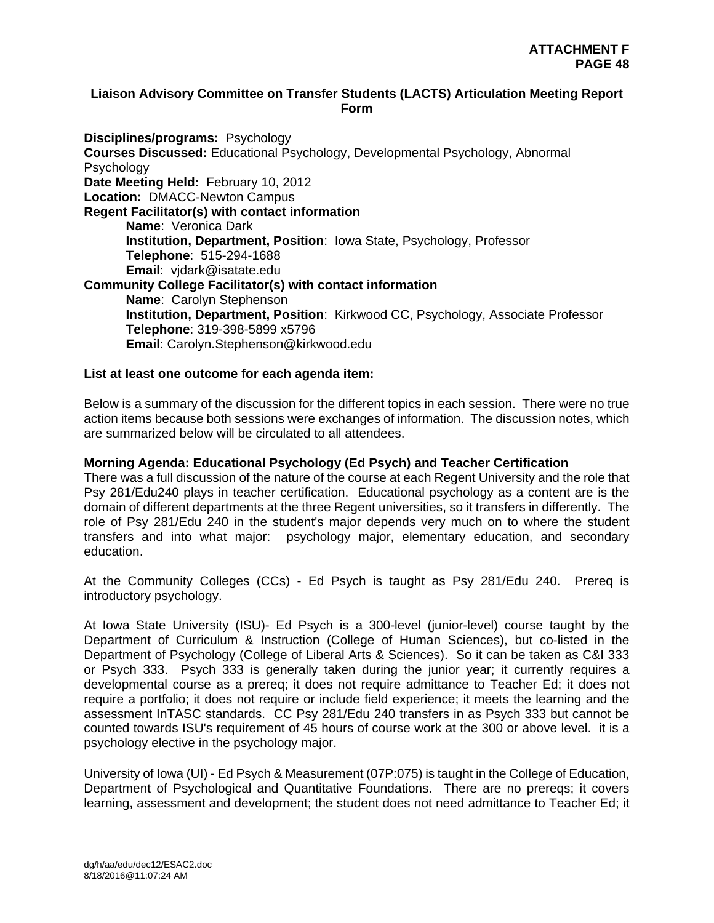## **Liaison Advisory Committee on Transfer Students (LACTS) Articulation Meeting Report Form**

**Disciplines/programs:** Psychology **Courses Discussed:** Educational Psychology, Developmental Psychology, Abnormal Psychology **Date Meeting Held:** February 10, 2012 **Location:** DMACC-Newton Campus **Regent Facilitator(s) with contact information Name**: Veronica Dark **Institution, Department, Position**: Iowa State, Psychology, Professor **Telephone**: 515-294-1688 **Email**: vjdark@isatate.edu **Community College Facilitator(s) with contact information Name**: Carolyn Stephenson **Institution, Department, Position**: Kirkwood CC, Psychology, Associate Professor **Telephone**: 319-398-5899 x5796 **Email**: Carolyn.Stephenson@kirkwood.edu

#### **List at least one outcome for each agenda item:**

Below is a summary of the discussion for the different topics in each session. There were no true action items because both sessions were exchanges of information. The discussion notes, which are summarized below will be circulated to all attendees.

#### **Morning Agenda: Educational Psychology (Ed Psych) and Teacher Certification**

There was a full discussion of the nature of the course at each Regent University and the role that Psy 281/Edu240 plays in teacher certification. Educational psychology as a content are is the domain of different departments at the three Regent universities, so it transfers in differently. The role of Psy 281/Edu 240 in the student's major depends very much on to where the student transfers and into what major: psychology major, elementary education, and secondary education.

At the Community Colleges (CCs) - Ed Psych is taught as Psy 281/Edu 240. Prereq is introductory psychology.

At Iowa State University (ISU)- Ed Psych is a 300-level (junior-level) course taught by the Department of Curriculum & Instruction (College of Human Sciences), but co-listed in the Department of Psychology (College of Liberal Arts & Sciences). So it can be taken as C&I 333 or Psych 333. Psych 333 is generally taken during the junior year; it currently requires a developmental course as a prereq; it does not require admittance to Teacher Ed; it does not require a portfolio; it does not require or include field experience; it meets the learning and the assessment InTASC standards. CC Psy 281/Edu 240 transfers in as Psych 333 but cannot be counted towards ISU's requirement of 45 hours of course work at the 300 or above level. it is a psychology elective in the psychology major.

University of Iowa (UI) - Ed Psych & Measurement (07P:075) is taught in the College of Education, Department of Psychological and Quantitative Foundations. There are no prereqs; it covers learning, assessment and development; the student does not need admittance to Teacher Ed; it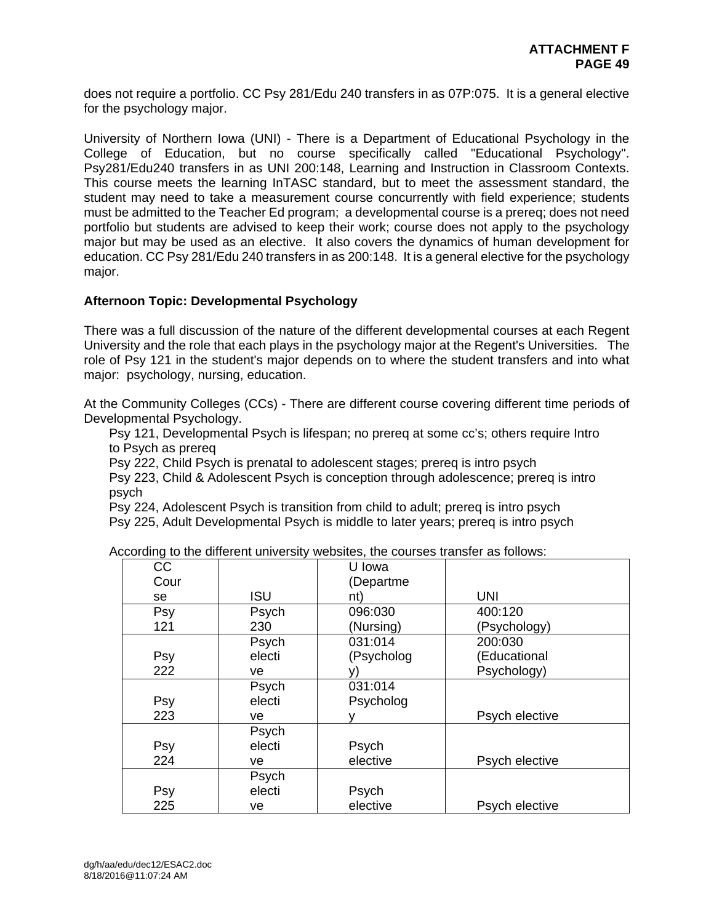does not require a portfolio. CC Psy 281/Edu 240 transfers in as 07P:075. It is a general elective for the psychology major.

University of Northern Iowa (UNI) - There is a Department of Educational Psychology in the College of Education, but no course specifically called "Educational Psychology". Psy281/Edu240 transfers in as UNI 200:148, Learning and Instruction in Classroom Contexts. This course meets the learning InTASC standard, but to meet the assessment standard, the student may need to take a measurement course concurrently with field experience; students must be admitted to the Teacher Ed program; a developmental course is a prereq; does not need portfolio but students are advised to keep their work; course does not apply to the psychology major but may be used as an elective. It also covers the dynamics of human development for education. CC Psy 281/Edu 240 transfers in as 200:148. It is a general elective for the psychology major.

## **Afternoon Topic: Developmental Psychology**

There was a full discussion of the nature of the different developmental courses at each Regent University and the role that each plays in the psychology major at the Regent's Universities. The role of Psy 121 in the student's major depends on to where the student transfers and into what major: psychology, nursing, education.

At the Community Colleges (CCs) - There are different course covering different time periods of Developmental Psychology.

Psy 121, Developmental Psych is lifespan; no prereq at some cc's; others require Intro to Psych as prereq

Psy 222, Child Psych is prenatal to adolescent stages; prereq is intro psych

Psy 223, Child & Adolescent Psych is conception through adolescence; prereq is intro psych

Psy 224, Adolescent Psych is transition from child to adult; prereq is intro psych

Psy 225, Adult Developmental Psych is middle to later years; prereq is intro psych

| CC   |            | U Iowa     |                |
|------|------------|------------|----------------|
| Cour |            | (Departme) |                |
| se   | <b>ISU</b> | nt)        | <b>UNI</b>     |
| Psy  | Psych      | 096:030    | 400:120        |
| 121  | 230        | (Nursing)  | (Psychology)   |
|      | Psych      | 031:014    | 200:030        |
| Psy  | electi     | (Psycholog | (Educational   |
| 222  | ve         |            | Psychology)    |
|      | Psych      | 031:014    |                |
| Psy  | electi     | Psycholog  |                |
| 223  | ve         | v          | Psych elective |
|      | Psych      |            |                |
| Psy  | electi     | Psych      |                |
| 224  | ve         | elective   | Psych elective |
|      | Psych      |            |                |
| Psy  | electi     | Psych      |                |
| 225  | ve         | elective   | Psych elective |

According to the different university websites, the courses transfer as follows: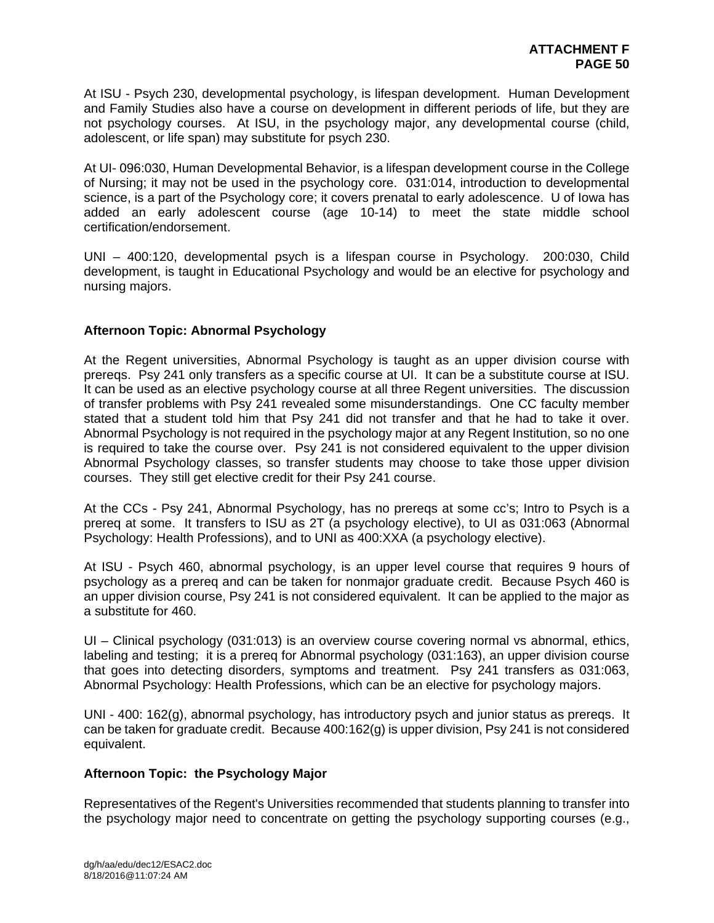At ISU - Psych 230, developmental psychology, is lifespan development. Human Development and Family Studies also have a course on development in different periods of life, but they are not psychology courses. At ISU, in the psychology major, any developmental course (child, adolescent, or life span) may substitute for psych 230.

At UI- 096:030, Human Developmental Behavior, is a lifespan development course in the College of Nursing; it may not be used in the psychology core. 031:014, introduction to developmental science, is a part of the Psychology core; it covers prenatal to early adolescence. U of Iowa has added an early adolescent course (age 10-14) to meet the state middle school certification/endorsement.

UNI – 400:120, developmental psych is a lifespan course in Psychology. 200:030, Child development, is taught in Educational Psychology and would be an elective for psychology and nursing majors.

## **Afternoon Topic: Abnormal Psychology**

At the Regent universities, Abnormal Psychology is taught as an upper division course with prereqs. Psy 241 only transfers as a specific course at UI. It can be a substitute course at ISU. It can be used as an elective psychology course at all three Regent universities. The discussion of transfer problems with Psy 241 revealed some misunderstandings. One CC faculty member stated that a student told him that Psy 241 did not transfer and that he had to take it over. Abnormal Psychology is not required in the psychology major at any Regent Institution, so no one is required to take the course over. Psy 241 is not considered equivalent to the upper division Abnormal Psychology classes, so transfer students may choose to take those upper division courses. They still get elective credit for their Psy 241 course.

At the CCs - Psy 241, Abnormal Psychology, has no prereqs at some cc's; Intro to Psych is a prereq at some. It transfers to ISU as 2T (a psychology elective), to UI as 031:063 (Abnormal Psychology: Health Professions), and to UNI as 400:XXA (a psychology elective).

At ISU - Psych 460, abnormal psychology, is an upper level course that requires 9 hours of psychology as a prereq and can be taken for nonmajor graduate credit. Because Psych 460 is an upper division course, Psy 241 is not considered equivalent. It can be applied to the major as a substitute for 460.

UI – Clinical psychology (031:013) is an overview course covering normal vs abnormal, ethics, labeling and testing; it is a prereq for Abnormal psychology (031:163), an upper division course that goes into detecting disorders, symptoms and treatment. Psy 241 transfers as 031:063, Abnormal Psychology: Health Professions, which can be an elective for psychology majors.

UNI - 400: 162(g), abnormal psychology, has introductory psych and junior status as prereqs. It can be taken for graduate credit. Because 400:162(g) is upper division, Psy 241 is not considered equivalent.

#### **Afternoon Topic: the Psychology Major**

Representatives of the Regent's Universities recommended that students planning to transfer into the psychology major need to concentrate on getting the psychology supporting courses (e.g.,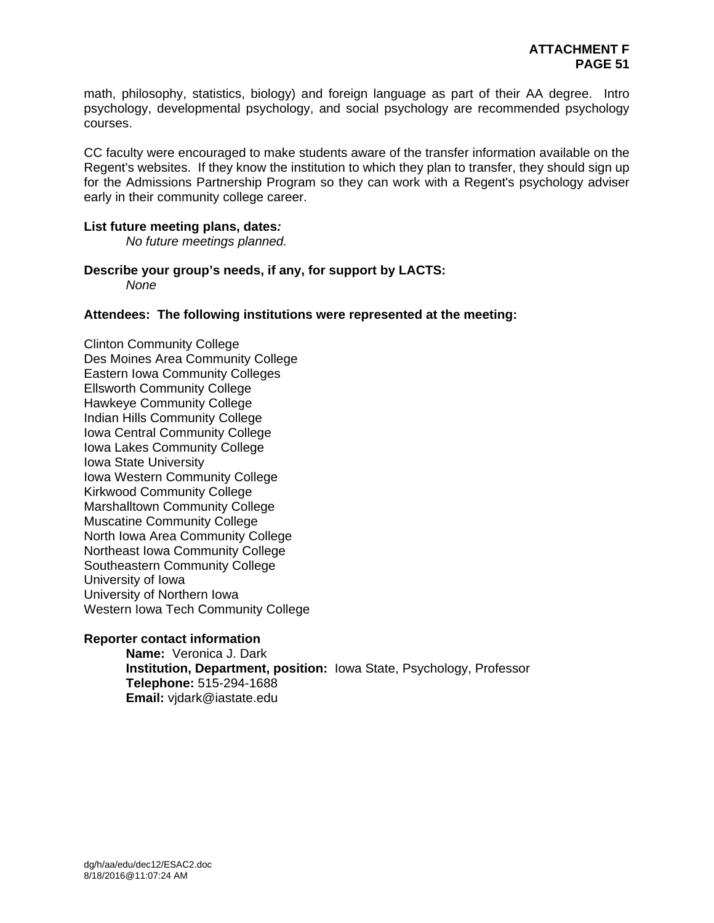math, philosophy, statistics, biology) and foreign language as part of their AA degree. Intro psychology, developmental psychology, and social psychology are recommended psychology courses.

CC faculty were encouraged to make students aware of the transfer information available on the Regent's websites. If they know the institution to which they plan to transfer, they should sign up for the Admissions Partnership Program so they can work with a Regent's psychology adviser early in their community college career.

#### **List future meeting plans, dates***:*

*No future meetings planned.* 

**Describe your group's needs, if any, for support by LACTS:**  *None* 

**Attendees: The following institutions were represented at the meeting:** 

Clinton Community College Des Moines Area Community College Eastern Iowa Community Colleges Ellsworth Community College Hawkeye Community College Indian Hills Community College Iowa Central Community College Iowa Lakes Community College Iowa State University Iowa Western Community College Kirkwood Community College Marshalltown Community College Muscatine Community College North Iowa Area Community College Northeast Iowa Community College Southeastern Community College University of Iowa University of Northern Iowa Western Iowa Tech Community College

#### **Reporter contact information**

**Name:** Veronica J. Dark **Institution, Department, position:** Iowa State, Psychology, Professor **Telephone:** 515-294-1688 **Email:** vjdark@iastate.edu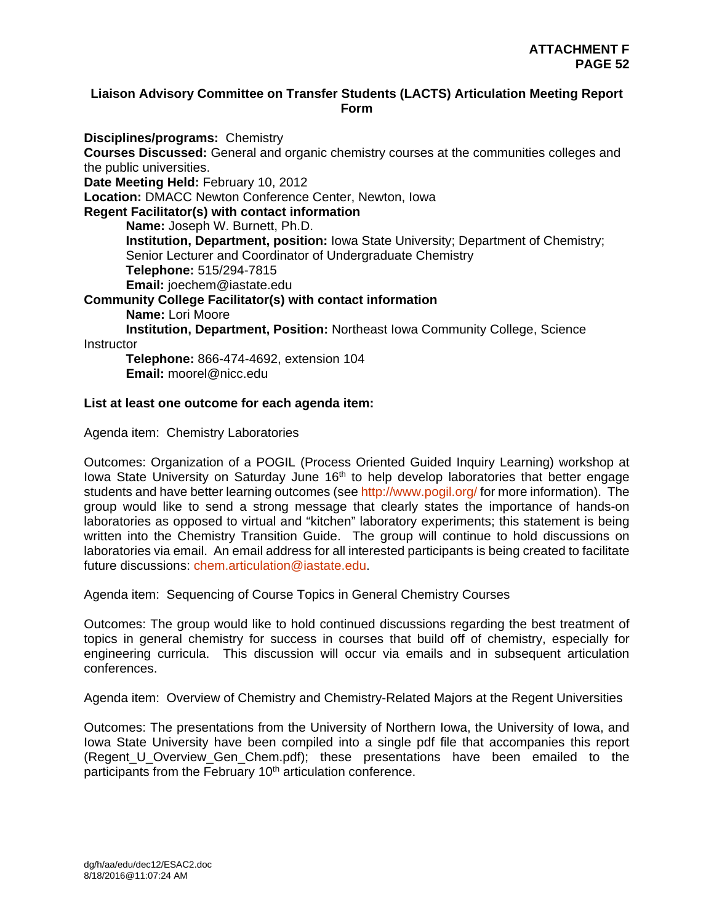## **Liaison Advisory Committee on Transfer Students (LACTS) Articulation Meeting Report Form**

**Disciplines/programs:** Chemistry **Courses Discussed:** General and organic chemistry courses at the communities colleges and the public universities. **Date Meeting Held:** February 10, 2012 **Location:** DMACC Newton Conference Center, Newton, Iowa **Regent Facilitator(s) with contact information Name:** Joseph W. Burnett, Ph.D. **Institution, Department, position:** Iowa State University; Department of Chemistry; Senior Lecturer and Coordinator of Undergraduate Chemistry **Telephone:** 515/294-7815 **Email:** joechem@iastate.edu **Community College Facilitator(s) with contact information Name:** Lori Moore  **Institution, Department, Position:** Northeast Iowa Community College, Science **Instructor Telephone:** 866-474-4692, extension 104  **Email:** moorel@nicc.edu

#### **List at least one outcome for each agenda item:**

Agenda item: Chemistry Laboratories

Outcomes: Organization of a POGIL (Process Oriented Guided Inquiry Learning) workshop at Iowa State University on Saturday June 16th to help develop laboratories that better engage students and have better learning outcomes (see http://www.pogil.org/ for more information). The group would like to send a strong message that clearly states the importance of hands-on laboratories as opposed to virtual and "kitchen" laboratory experiments; this statement is being written into the Chemistry Transition Guide. The group will continue to hold discussions on laboratories via email. An email address for all interested participants is being created to facilitate future discussions: chem.articulation@iastate.edu.

Agenda item: Sequencing of Course Topics in General Chemistry Courses

Outcomes: The group would like to hold continued discussions regarding the best treatment of topics in general chemistry for success in courses that build off of chemistry, especially for engineering curricula. This discussion will occur via emails and in subsequent articulation conferences.

Agenda item: Overview of Chemistry and Chemistry-Related Majors at the Regent Universities

Outcomes: The presentations from the University of Northern Iowa, the University of Iowa, and Iowa State University have been compiled into a single pdf file that accompanies this report (Regent U Overview Gen Chem.pdf); these presentations have been emailed to the participants from the February 10<sup>th</sup> articulation conference.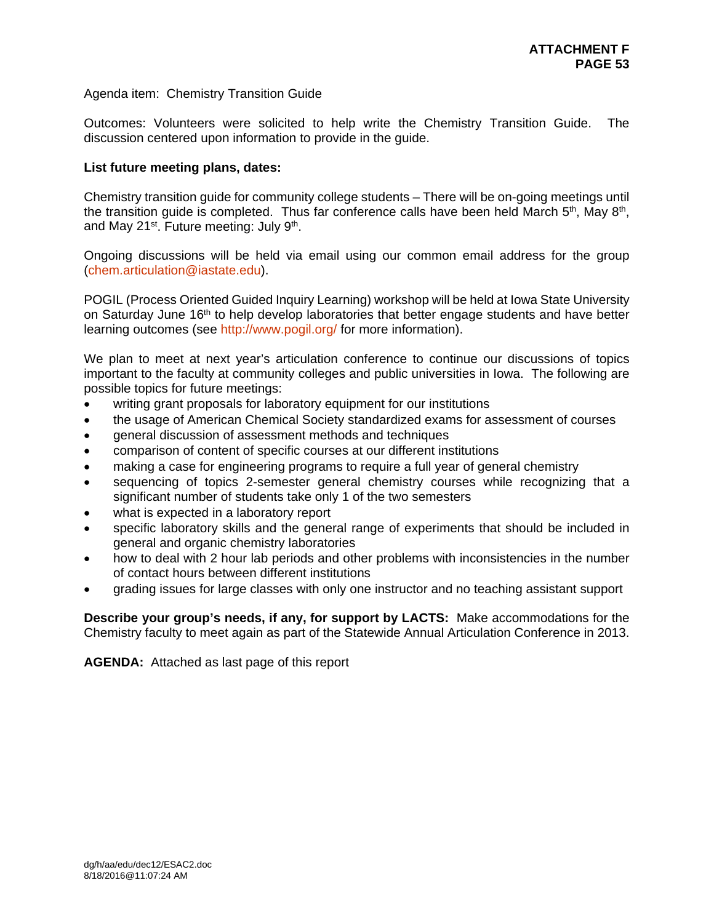## Agenda item: Chemistry Transition Guide

Outcomes: Volunteers were solicited to help write the Chemistry Transition Guide. The discussion centered upon information to provide in the guide.

## **List future meeting plans, dates:**

Chemistry transition guide for community college students – There will be on-going meetings until the transition quide is completed. Thus far conference calls have been held March  $5<sup>th</sup>$ , May  $8<sup>th</sup>$ , and May 21<sup>st</sup>. Future meeting: July 9<sup>th</sup>.

Ongoing discussions will be held via email using our common email address for the group (chem.articulation@iastate.edu).

POGIL (Process Oriented Guided Inquiry Learning) workshop will be held at Iowa State University on Saturday June 16th to help develop laboratories that better engage students and have better learning outcomes (see http://www.pogil.org/ for more information).

We plan to meet at next year's articulation conference to continue our discussions of topics important to the faculty at community colleges and public universities in Iowa. The following are possible topics for future meetings:

- writing grant proposals for laboratory equipment for our institutions
- the usage of American Chemical Society standardized exams for assessment of courses
- general discussion of assessment methods and techniques
- comparison of content of specific courses at our different institutions
- making a case for engineering programs to require a full year of general chemistry
- sequencing of topics 2-semester general chemistry courses while recognizing that a significant number of students take only 1 of the two semesters
- what is expected in a laboratory report
- specific laboratory skills and the general range of experiments that should be included in general and organic chemistry laboratories
- how to deal with 2 hour lab periods and other problems with inconsistencies in the number of contact hours between different institutions
- grading issues for large classes with only one instructor and no teaching assistant support

**Describe your group's needs, if any, for support by LACTS:** Make accommodations for the Chemistry faculty to meet again as part of the Statewide Annual Articulation Conference in 2013.

**AGENDA:** Attached as last page of this report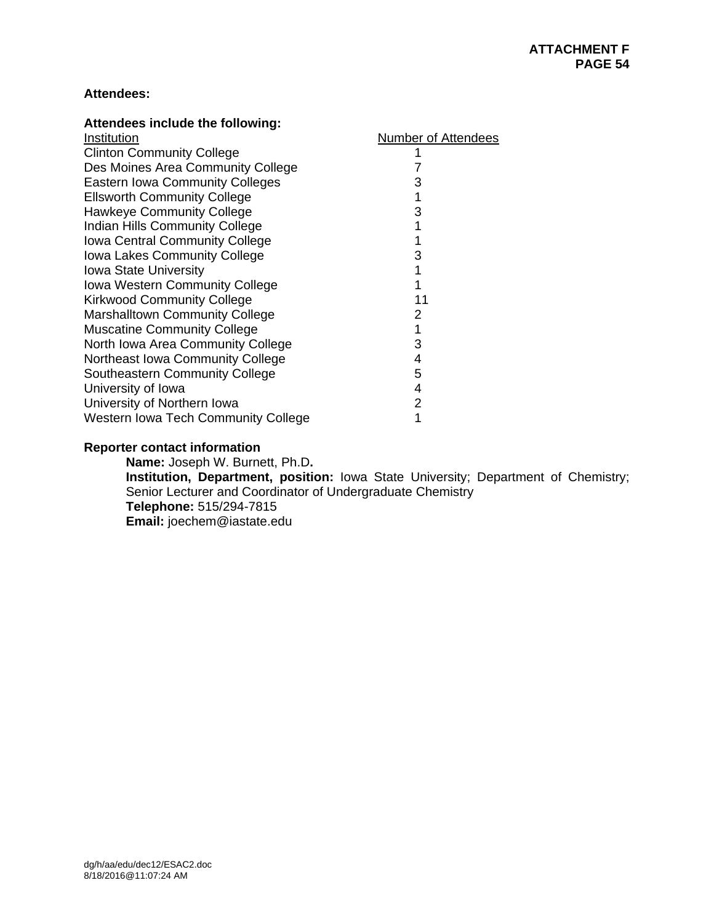# **Attendees:**

| Attendees include the following:       |                            |
|----------------------------------------|----------------------------|
| Institution                            | <b>Number of Attendees</b> |
| <b>Clinton Community College</b>       |                            |
| Des Moines Area Community College      | 7                          |
| <b>Eastern Iowa Community Colleges</b> | 3                          |
| <b>Ellsworth Community College</b>     |                            |
| <b>Hawkeye Community College</b>       | 3                          |
| Indian Hills Community College         |                            |
| Iowa Central Community College         |                            |
| Iowa Lakes Community College           | 3                          |
| <b>Iowa State University</b>           |                            |
| Iowa Western Community College         |                            |
| <b>Kirkwood Community College</b>      | 11                         |
| <b>Marshalltown Community College</b>  | 2                          |
| <b>Muscatine Community College</b>     |                            |
| North Iowa Area Community College      | 3                          |
| Northeast Iowa Community College       | 4                          |
| Southeastern Community College         | 5                          |
| University of Iowa                     | 4                          |
| University of Northern Iowa            | 2                          |
| Western Iowa Tech Community College    |                            |

# **Reporter contact information**

**Name:** Joseph W. Burnett, Ph.D**. Institution, Department, position:** Iowa State University; Department of Chemistry; Senior Lecturer and Coordinator of Undergraduate Chemistry **Telephone:** 515/294-7815 **Email:** joechem@iastate.edu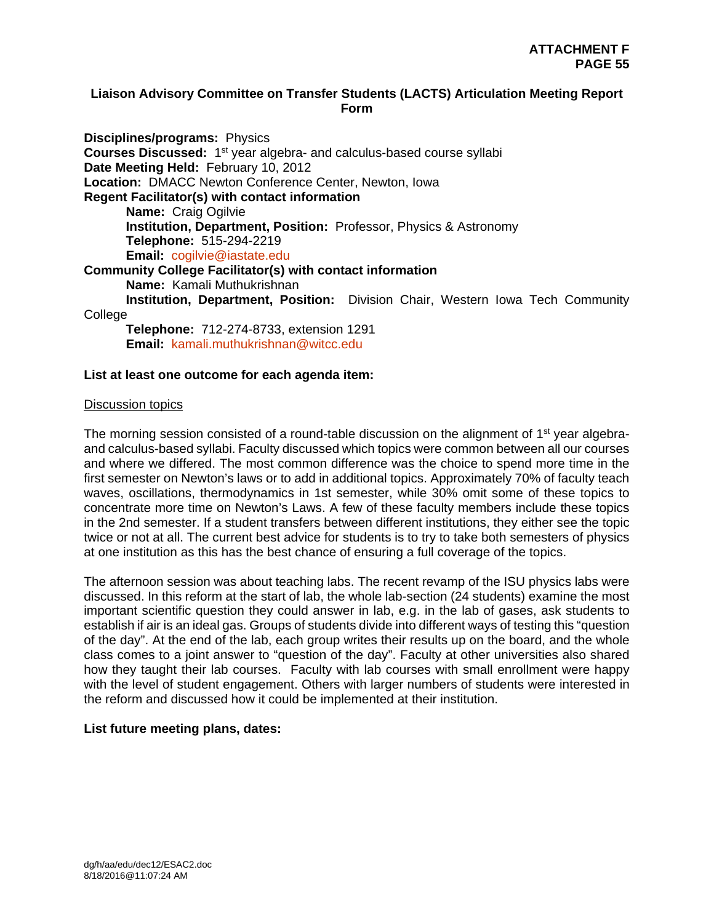## **Liaison Advisory Committee on Transfer Students (LACTS) Articulation Meeting Report Form**

**Disciplines/programs:** Physics **Courses Discussed:** 1st year algebra- and calculus-based course syllabi **Date Meeting Held:** February 10, 2012 **Location:** DMACC Newton Conference Center, Newton, Iowa **Regent Facilitator(s) with contact information Name:** Craig Ogilvie  **Institution, Department, Position:** Professor, Physics & Astronomy  **Telephone:** 515-294-2219  **Email:** cogilvie@iastate.edu **Community College Facilitator(s) with contact information Name:** Kamali Muthukrishnan  **Institution, Department, Position:** Division Chair, Western Iowa Tech Community College  **Telephone:** 712-274-8733, extension 1291  **Email:** kamali.muthukrishnan@witcc.edu

#### **List at least one outcome for each agenda item:**

#### Discussion topics

The morning session consisted of a round-table discussion on the alignment of  $1<sup>st</sup>$  year algebraand calculus-based syllabi. Faculty discussed which topics were common between all our courses and where we differed. The most common difference was the choice to spend more time in the first semester on Newton's laws or to add in additional topics. Approximately 70% of faculty teach waves, oscillations, thermodynamics in 1st semester, while 30% omit some of these topics to concentrate more time on Newton's Laws. A few of these faculty members include these topics in the 2nd semester. If a student transfers between different institutions, they either see the topic twice or not at all. The current best advice for students is to try to take both semesters of physics at one institution as this has the best chance of ensuring a full coverage of the topics.

The afternoon session was about teaching labs. The recent revamp of the ISU physics labs were discussed. In this reform at the start of lab, the whole lab-section (24 students) examine the most important scientific question they could answer in lab, e.g. in the lab of gases, ask students to establish if air is an ideal gas. Groups of students divide into different ways of testing this "question of the day". At the end of the lab, each group writes their results up on the board, and the whole class comes to a joint answer to "question of the day". Faculty at other universities also shared how they taught their lab courses. Faculty with lab courses with small enrollment were happy with the level of student engagement. Others with larger numbers of students were interested in the reform and discussed how it could be implemented at their institution.

#### **List future meeting plans, dates:**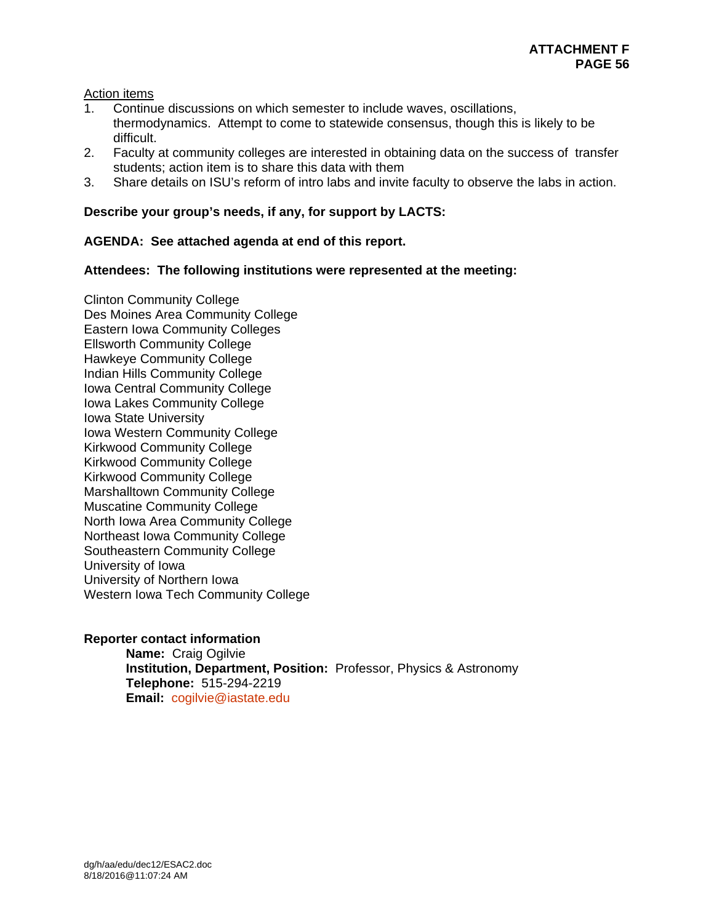Action items

- 1. Continue discussions on which semester to include waves, oscillations,
- thermodynamics. Attempt to come to statewide consensus, though this is likely to be difficult.
- 2. Faculty at community colleges are interested in obtaining data on the success of transfer students; action item is to share this data with them
- 3. Share details on ISU's reform of intro labs and invite faculty to observe the labs in action.

# **Describe your group's needs, if any, for support by LACTS:**

# **AGENDA: See attached agenda at end of this report.**

# **Attendees: The following institutions were represented at the meeting:**

Clinton Community College Des Moines Area Community College Eastern Iowa Community Colleges Ellsworth Community College Hawkeye Community College Indian Hills Community College Iowa Central Community College Iowa Lakes Community College Iowa State University Iowa Western Community College Kirkwood Community College Kirkwood Community College Kirkwood Community College Marshalltown Community College Muscatine Community College North Iowa Area Community College Northeast Iowa Community College Southeastern Community College University of Iowa University of Northern Iowa Western Iowa Tech Community College

# **Reporter contact information**

 **Name:** Craig Ogilvie  **Institution, Department, Position:** Professor, Physics & Astronomy  **Telephone:** 515-294-2219  **Email:** cogilvie@iastate.edu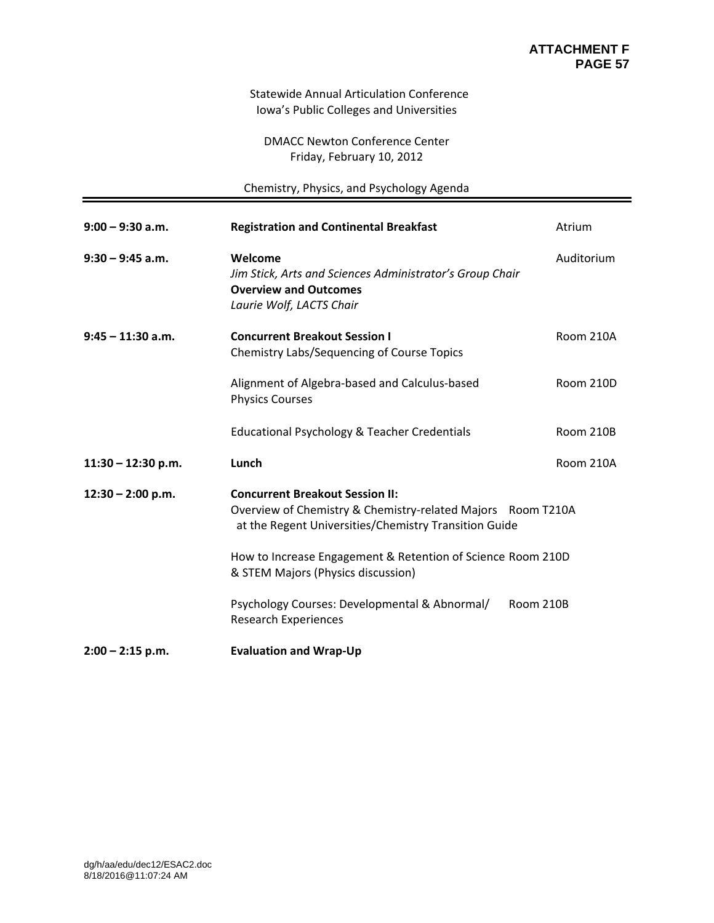#### Statewide Annual Articulation Conference Iowa's Public Colleges and Universities

DMACC Newton Conference Center Friday, February 10, 2012

Chemistry, Physics, and Psychology Agenda

| $9:00 - 9:30$ a.m.   | <b>Registration and Continental Breakfast</b>                                                                                                                                                                                                                                                                                                                    | Atrium     |
|----------------------|------------------------------------------------------------------------------------------------------------------------------------------------------------------------------------------------------------------------------------------------------------------------------------------------------------------------------------------------------------------|------------|
| $9:30 - 9:45$ a.m.   | Welcome<br>Jim Stick, Arts and Sciences Administrator's Group Chair<br><b>Overview and Outcomes</b><br>Laurie Wolf, LACTS Chair                                                                                                                                                                                                                                  | Auditorium |
| $9:45 - 11:30$ a.m.  | <b>Concurrent Breakout Session I</b><br>Chemistry Labs/Sequencing of Course Topics                                                                                                                                                                                                                                                                               | Room 210A  |
|                      | Alignment of Algebra-based and Calculus-based<br><b>Physics Courses</b>                                                                                                                                                                                                                                                                                          | Room 210D  |
|                      | Educational Psychology & Teacher Credentials                                                                                                                                                                                                                                                                                                                     | Room 210B  |
| $11:30 - 12:30$ p.m. | Lunch                                                                                                                                                                                                                                                                                                                                                            | Room 210A  |
| $12:30 - 2:00$ p.m.  | <b>Concurrent Breakout Session II:</b><br>Overview of Chemistry & Chemistry-related Majors Room T210A<br>at the Regent Universities/Chemistry Transition Guide<br>How to Increase Engagement & Retention of Science Room 210D<br>& STEM Majors (Physics discussion)<br>Psychology Courses: Developmental & Abnormal/<br>Room 210B<br><b>Research Experiences</b> |            |
| $2:00 - 2:15$ p.m.   | <b>Evaluation and Wrap-Up</b>                                                                                                                                                                                                                                                                                                                                    |            |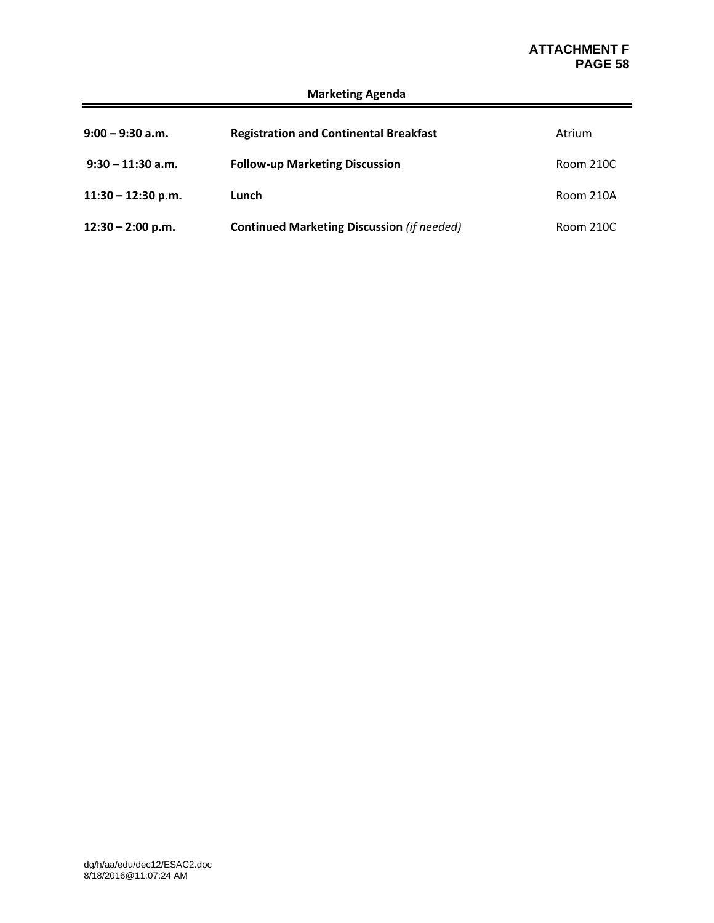# **ATTACHMENT F<br>PAGE 58 PAGE 58**

| $9:00 - 9:30$ a.m.   | <b>Registration and Continental Breakfast</b>     | Atrium    |
|----------------------|---------------------------------------------------|-----------|
| $9:30 - 11:30$ a.m.  | <b>Follow-up Marketing Discussion</b>             | Room 210C |
| $11:30 - 12:30$ p.m. | Lunch                                             | Room 210A |
| $12:30 - 2:00$ p.m.  | <b>Continued Marketing Discussion (if needed)</b> | Room 210C |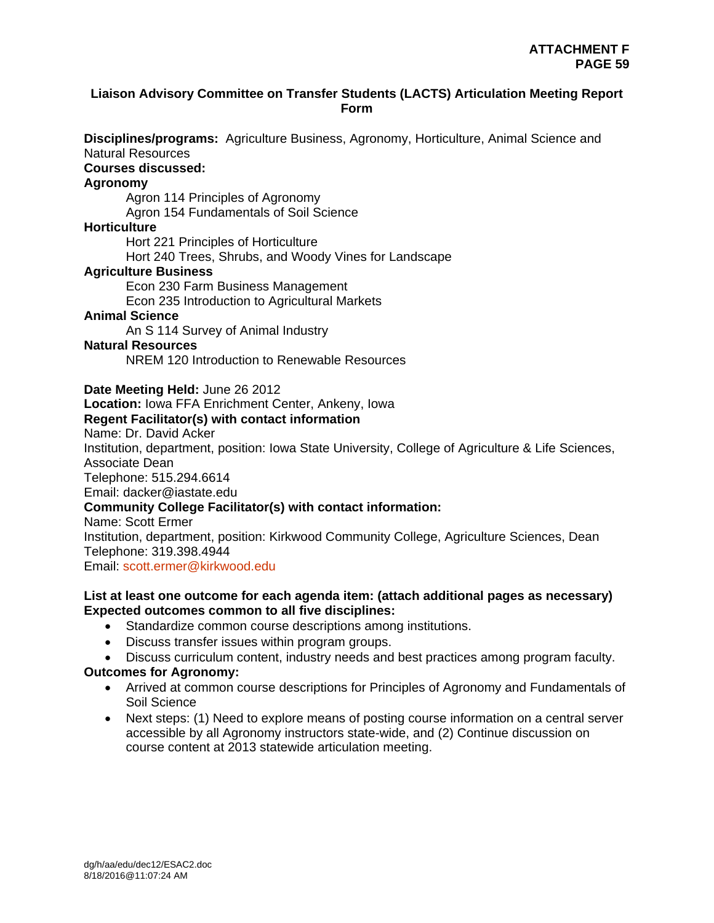## **Liaison Advisory Committee on Transfer Students (LACTS) Articulation Meeting Report Form**

**Disciplines/programs:** Agriculture Business, Agronomy, Horticulture, Animal Science and Natural Resources

# **Courses discussed:**

## **Agronomy**

Agron 114 Principles of Agronomy Agron 154 Fundamentals of Soil Science

#### **Horticulture**

Hort 221 Principles of Horticulture

Hort 240 Trees, Shrubs, and Woody Vines for Landscape

## **Agriculture Business**

Econ 230 Farm Business Management

Econ 235 Introduction to Agricultural Markets

# **Animal Science**

An S 114 Survey of Animal Industry

#### **Natural Resources**

NREM 120 Introduction to Renewable Resources

**Date Meeting Held:** June 26 2012

**Location:** Iowa FFA Enrichment Center, Ankeny, Iowa

## **Regent Facilitator(s) with contact information**

Name: Dr. David Acker

Institution, department, position: Iowa State University, College of Agriculture & Life Sciences, Associate Dean

Telephone: 515.294.6614

Email: dacker@iastate.edu

# **Community College Facilitator(s) with contact information:**

Name: Scott Ermer

Institution, department, position: Kirkwood Community College, Agriculture Sciences, Dean Telephone: 319.398.4944

Email: scott.ermer@kirkwood.edu

## **List at least one outcome for each agenda item: (attach additional pages as necessary) Expected outcomes common to all five disciplines:**

- Standardize common course descriptions among institutions.
- Discuss transfer issues within program groups.
- Discuss curriculum content, industry needs and best practices among program faculty.

# **Outcomes for Agronomy:**

- Arrived at common course descriptions for Principles of Agronomy and Fundamentals of Soil Science
- Next steps: (1) Need to explore means of posting course information on a central server accessible by all Agronomy instructors state-wide, and (2) Continue discussion on course content at 2013 statewide articulation meeting.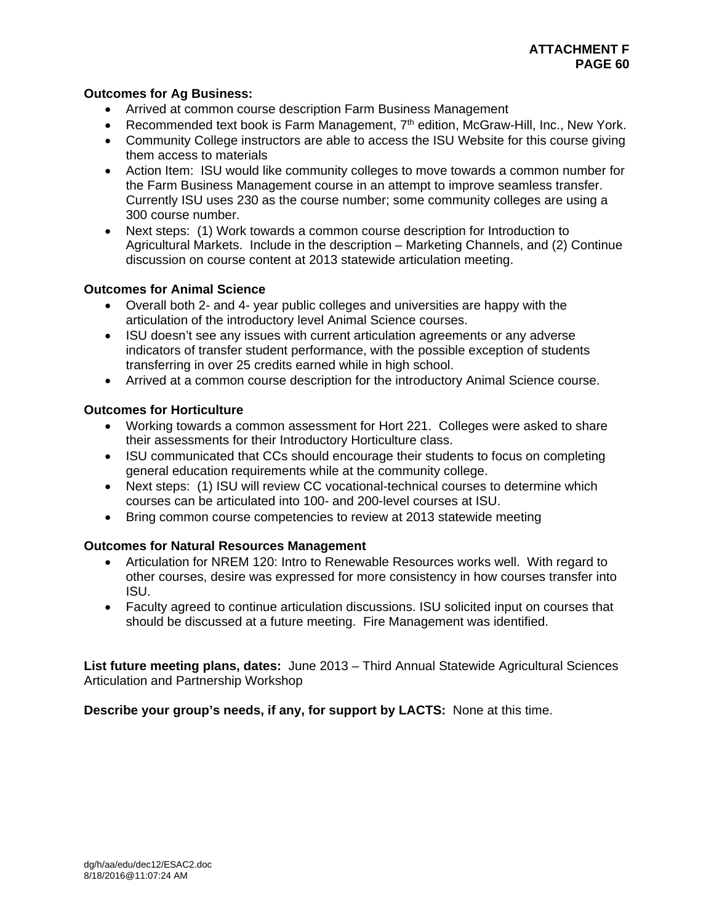# **Outcomes for Ag Business:**

- Arrived at common course description Farm Business Management
- **•** Recommended text book is Farm Management,  $7<sup>th</sup>$  edition, McGraw-Hill, Inc., New York.
- Community College instructors are able to access the ISU Website for this course giving them access to materials
- Action Item: ISU would like community colleges to move towards a common number for the Farm Business Management course in an attempt to improve seamless transfer. Currently ISU uses 230 as the course number; some community colleges are using a 300 course number.
- Next steps: (1) Work towards a common course description for Introduction to Agricultural Markets. Include in the description – Marketing Channels, and (2) Continue discussion on course content at 2013 statewide articulation meeting.

# **Outcomes for Animal Science**

- Overall both 2- and 4- year public colleges and universities are happy with the articulation of the introductory level Animal Science courses.
- ISU doesn't see any issues with current articulation agreements or any adverse indicators of transfer student performance, with the possible exception of students transferring in over 25 credits earned while in high school.
- Arrived at a common course description for the introductory Animal Science course.

# **Outcomes for Horticulture**

- Working towards a common assessment for Hort 221. Colleges were asked to share their assessments for their Introductory Horticulture class.
- ISU communicated that CCs should encourage their students to focus on completing general education requirements while at the community college.
- Next steps: (1) ISU will review CC vocational-technical courses to determine which courses can be articulated into 100- and 200-level courses at ISU.
- Bring common course competencies to review at 2013 statewide meeting

# **Outcomes for Natural Resources Management**

- Articulation for NREM 120: Intro to Renewable Resources works well. With regard to other courses, desire was expressed for more consistency in how courses transfer into ISU.
- Faculty agreed to continue articulation discussions. ISU solicited input on courses that should be discussed at a future meeting. Fire Management was identified.

**List future meeting plans, dates:** June 2013 – Third Annual Statewide Agricultural Sciences Articulation and Partnership Workshop

**Describe your group's needs, if any, for support by LACTS:** None at this time.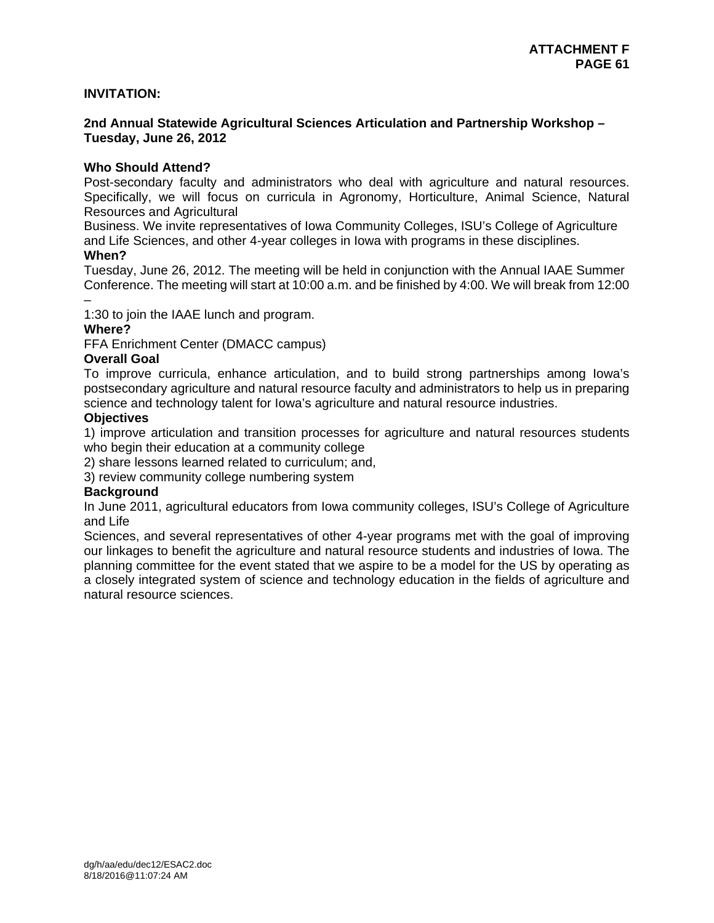## **INVITATION:**

## **2nd Annual Statewide Agricultural Sciences Articulation and Partnership Workshop – Tuesday, June 26, 2012**

## **Who Should Attend?**

Post-secondary faculty and administrators who deal with agriculture and natural resources. Specifically, we will focus on curricula in Agronomy, Horticulture, Animal Science, Natural Resources and Agricultural

Business. We invite representatives of Iowa Community Colleges, ISU's College of Agriculture and Life Sciences, and other 4-year colleges in Iowa with programs in these disciplines.

#### **When?**

Tuesday, June 26, 2012. The meeting will be held in conjunction with the Annual IAAE Summer Conference. The meeting will start at 10:00 a.m. and be finished by 4:00. We will break from 12:00 –

1:30 to join the IAAE lunch and program.

## **Where?**

FFA Enrichment Center (DMACC campus)

## **Overall Goal**

To improve curricula, enhance articulation, and to build strong partnerships among Iowa's postsecondary agriculture and natural resource faculty and administrators to help us in preparing science and technology talent for Iowa's agriculture and natural resource industries.

## **Objectives**

1) improve articulation and transition processes for agriculture and natural resources students who begin their education at a community college

2) share lessons learned related to curriculum; and,

3) review community college numbering system

#### **Background**

In June 2011, agricultural educators from Iowa community colleges, ISU's College of Agriculture and Life

Sciences, and several representatives of other 4-year programs met with the goal of improving our linkages to benefit the agriculture and natural resource students and industries of Iowa. The planning committee for the event stated that we aspire to be a model for the US by operating as a closely integrated system of science and technology education in the fields of agriculture and natural resource sciences.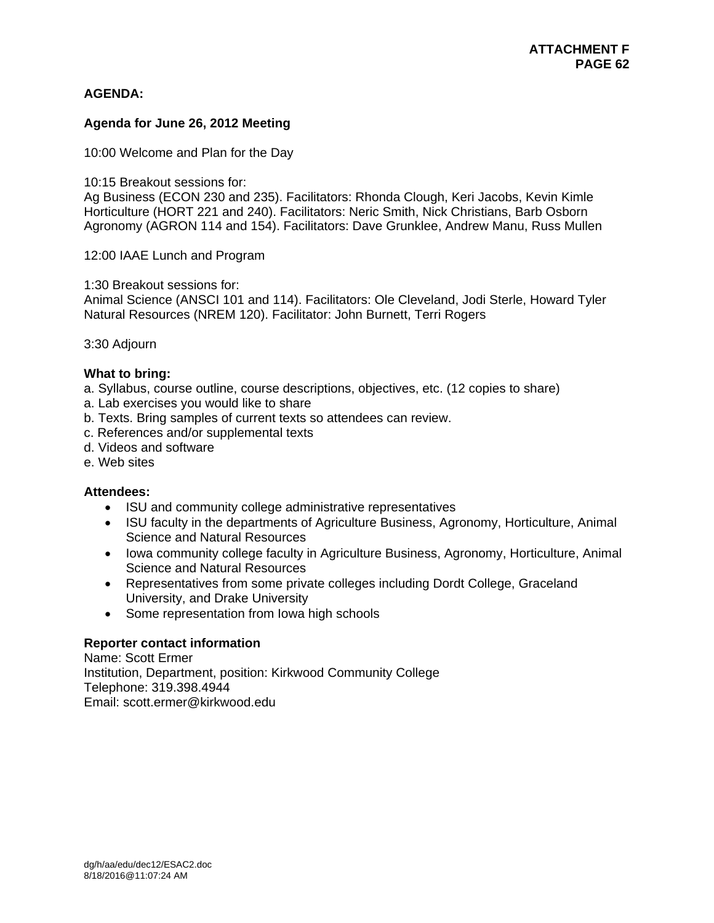# **AGENDA:**

## **Agenda for June 26, 2012 Meeting**

10:00 Welcome and Plan for the Day

10:15 Breakout sessions for:

Ag Business (ECON 230 and 235). Facilitators: Rhonda Clough, Keri Jacobs, Kevin Kimle Horticulture (HORT 221 and 240). Facilitators: Neric Smith, Nick Christians, Barb Osborn Agronomy (AGRON 114 and 154). Facilitators: Dave Grunklee, Andrew Manu, Russ Mullen

12:00 IAAE Lunch and Program

1:30 Breakout sessions for:

Animal Science (ANSCI 101 and 114). Facilitators: Ole Cleveland, Jodi Sterle, Howard Tyler Natural Resources (NREM 120). Facilitator: John Burnett, Terri Rogers

#### 3:30 Adjourn

#### **What to bring:**

a. Syllabus, course outline, course descriptions, objectives, etc. (12 copies to share)

- a. Lab exercises you would like to share
- b. Texts. Bring samples of current texts so attendees can review.
- c. References and/or supplemental texts
- d. Videos and software
- e. Web sites

#### **Attendees:**

- ISU and community college administrative representatives
- ISU faculty in the departments of Agriculture Business, Agronomy, Horticulture, Animal Science and Natural Resources
- Iowa community college faculty in Agriculture Business, Agronomy, Horticulture, Animal Science and Natural Resources
- Representatives from some private colleges including Dordt College, Graceland University, and Drake University
- Some representation from Iowa high schools

#### **Reporter contact information**

Name: Scott Ermer Institution, Department, position: Kirkwood Community College Telephone: 319.398.4944 Email: scott.ermer@kirkwood.edu